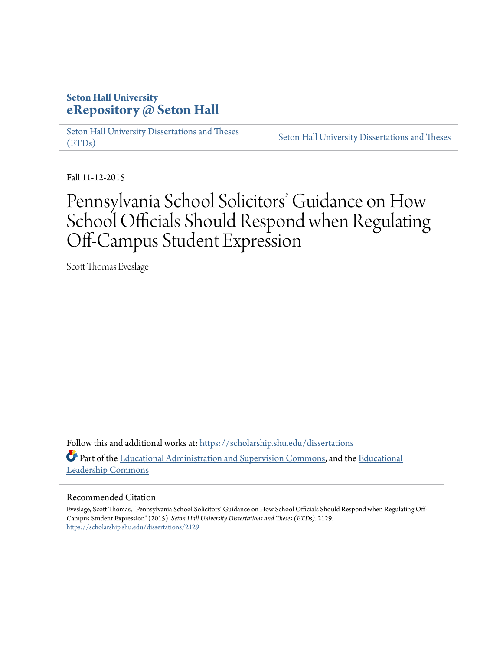# **Seton Hall University [eRepository @ Seton Hall](https://scholarship.shu.edu?utm_source=scholarship.shu.edu%2Fdissertations%2F2129&utm_medium=PDF&utm_campaign=PDFCoverPages)**

[Seton Hall University Dissertations and Theses](https://scholarship.shu.edu/dissertations?utm_source=scholarship.shu.edu%2Fdissertations%2F2129&utm_medium=PDF&utm_campaign=PDFCoverPages) [\(ETDs\)](https://scholarship.shu.edu/dissertations?utm_source=scholarship.shu.edu%2Fdissertations%2F2129&utm_medium=PDF&utm_campaign=PDFCoverPages)

[Seton Hall University Dissertations and Theses](https://scholarship.shu.edu/etds?utm_source=scholarship.shu.edu%2Fdissertations%2F2129&utm_medium=PDF&utm_campaign=PDFCoverPages)

Fall 11-12-2015

# Pennsylvania School Solicitors' Guidance on How School Officials Should Respond when Regulating Off-Campus Student Expression

Scott Thomas Eveslage

Follow this and additional works at: [https://scholarship.shu.edu/dissertations](https://scholarship.shu.edu/dissertations?utm_source=scholarship.shu.edu%2Fdissertations%2F2129&utm_medium=PDF&utm_campaign=PDFCoverPages) Part of the [Educational Administration and Supervision Commons,](http://network.bepress.com/hgg/discipline/787?utm_source=scholarship.shu.edu%2Fdissertations%2F2129&utm_medium=PDF&utm_campaign=PDFCoverPages) and the [Educational](http://network.bepress.com/hgg/discipline/1230?utm_source=scholarship.shu.edu%2Fdissertations%2F2129&utm_medium=PDF&utm_campaign=PDFCoverPages) [Leadership Commons](http://network.bepress.com/hgg/discipline/1230?utm_source=scholarship.shu.edu%2Fdissertations%2F2129&utm_medium=PDF&utm_campaign=PDFCoverPages)

### Recommended Citation

Eveslage, Scott Thomas, "Pennsylvania School Solicitors' Guidance on How School Officials Should Respond when Regulating Off-Campus Student Expression" (2015). *Seton Hall University Dissertations and Theses (ETDs)*. 2129. [https://scholarship.shu.edu/dissertations/2129](https://scholarship.shu.edu/dissertations/2129?utm_source=scholarship.shu.edu%2Fdissertations%2F2129&utm_medium=PDF&utm_campaign=PDFCoverPages)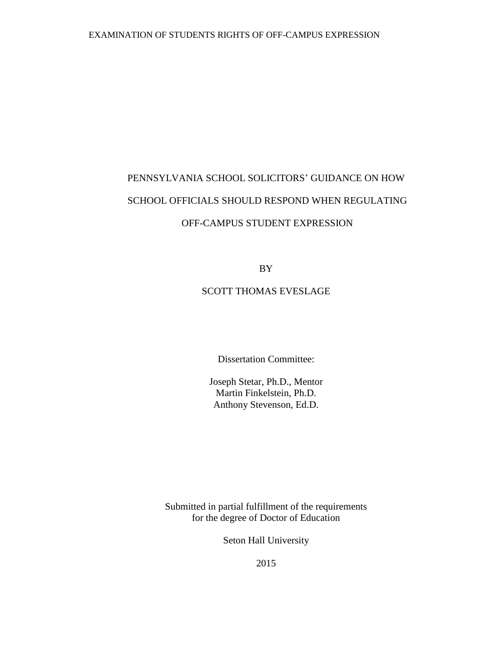# PENNSYLVANIA SCHOOL SOLICITORS' GUIDANCE ON HOW SCHOOL OFFICIALS SHOULD RESPOND WHEN REGULATING OFF-CAMPUS STUDENT EXPRESSION

BY

# SCOTT THOMAS EVESLAGE

Dissertation Committee:

Joseph Stetar, Ph.D., Mentor Martin Finkelstein, Ph.D. Anthony Stevenson, Ed.D.

Submitted in partial fulfillment of the requirements for the degree of Doctor of Education

Seton Hall University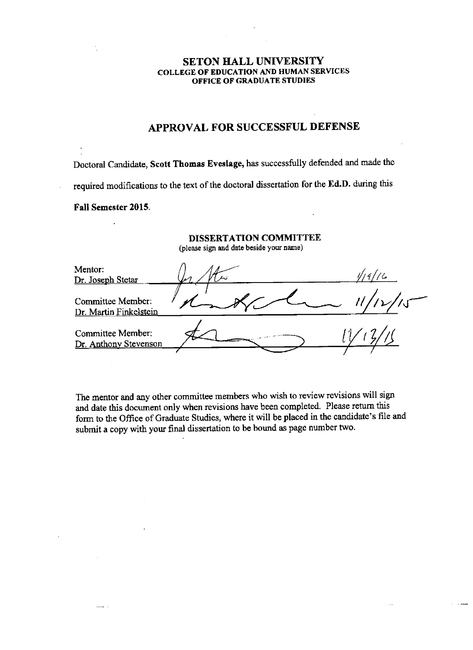# **SETON HALL UNIVERSITY COLLEGE OF EDUCATION AND HUMAN SERVICES** OFFICE OF GRADUATE STUDIES

# APPROVAL FOR SUCCESSFUL DEFENSE

Doctoral Candidate, Scott Thomas Eveslage, has successfully defended and made the required modifications to the text of the doctoral dissertation for the Ed.D. during this Fall Semester 2015.

 $\overline{a}$ 

# DISSERTATION COMMITTEE

(please sign and date beside your name)

| Mentor:<br>Dr. Joseph Stetar                |  |
|---------------------------------------------|--|
| Committee Member:<br>Dr. Martin Finkelstein |  |
| Committee Member:<br>Dr. Anthony Stevenson  |  |

The mentor and any other committee members who wish to review revisions will sign and date this document only when revisions have been completed. Please return this form to the Office of Graduate Studies, where it will be placed in the candidate's file and submit a copy with your final dissertation to be bound as page number two.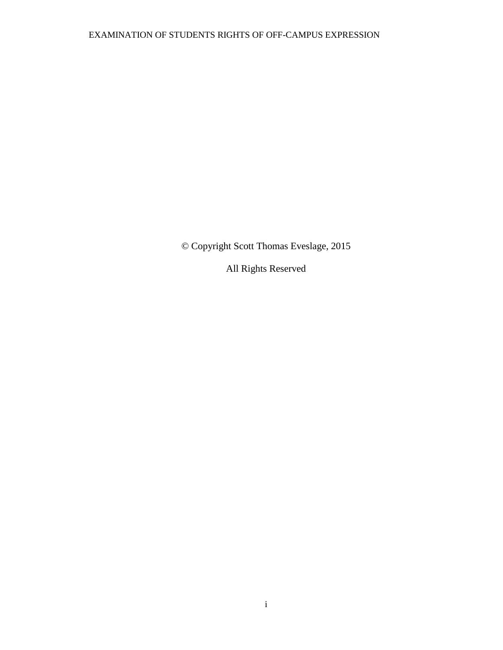© Copyright Scott Thomas Eveslage, 2015

All Rights Reserved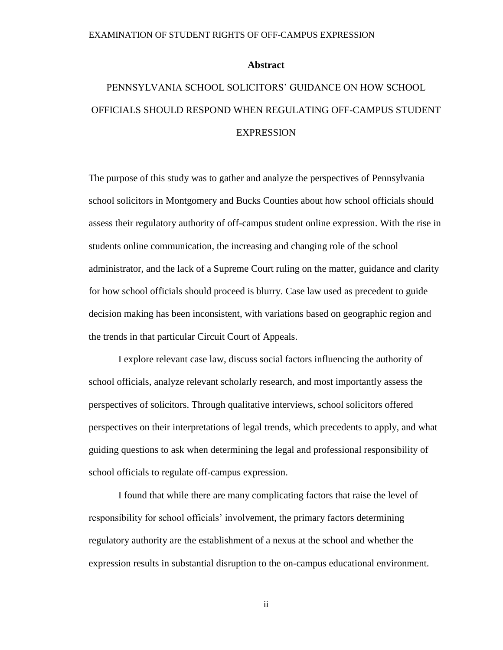## **Abstract**

# <span id="page-4-0"></span>PENNSYLVANIA SCHOOL SOLICITORS' GUIDANCE ON HOW SCHOOL OFFICIALS SHOULD RESPOND WHEN REGULATING OFF-CAMPUS STUDENT **EXPRESSION**

The purpose of this study was to gather and analyze the perspectives of Pennsylvania school solicitors in Montgomery and Bucks Counties about how school officials should assess their regulatory authority of off-campus student online expression. With the rise in students online communication, the increasing and changing role of the school administrator, and the lack of a Supreme Court ruling on the matter, guidance and clarity for how school officials should proceed is blurry. Case law used as precedent to guide decision making has been inconsistent, with variations based on geographic region and the trends in that particular Circuit Court of Appeals.

I explore relevant case law, discuss social factors influencing the authority of school officials, analyze relevant scholarly research, and most importantly assess the perspectives of solicitors. Through qualitative interviews, school solicitors offered perspectives on their interpretations of legal trends, which precedents to apply, and what guiding questions to ask when determining the legal and professional responsibility of school officials to regulate off-campus expression.

I found that while there are many complicating factors that raise the level of responsibility for school officials' involvement, the primary factors determining regulatory authority are the establishment of a nexus at the school and whether the expression results in substantial disruption to the on-campus educational environment.

ii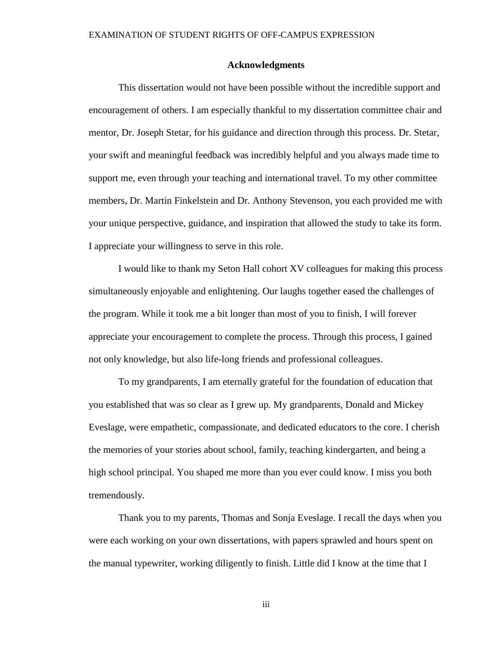## **Acknowledgments**

<span id="page-5-0"></span>This dissertation would not have been possible without the incredible support and encouragement of others. I am especially thankful to my dissertation committee chair and mentor, Dr. Joseph Stetar, for his guidance and direction through this process. Dr. Stetar, your swift and meaningful feedback was incredibly helpful and you always made time to support me, even through your teaching and international travel. To my other committee members, Dr. Martin Finkelstein and Dr. Anthony Stevenson, you each provided me with your unique perspective, guidance, and inspiration that allowed the study to take its form. I appreciate your willingness to serve in this role.

I would like to thank my Seton Hall cohort XV colleagues for making this process simultaneously enjoyable and enlightening. Our laughs together eased the challenges of the program. While it took me a bit longer than most of you to finish, I will forever appreciate your encouragement to complete the process. Through this process, I gained not only knowledge, but also life-long friends and professional colleagues.

To my grandparents, I am eternally grateful for the foundation of education that you established that was so clear as I grew up. My grandparents, Donald and Mickey Eveslage, were empathetic, compassionate, and dedicated educators to the core. I cherish the memories of your stories about school, family, teaching kindergarten, and being a high school principal. You shaped me more than you ever could know. I miss you both tremendously.

Thank you to my parents, Thomas and Sonja Eveslage. I recall the days when you were each working on your own dissertations, with papers sprawled and hours spent on the manual typewriter, working diligently to finish. Little did I know at the time that I

iii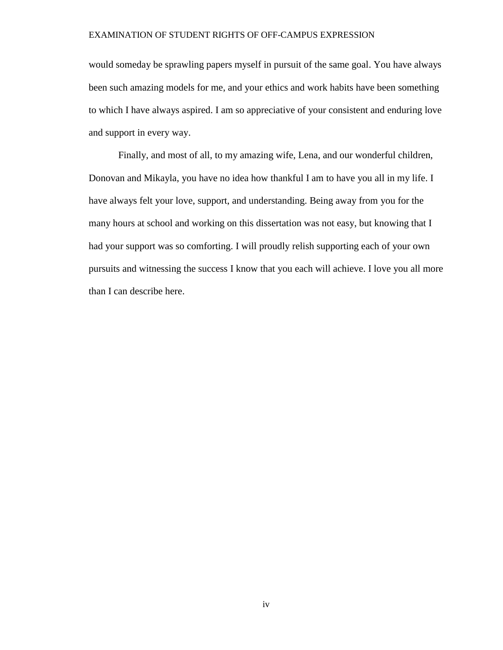would someday be sprawling papers myself in pursuit of the same goal. You have always been such amazing models for me, and your ethics and work habits have been something to which I have always aspired. I am so appreciative of your consistent and enduring love and support in every way.

Finally, and most of all, to my amazing wife, Lena, and our wonderful children, Donovan and Mikayla, you have no idea how thankful I am to have you all in my life. I have always felt your love, support, and understanding. Being away from you for the many hours at school and working on this dissertation was not easy, but knowing that I had your support was so comforting. I will proudly relish supporting each of your own pursuits and witnessing the success I know that you each will achieve. I love you all more than I can describe here.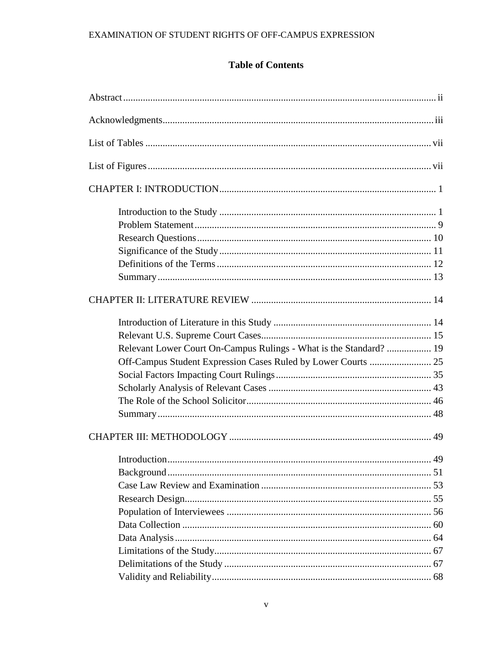# **Table of Contents**

| Relevant Lower Court On-Campus Rulings - What is the Standard?  19 |  |
|--------------------------------------------------------------------|--|
|                                                                    |  |
|                                                                    |  |
|                                                                    |  |
|                                                                    |  |
|                                                                    |  |
|                                                                    |  |
| 49                                                                 |  |
|                                                                    |  |
|                                                                    |  |
|                                                                    |  |
|                                                                    |  |
|                                                                    |  |
|                                                                    |  |
|                                                                    |  |
|                                                                    |  |
|                                                                    |  |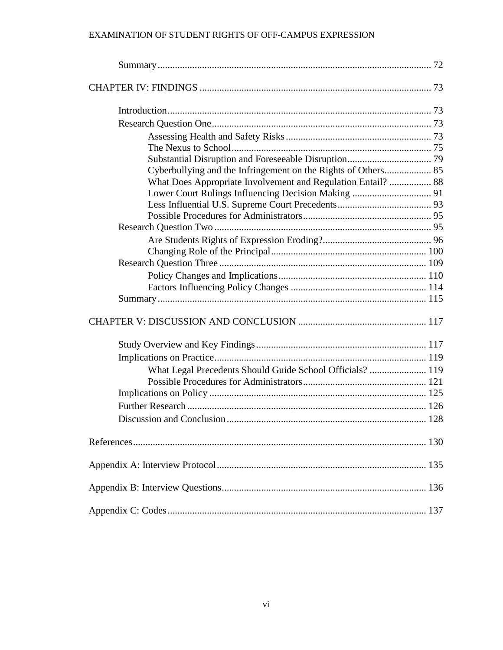| Cyberbullying and the Infringement on the Rights of Others 85 |  |
|---------------------------------------------------------------|--|
| What Does Appropriate Involvement and Regulation Entail?  88  |  |
|                                                               |  |
|                                                               |  |
|                                                               |  |
|                                                               |  |
|                                                               |  |
|                                                               |  |
|                                                               |  |
|                                                               |  |
|                                                               |  |
|                                                               |  |
|                                                               |  |
|                                                               |  |
|                                                               |  |
| What Legal Precedents Should Guide School Officials?  119     |  |
|                                                               |  |
|                                                               |  |
|                                                               |  |
|                                                               |  |
|                                                               |  |
|                                                               |  |
|                                                               |  |
|                                                               |  |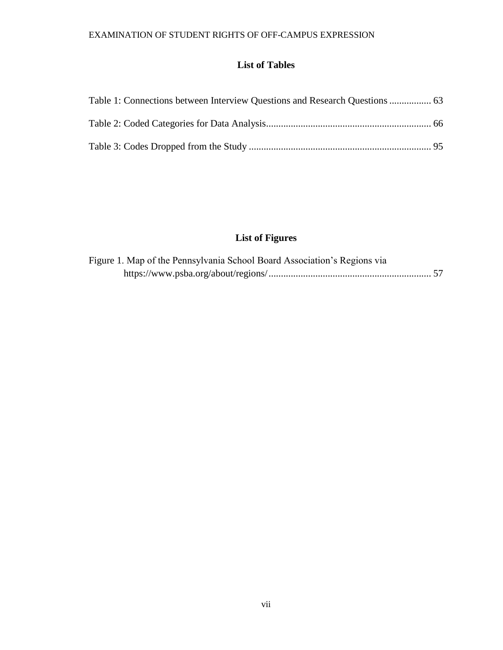# **List of Tables**

<span id="page-9-0"></span>

| Table 1: Connections between Interview Questions and Research Questions  63 |  |
|-----------------------------------------------------------------------------|--|
|                                                                             |  |
|                                                                             |  |

# **List of Figures**

<span id="page-9-1"></span>

| Figure 1. Map of the Pennsylvania School Board Association's Regions via |  |
|--------------------------------------------------------------------------|--|
|                                                                          |  |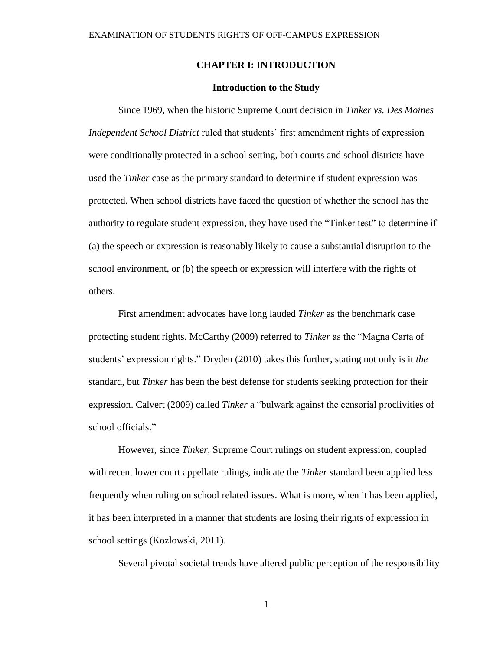# **CHAPTER I: INTRODUCTION**

## **Introduction to the Study**

<span id="page-10-1"></span><span id="page-10-0"></span>Since 1969, when the historic Supreme Court decision in *Tinker vs. Des Moines Independent School District* ruled that students' first amendment rights of expression were conditionally protected in a school setting, both courts and school districts have used the *Tinker* case as the primary standard to determine if student expression was protected. When school districts have faced the question of whether the school has the authority to regulate student expression, they have used the "Tinker test" to determine if (a) the speech or expression is reasonably likely to cause a substantial disruption to the school environment, or (b) the speech or expression will interfere with the rights of others.

First amendment advocates have long lauded *Tinker* as the benchmark case protecting student rights. McCarthy (2009) referred to *Tinker* as the "Magna Carta of students' expression rights." Dryden (2010) takes this further, stating not only is it *the*  standard, but *Tinker* has been the best defense for students seeking protection for their expression. Calvert (2009) called *Tinker* a "bulwark against the censorial proclivities of school officials."

However, since *Tinker,* Supreme Court rulings on student expression, coupled with recent lower court appellate rulings, indicate the *Tinker* standard been applied less frequently when ruling on school related issues. What is more, when it has been applied, it has been interpreted in a manner that students are losing their rights of expression in school settings (Kozlowski, 2011).

Several pivotal societal trends have altered public perception of the responsibility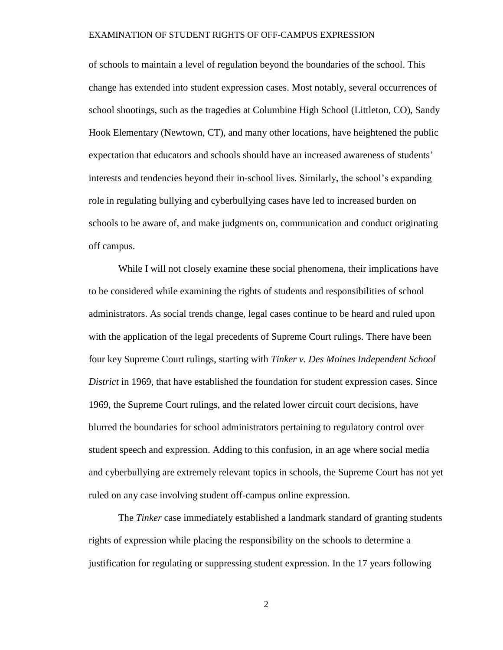of schools to maintain a level of regulation beyond the boundaries of the school. This change has extended into student expression cases. Most notably, several occurrences of school shootings, such as the tragedies at Columbine High School (Littleton, CO), Sandy Hook Elementary (Newtown, CT), and many other locations, have heightened the public expectation that educators and schools should have an increased awareness of students' interests and tendencies beyond their in-school lives. Similarly, the school's expanding role in regulating bullying and cyberbullying cases have led to increased burden on schools to be aware of, and make judgments on, communication and conduct originating off campus.

While I will not closely examine these social phenomena, their implications have to be considered while examining the rights of students and responsibilities of school administrators. As social trends change, legal cases continue to be heard and ruled upon with the application of the legal precedents of Supreme Court rulings. There have been four key Supreme Court rulings, starting with *Tinker v. Des Moines Independent School District* in 1969, that have established the foundation for student expression cases. Since 1969, the Supreme Court rulings, and the related lower circuit court decisions, have blurred the boundaries for school administrators pertaining to regulatory control over student speech and expression. Adding to this confusion, in an age where social media and cyberbullying are extremely relevant topics in schools, the Supreme Court has not yet ruled on any case involving student off-campus online expression.

The *Tinker* case immediately established a landmark standard of granting students rights of expression while placing the responsibility on the schools to determine a justification for regulating or suppressing student expression. In the 17 years following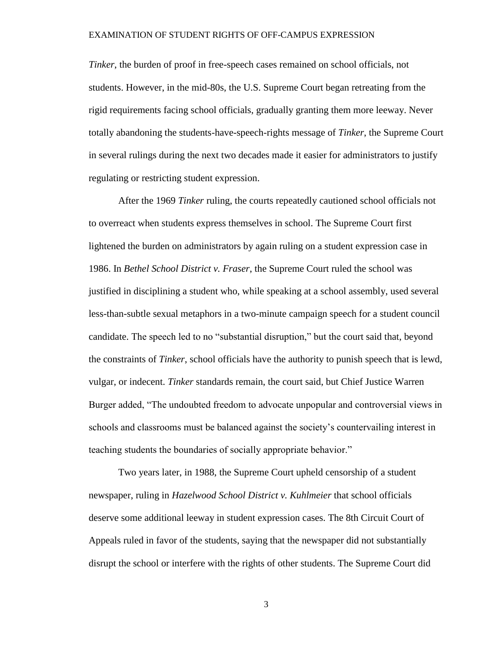*Tinker*, the burden of proof in free-speech cases remained on school officials, not students. However, in the mid-80s, the U.S. Supreme Court began retreating from the rigid requirements facing school officials, gradually granting them more leeway. Never totally abandoning the students-have-speech-rights message of *Tinker*, the Supreme Court in several rulings during the next two decades made it easier for administrators to justify regulating or restricting student expression.

After the 1969 *Tinker* ruling, the courts repeatedly cautioned school officials not to overreact when students express themselves in school. The Supreme Court first lightened the burden on administrators by again ruling on a student expression case in 1986. In *Bethel School District v. Fraser*, the Supreme Court ruled the school was justified in disciplining a student who, while speaking at a school assembly, used several less-than-subtle sexual metaphors in a two-minute campaign speech for a student council candidate. The speech led to no "substantial disruption," but the court said that, beyond the constraints of *Tinker*, school officials have the authority to punish speech that is lewd, vulgar, or indecent. *Tinker* standards remain, the court said, but Chief Justice Warren Burger added, "The undoubted freedom to advocate unpopular and controversial views in schools and classrooms must be balanced against the society's countervailing interest in teaching students the boundaries of socially appropriate behavior."

Two years later, in 1988, the Supreme Court upheld censorship of a student newspaper, ruling in *Hazelwood School District v. Kuhlmeier* that school officials deserve some additional leeway in student expression cases. The 8th Circuit Court of Appeals ruled in favor of the students, saying that the newspaper did not substantially disrupt the school or interfere with the rights of other students. The Supreme Court did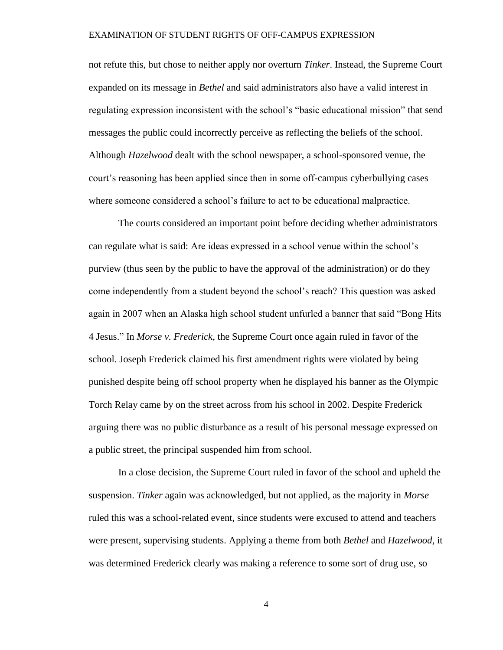not refute this, but chose to neither apply nor overturn *Tinker*. Instead, the Supreme Court expanded on its message in *Bethel* and said administrators also have a valid interest in regulating expression inconsistent with the school's "basic educational mission" that send messages the public could incorrectly perceive as reflecting the beliefs of the school. Although *Hazelwood* dealt with the school newspaper, a school-sponsored venue, the court's reasoning has been applied since then in some off-campus cyberbullying cases where someone considered a school's failure to act to be educational malpractice.

The courts considered an important point before deciding whether administrators can regulate what is said: Are ideas expressed in a school venue within the school's purview (thus seen by the public to have the approval of the administration) or do they come independently from a student beyond the school's reach? This question was asked again in 2007 when an Alaska high school student unfurled a banner that said "Bong Hits 4 Jesus." In *Morse v. Frederick*, the Supreme Court once again ruled in favor of the school. Joseph Frederick claimed his first amendment rights were violated by being punished despite being off school property when he displayed his banner as the Olympic Torch Relay came by on the street across from his school in 2002. Despite Frederick arguing there was no public disturbance as a result of his personal message expressed on a public street, the principal suspended him from school.

In a close decision, the Supreme Court ruled in favor of the school and upheld the suspension. *Tinker* again was acknowledged, but not applied, as the majority in *Morse* ruled this was a school-related event, since students were excused to attend and teachers were present, supervising students. Applying a theme from both *Bethel* and *Hazelwood*, it was determined Frederick clearly was making a reference to some sort of drug use, so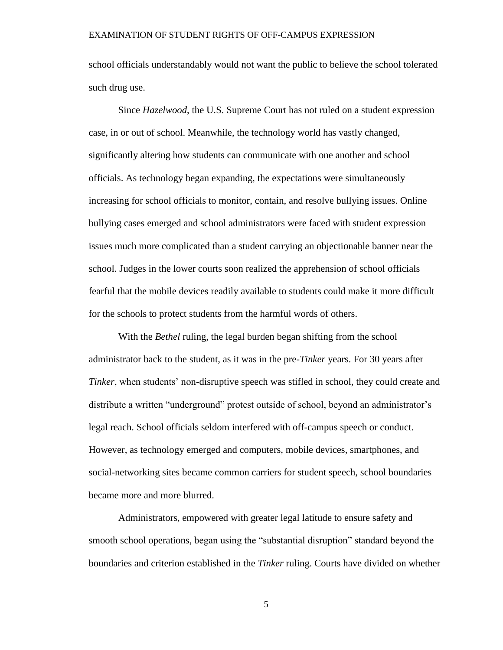school officials understandably would not want the public to believe the school tolerated such drug use.

Since *Hazelwood*, the U.S. Supreme Court has not ruled on a student expression case, in or out of school. Meanwhile, the technology world has vastly changed, significantly altering how students can communicate with one another and school officials. As technology began expanding, the expectations were simultaneously increasing for school officials to monitor, contain, and resolve bullying issues. Online bullying cases emerged and school administrators were faced with student expression issues much more complicated than a student carrying an objectionable banner near the school. Judges in the lower courts soon realized the apprehension of school officials fearful that the mobile devices readily available to students could make it more difficult for the schools to protect students from the harmful words of others.

With the *Bethel* ruling, the legal burden began shifting from the school administrator back to the student, as it was in the pre-*Tinker* years. For 30 years after *Tinker*, when students' non-disruptive speech was stifled in school, they could create and distribute a written "underground" protest outside of school, beyond an administrator's legal reach. School officials seldom interfered with off-campus speech or conduct. However, as technology emerged and computers, mobile devices, smartphones, and social-networking sites became common carriers for student speech, school boundaries became more and more blurred.

Administrators, empowered with greater legal latitude to ensure safety and smooth school operations, began using the "substantial disruption" standard beyond the boundaries and criterion established in the *Tinker* ruling. Courts have divided on whether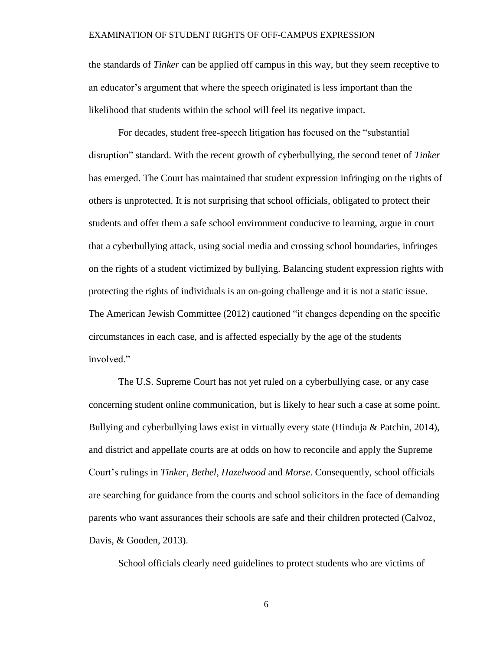the standards of *Tinker* can be applied off campus in this way, but they seem receptive to an educator's argument that where the speech originated is less important than the likelihood that students within the school will feel its negative impact.

For decades, student free-speech litigation has focused on the "substantial disruption" standard. With the recent growth of cyberbullying, the second tenet of *Tinker* has emerged. The Court has maintained that student expression infringing on the rights of others is unprotected. It is not surprising that school officials, obligated to protect their students and offer them a safe school environment conducive to learning, argue in court that a cyberbullying attack, using social media and crossing school boundaries, infringes on the rights of a student victimized by bullying. Balancing student expression rights with protecting the rights of individuals is an on-going challenge and it is not a static issue. The American Jewish Committee (2012) cautioned "it changes depending on the specific circumstances in each case, and is affected especially by the age of the students involved."

The U.S. Supreme Court has not yet ruled on a cyberbullying case, or any case concerning student online communication, but is likely to hear such a case at some point. Bullying and cyberbullying laws exist in virtually every state (Hinduja & Patchin, 2014), and district and appellate courts are at odds on how to reconcile and apply the Supreme Court's rulings in *Tinker, Bethel, Hazelwood* and *Morse*. Consequently, school officials are searching for guidance from the courts and school solicitors in the face of demanding parents who want assurances their schools are safe and their children protected (Calvoz, Davis, & Gooden, 2013).

School officials clearly need guidelines to protect students who are victims of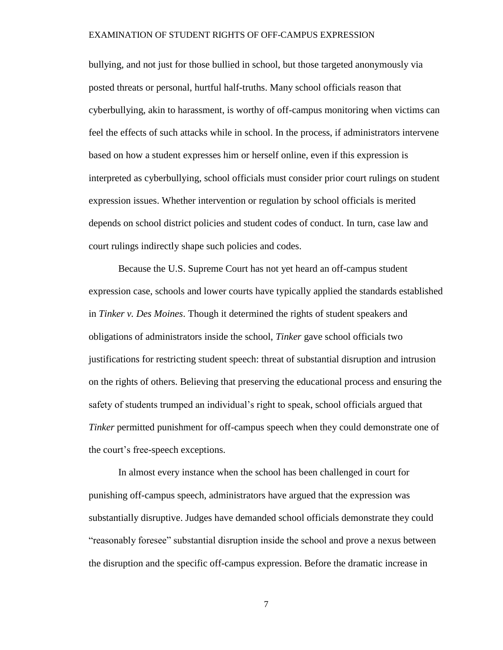bullying, and not just for those bullied in school, but those targeted anonymously via posted threats or personal, hurtful half-truths. Many school officials reason that cyberbullying, akin to harassment, is worthy of off-campus monitoring when victims can feel the effects of such attacks while in school. In the process, if administrators intervene based on how a student expresses him or herself online, even if this expression is interpreted as cyberbullying, school officials must consider prior court rulings on student expression issues. Whether intervention or regulation by school officials is merited depends on school district policies and student codes of conduct. In turn, case law and court rulings indirectly shape such policies and codes.

Because the U.S. Supreme Court has not yet heard an off-campus student expression case, schools and lower courts have typically applied the standards established in *Tinker v. Des Moines*. Though it determined the rights of student speakers and obligations of administrators inside the school, *Tinker* gave school officials two justifications for restricting student speech: threat of substantial disruption and intrusion on the rights of others. Believing that preserving the educational process and ensuring the safety of students trumped an individual's right to speak, school officials argued that *Tinker* permitted punishment for off-campus speech when they could demonstrate one of the court's free-speech exceptions.

In almost every instance when the school has been challenged in court for punishing off-campus speech, administrators have argued that the expression was substantially disruptive. Judges have demanded school officials demonstrate they could "reasonably foresee" substantial disruption inside the school and prove a nexus between the disruption and the specific off-campus expression. Before the dramatic increase in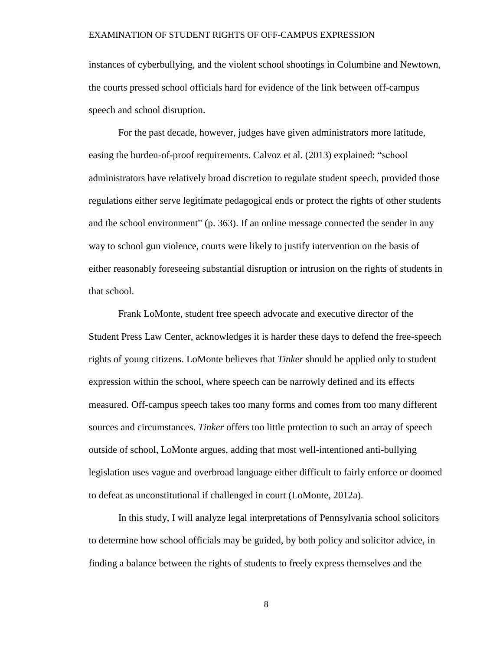instances of cyberbullying, and the violent school shootings in Columbine and Newtown, the courts pressed school officials hard for evidence of the link between off-campus speech and school disruption.

For the past decade, however, judges have given administrators more latitude, easing the burden-of-proof requirements. Calvoz et al. (2013) explained: "school administrators have relatively broad discretion to regulate student speech, provided those regulations either serve legitimate pedagogical ends or protect the rights of other students and the school environment" (p. 363). If an online message connected the sender in any way to school gun violence, courts were likely to justify intervention on the basis of either reasonably foreseeing substantial disruption or intrusion on the rights of students in that school.

Frank LoMonte, student free speech advocate and executive director of the Student Press Law Center, acknowledges it is harder these days to defend the free-speech rights of young citizens. LoMonte believes that *Tinker* should be applied only to student expression within the school, where speech can be narrowly defined and its effects measured. Off-campus speech takes too many forms and comes from too many different sources and circumstances. *Tinker* offers too little protection to such an array of speech outside of school, LoMonte argues, adding that most well-intentioned anti-bullying legislation uses vague and overbroad language either difficult to fairly enforce or doomed to defeat as unconstitutional if challenged in court (LoMonte, 2012a).

In this study, I will analyze legal interpretations of Pennsylvania school solicitors to determine how school officials may be guided, by both policy and solicitor advice, in finding a balance between the rights of students to freely express themselves and the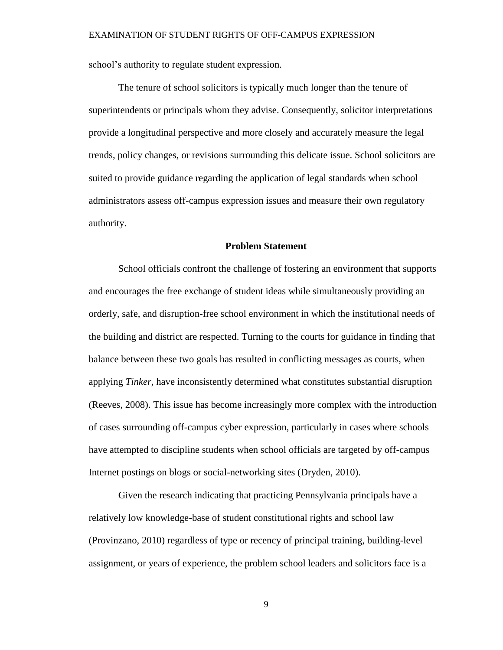school's authority to regulate student expression.

The tenure of school solicitors is typically much longer than the tenure of superintendents or principals whom they advise. Consequently, solicitor interpretations provide a longitudinal perspective and more closely and accurately measure the legal trends, policy changes, or revisions surrounding this delicate issue. School solicitors are suited to provide guidance regarding the application of legal standards when school administrators assess off-campus expression issues and measure their own regulatory authority.

### **Problem Statement**

<span id="page-18-0"></span>School officials confront the challenge of fostering an environment that supports and encourages the free exchange of student ideas while simultaneously providing an orderly, safe, and disruption-free school environment in which the institutional needs of the building and district are respected. Turning to the courts for guidance in finding that balance between these two goals has resulted in conflicting messages as courts, when applying *Tinker*, have inconsistently determined what constitutes substantial disruption (Reeves, 2008). This issue has become increasingly more complex with the introduction of cases surrounding off-campus cyber expression, particularly in cases where schools have attempted to discipline students when school officials are targeted by off-campus Internet postings on blogs or social-networking sites (Dryden, 2010).

Given the research indicating that practicing Pennsylvania principals have a relatively low knowledge-base of student constitutional rights and school law (Provinzano, 2010) regardless of type or recency of principal training, building-level assignment, or years of experience, the problem school leaders and solicitors face is a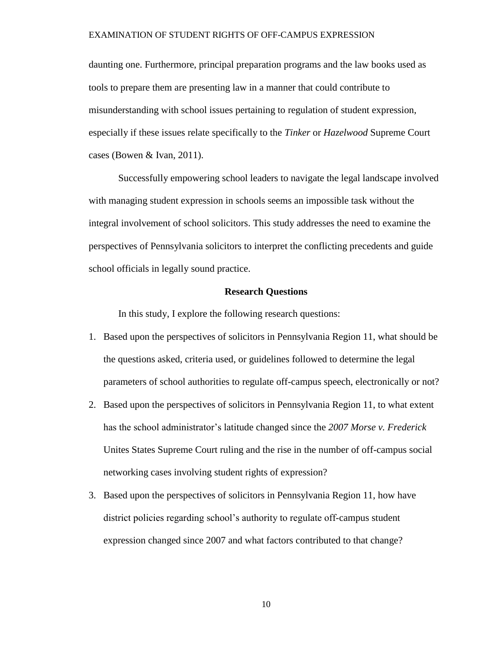daunting one. Furthermore, principal preparation programs and the law books used as tools to prepare them are presenting law in a manner that could contribute to misunderstanding with school issues pertaining to regulation of student expression, especially if these issues relate specifically to the *Tinker* or *Hazelwood* Supreme Court cases (Bowen & Ivan, 2011).

Successfully empowering school leaders to navigate the legal landscape involved with managing student expression in schools seems an impossible task without the integral involvement of school solicitors. This study addresses the need to examine the perspectives of Pennsylvania solicitors to interpret the conflicting precedents and guide school officials in legally sound practice.

# **Research Questions**

<span id="page-19-0"></span>In this study, I explore the following research questions:

- 1. Based upon the perspectives of solicitors in Pennsylvania Region 11, what should be the questions asked, criteria used, or guidelines followed to determine the legal parameters of school authorities to regulate off-campus speech, electronically or not?
- 2. Based upon the perspectives of solicitors in Pennsylvania Region 11, to what extent has the school administrator's latitude changed since the *2007 Morse v. Frederick* Unites States Supreme Court ruling and the rise in the number of off-campus social networking cases involving student rights of expression?
- 3. Based upon the perspectives of solicitors in Pennsylvania Region 11, how have district policies regarding school's authority to regulate off-campus student expression changed since 2007 and what factors contributed to that change?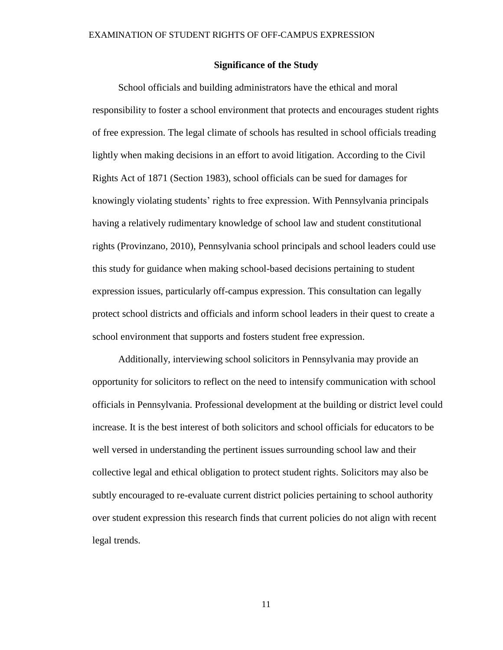## **Significance of the Study**

<span id="page-20-0"></span>School officials and building administrators have the ethical and moral responsibility to foster a school environment that protects and encourages student rights of free expression. The legal climate of schools has resulted in school officials treading lightly when making decisions in an effort to avoid litigation. According to the Civil Rights Act of 1871 (Section 1983), school officials can be sued for damages for knowingly violating students' rights to free expression. With Pennsylvania principals having a relatively rudimentary knowledge of school law and student constitutional rights (Provinzano, 2010), Pennsylvania school principals and school leaders could use this study for guidance when making school-based decisions pertaining to student expression issues, particularly off-campus expression. This consultation can legally protect school districts and officials and inform school leaders in their quest to create a school environment that supports and fosters student free expression.

Additionally, interviewing school solicitors in Pennsylvania may provide an opportunity for solicitors to reflect on the need to intensify communication with school officials in Pennsylvania. Professional development at the building or district level could increase. It is the best interest of both solicitors and school officials for educators to be well versed in understanding the pertinent issues surrounding school law and their collective legal and ethical obligation to protect student rights. Solicitors may also be subtly encouraged to re-evaluate current district policies pertaining to school authority over student expression this research finds that current policies do not align with recent legal trends.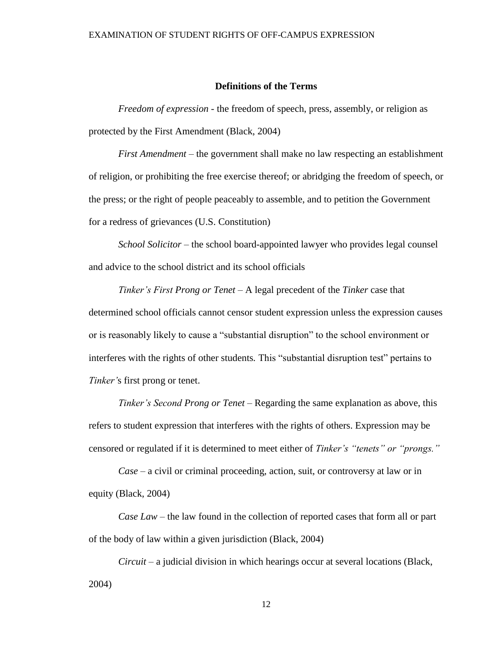# **Definitions of the Terms**

<span id="page-21-0"></span>*Freedom of expression* - the freedom of speech, press, assembly, or religion as protected by the First Amendment (Black, 2004)

*First Amendment* – the government shall make no law respecting an establishment of religion, or prohibiting the free exercise thereof; or abridging the freedom of speech, or the press; or the right of people peaceably to assemble, and to petition the Government for a redress of grievances (U.S. Constitution)

*School Solicitor –* the school board-appointed lawyer who provides legal counsel and advice to the school district and its school officials

*Tinker's First Prong or Tenet –* A legal precedent of the *Tinker* case that determined school officials cannot censor student expression unless the expression causes or is reasonably likely to cause a "substantial disruption" to the school environment or interferes with the rights of other students*.* This "substantial disruption test" pertains to *Tinker'*s first prong or tenet.

*Tinker's Second Prong or Tenet –* Regarding the same explanation as above, this refers to student expression that interferes with the rights of others. Expression may be censored or regulated if it is determined to meet either of *Tinker's "tenets" or "prongs."*

*Case –* a civil or criminal proceeding, action, suit, or controversy at law or in equity (Black, 2004)

*Case Law –* the law found in the collection of reported cases that form all or part of the body of law within a given jurisdiction (Black, 2004)

*Circuit –* a judicial division in which hearings occur at several locations (Black, 2004)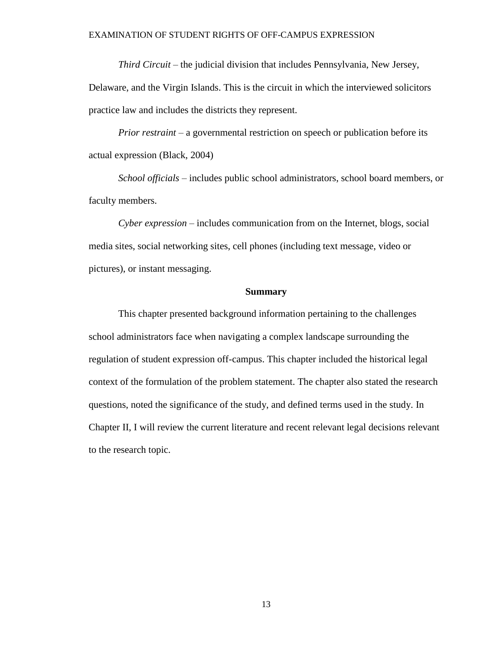*Third Circuit –* the judicial division that includes Pennsylvania, New Jersey,

Delaware, and the Virgin Islands. This is the circuit in which the interviewed solicitors practice law and includes the districts they represent.

*Prior restraint* – a governmental restriction on speech or publication before its actual expression (Black, 2004)

*School officials –* includes public school administrators, school board members, or faculty members.

*Cyber expression –* includes communication from on the Internet, blogs, social media sites, social networking sites, cell phones (including text message, video or pictures), or instant messaging.

# **Summary**

<span id="page-22-0"></span>This chapter presented background information pertaining to the challenges school administrators face when navigating a complex landscape surrounding the regulation of student expression off-campus. This chapter included the historical legal context of the formulation of the problem statement. The chapter also stated the research questions, noted the significance of the study, and defined terms used in the study. In Chapter II, I will review the current literature and recent relevant legal decisions relevant to the research topic.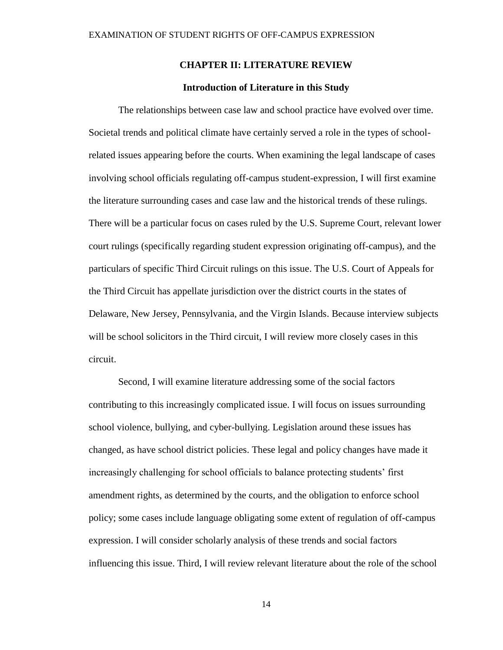# **CHAPTER II: LITERATURE REVIEW**

# **Introduction of Literature in this Study**

<span id="page-23-1"></span><span id="page-23-0"></span>The relationships between case law and school practice have evolved over time. Societal trends and political climate have certainly served a role in the types of schoolrelated issues appearing before the courts. When examining the legal landscape of cases involving school officials regulating off-campus student-expression, I will first examine the literature surrounding cases and case law and the historical trends of these rulings. There will be a particular focus on cases ruled by the U.S. Supreme Court, relevant lower court rulings (specifically regarding student expression originating off-campus), and the particulars of specific Third Circuit rulings on this issue. The U.S. Court of Appeals for the Third Circuit has appellate jurisdiction over the district courts in the states of Delaware, New Jersey, Pennsylvania, and the Virgin Islands. Because interview subjects will be school solicitors in the Third circuit, I will review more closely cases in this circuit.

Second, I will examine literature addressing some of the social factors contributing to this increasingly complicated issue. I will focus on issues surrounding school violence, bullying, and cyber-bullying. Legislation around these issues has changed, as have school district policies. These legal and policy changes have made it increasingly challenging for school officials to balance protecting students' first amendment rights, as determined by the courts, and the obligation to enforce school policy; some cases include language obligating some extent of regulation of off-campus expression. I will consider scholarly analysis of these trends and social factors influencing this issue. Third, I will review relevant literature about the role of the school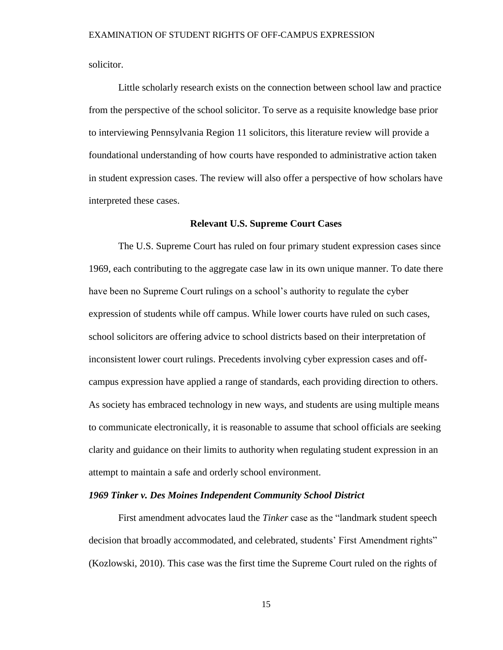solicitor.

Little scholarly research exists on the connection between school law and practice from the perspective of the school solicitor. To serve as a requisite knowledge base prior to interviewing Pennsylvania Region 11 solicitors, this literature review will provide a foundational understanding of how courts have responded to administrative action taken in student expression cases. The review will also offer a perspective of how scholars have interpreted these cases.

## **Relevant U.S. Supreme Court Cases**

<span id="page-24-0"></span>The U.S. Supreme Court has ruled on four primary student expression cases since 1969, each contributing to the aggregate case law in its own unique manner. To date there have been no Supreme Court rulings on a school's authority to regulate the cyber expression of students while off campus. While lower courts have ruled on such cases, school solicitors are offering advice to school districts based on their interpretation of inconsistent lower court rulings. Precedents involving cyber expression cases and offcampus expression have applied a range of standards, each providing direction to others. As society has embraced technology in new ways, and students are using multiple means to communicate electronically, it is reasonable to assume that school officials are seeking clarity and guidance on their limits to authority when regulating student expression in an attempt to maintain a safe and orderly school environment.

# *1969 Tinker v. Des Moines Independent Community School District*

First amendment advocates laud the *Tinker* case as the "landmark student speech decision that broadly accommodated, and celebrated, students' First Amendment rights" (Kozlowski, 2010). This case was the first time the Supreme Court ruled on the rights of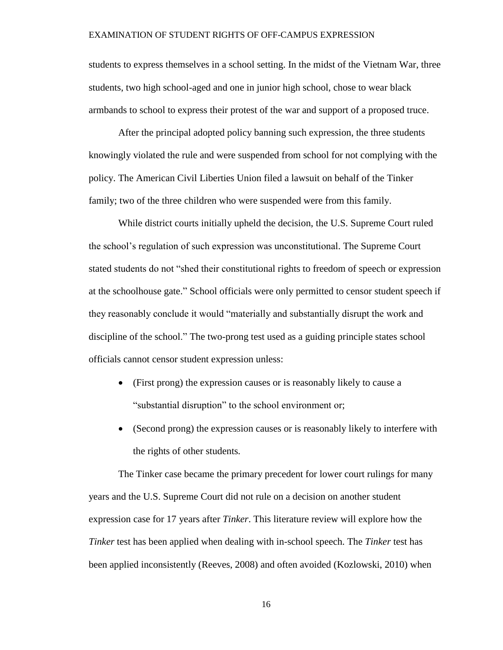students to express themselves in a school setting. In the midst of the Vietnam War, three students, two high school-aged and one in junior high school, chose to wear black armbands to school to express their protest of the war and support of a proposed truce.

After the principal adopted policy banning such expression, the three students knowingly violated the rule and were suspended from school for not complying with the policy. The American Civil Liberties Union filed a lawsuit on behalf of the Tinker family; two of the three children who were suspended were from this family.

While district courts initially upheld the decision, the U.S. Supreme Court ruled the school's regulation of such expression was unconstitutional. The Supreme Court stated students do not "shed their constitutional rights to freedom of speech or expression at the schoolhouse gate." School officials were only permitted to censor student speech if they reasonably conclude it would "materially and substantially disrupt the work and discipline of the school." The two-prong test used as a guiding principle states school officials cannot censor student expression unless:

- (First prong) the expression causes or is reasonably likely to cause a "substantial disruption" to the school environment or;
- (Second prong) the expression causes or is reasonably likely to interfere with the rights of other students*.*

The Tinker case became the primary precedent for lower court rulings for many years and the U.S. Supreme Court did not rule on a decision on another student expression case for 17 years after *Tinker*. This literature review will explore how the *Tinker* test has been applied when dealing with in-school speech. The *Tinker* test has been applied inconsistently (Reeves, 2008) and often avoided (Kozlowski, 2010) when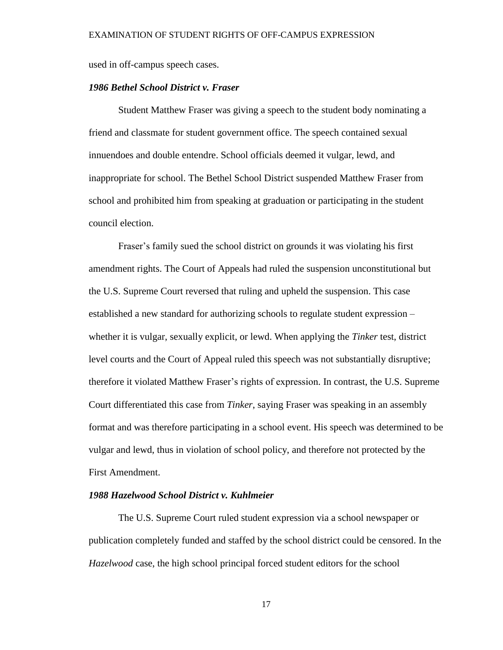used in off-campus speech cases.

# *1986 Bethel School District v. Fraser*

Student Matthew Fraser was giving a speech to the student body nominating a friend and classmate for student government office. The speech contained sexual innuendoes and double entendre. School officials deemed it vulgar, lewd, and inappropriate for school. The Bethel School District suspended Matthew Fraser from school and prohibited him from speaking at graduation or participating in the student council election.

Fraser's family sued the school district on grounds it was violating his first amendment rights. The Court of Appeals had ruled the suspension unconstitutional but the U.S. Supreme Court reversed that ruling and upheld the suspension. This case established a new standard for authorizing schools to regulate student expression – whether it is vulgar, sexually explicit, or lewd. When applying the *Tinker* test, district level courts and the Court of Appeal ruled this speech was not substantially disruptive; therefore it violated Matthew Fraser's rights of expression. In contrast, the U.S. Supreme Court differentiated this case from *Tinker*, saying Fraser was speaking in an assembly format and was therefore participating in a school event. His speech was determined to be vulgar and lewd, thus in violation of school policy, and therefore not protected by the First Amendment.

# *1988 Hazelwood School District v. Kuhlmeier*

The U.S. Supreme Court ruled student expression via a school newspaper or publication completely funded and staffed by the school district could be censored. In the *Hazelwood* case, the high school principal forced student editors for the school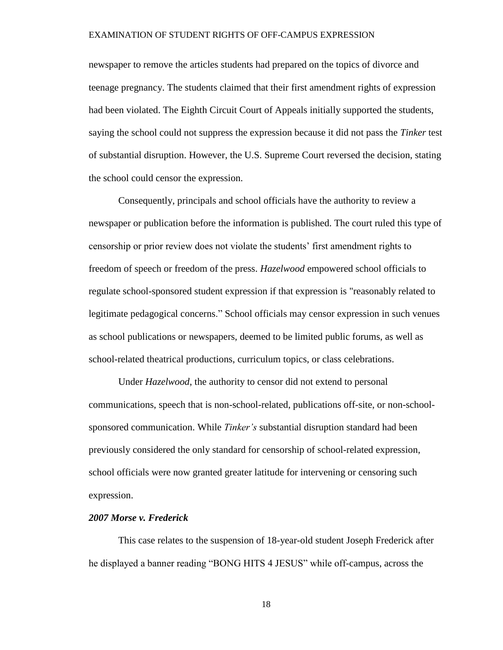newspaper to remove the articles students had prepared on the topics of divorce and teenage pregnancy. The students claimed that their first amendment rights of expression had been violated. The Eighth Circuit Court of Appeals initially supported the students, saying the school could not suppress the expression because it did not pass the *Tinker* test of substantial disruption. However, the U.S. Supreme Court reversed the decision, stating the school could censor the expression.

Consequently, principals and school officials have the authority to review a newspaper or publication before the information is published. The court ruled this type of censorship or prior review does not violate the students' first amendment rights to freedom of speech or freedom of the press. *Hazelwood* empowered school officials to regulate school-sponsored student expression if that expression is "reasonably related to legitimate pedagogical concerns." School officials may censor expression in such venues as school publications or newspapers, deemed to be limited public forums, as well as school-related theatrical productions, curriculum topics, or class celebrations.

Under *Hazelwood*, the authority to censor did not extend to personal communications, speech that is non-school-related, publications off-site, or non-schoolsponsored communication. While *Tinker's* substantial disruption standard had been previously considered the only standard for censorship of school-related expression, school officials were now granted greater latitude for intervening or censoring such expression.

## *2007 Morse v. Frederick*

This case relates to the suspension of 18-year-old student Joseph Frederick after he displayed a banner reading "BONG HITS 4 JESUS" while off-campus, across the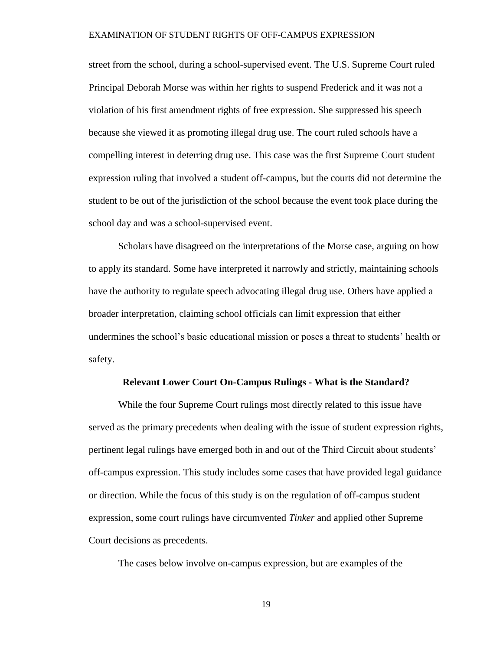street from the school, during a school-supervised event. The U.S. Supreme Court ruled Principal Deborah Morse was within her rights to suspend Frederick and it was not a violation of his first amendment rights of free expression. She suppressed his speech because she viewed it as promoting illegal drug use. The court ruled schools have a compelling interest in deterring drug use. This case was the first Supreme Court student expression ruling that involved a student off-campus, but the courts did not determine the student to be out of the jurisdiction of the school because the event took place during the school day and was a school-supervised event.

Scholars have disagreed on the interpretations of the Morse case, arguing on how to apply its standard. Some have interpreted it narrowly and strictly, maintaining schools have the authority to regulate speech advocating illegal drug use. Others have applied a broader interpretation, claiming school officials can limit expression that either undermines the school's basic educational mission or poses a threat to students' health or safety.

### **Relevant Lower Court On-Campus Rulings - What is the Standard?**

<span id="page-28-0"></span>While the four Supreme Court rulings most directly related to this issue have served as the primary precedents when dealing with the issue of student expression rights, pertinent legal rulings have emerged both in and out of the Third Circuit about students' off-campus expression. This study includes some cases that have provided legal guidance or direction. While the focus of this study is on the regulation of off-campus student expression, some court rulings have circumvented *Tinker* and applied other Supreme Court decisions as precedents.

The cases below involve on-campus expression, but are examples of the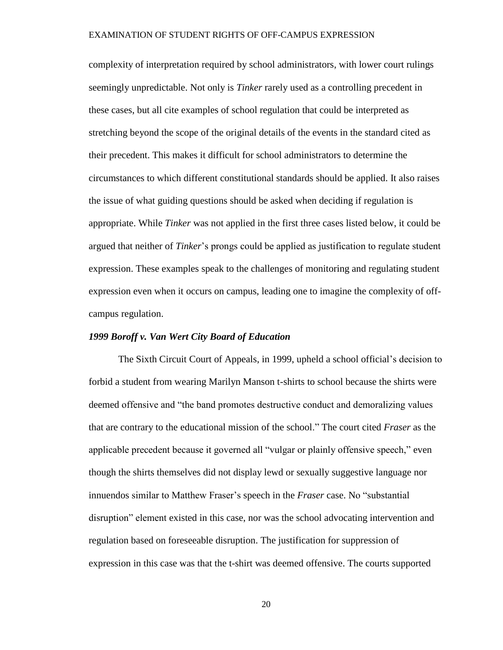complexity of interpretation required by school administrators, with lower court rulings seemingly unpredictable. Not only is *Tinker* rarely used as a controlling precedent in these cases, but all cite examples of school regulation that could be interpreted as stretching beyond the scope of the original details of the events in the standard cited as their precedent. This makes it difficult for school administrators to determine the circumstances to which different constitutional standards should be applied. It also raises the issue of what guiding questions should be asked when deciding if regulation is appropriate. While *Tinker* was not applied in the first three cases listed below, it could be argued that neither of *Tinker*'s prongs could be applied as justification to regulate student expression. These examples speak to the challenges of monitoring and regulating student expression even when it occurs on campus, leading one to imagine the complexity of offcampus regulation.

# *1999 Boroff v. Van Wert City Board of Education*

The Sixth Circuit Court of Appeals, in 1999, upheld a school official's decision to forbid a student from wearing Marilyn Manson t-shirts to school because the shirts were deemed offensive and "the band promotes destructive conduct and demoralizing values that are contrary to the educational mission of the school." The court cited *Fraser* as the applicable precedent because it governed all "vulgar or plainly offensive speech," even though the shirts themselves did not display lewd or sexually suggestive language nor innuendos similar to Matthew Fraser's speech in the *Fraser* case. No "substantial disruption" element existed in this case, nor was the school advocating intervention and regulation based on foreseeable disruption. The justification for suppression of expression in this case was that the t-shirt was deemed offensive. The courts supported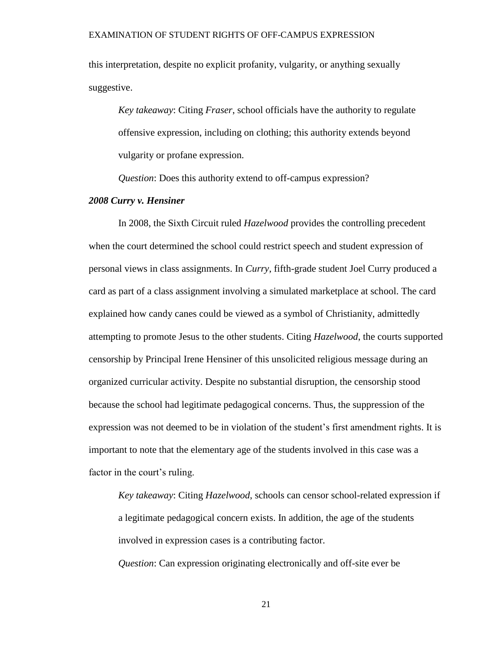this interpretation, despite no explicit profanity, vulgarity, or anything sexually suggestive.

*Key takeaway*: Citing *Fraser*, school officials have the authority to regulate offensive expression, including on clothing; this authority extends beyond vulgarity or profane expression.

*Question*: Does this authority extend to off-campus expression?

# *2008 Curry v. Hensiner*

In 2008, the Sixth Circuit ruled *Hazelwood* provides the controlling precedent when the court determined the school could restrict speech and student expression of personal views in class assignments. In *Curry*, fifth-grade student Joel Curry produced a card as part of a class assignment involving a simulated marketplace at school. The card explained how candy canes could be viewed as a symbol of Christianity, admittedly attempting to promote Jesus to the other students. Citing *Hazelwood*, the courts supported censorship by Principal Irene Hensiner of this unsolicited religious message during an organized curricular activity. Despite no substantial disruption, the censorship stood because the school had legitimate pedagogical concerns. Thus, the suppression of the expression was not deemed to be in violation of the student's first amendment rights. It is important to note that the elementary age of the students involved in this case was a factor in the court's ruling.

*Key takeaway*: Citing *Hazelwood*, schools can censor school-related expression if a legitimate pedagogical concern exists. In addition, the age of the students involved in expression cases is a contributing factor. *Question*: Can expression originating electronically and off-site ever be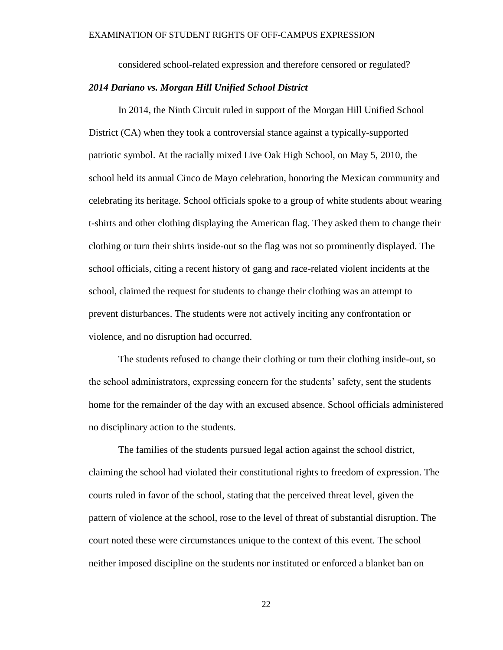considered school-related expression and therefore censored or regulated?

# *2014 Dariano vs. Morgan Hill Unified School District*

In 2014, the Ninth Circuit ruled in support of the Morgan Hill Unified School District (CA) when they took a controversial stance against a typically-supported patriotic symbol. At the racially mixed Live Oak High School, on May 5, 2010, the school held its annual Cinco de Mayo celebration, honoring the Mexican community and celebrating its heritage. School officials spoke to a group of white students about wearing t-shirts and other clothing displaying the American flag. They asked them to change their clothing or turn their shirts inside-out so the flag was not so prominently displayed. The school officials, citing a recent history of gang and race-related violent incidents at the school, claimed the request for students to change their clothing was an attempt to prevent disturbances. The students were not actively inciting any confrontation or violence, and no disruption had occurred.

The students refused to change their clothing or turn their clothing inside-out, so the school administrators, expressing concern for the students' safety, sent the students home for the remainder of the day with an excused absence. School officials administered no disciplinary action to the students.

The families of the students pursued legal action against the school district, claiming the school had violated their constitutional rights to freedom of expression. The courts ruled in favor of the school, stating that the perceived threat level, given the pattern of violence at the school, rose to the level of threat of substantial disruption. The court noted these were circumstances unique to the context of this event. The school neither imposed discipline on the students nor instituted or enforced a blanket ban on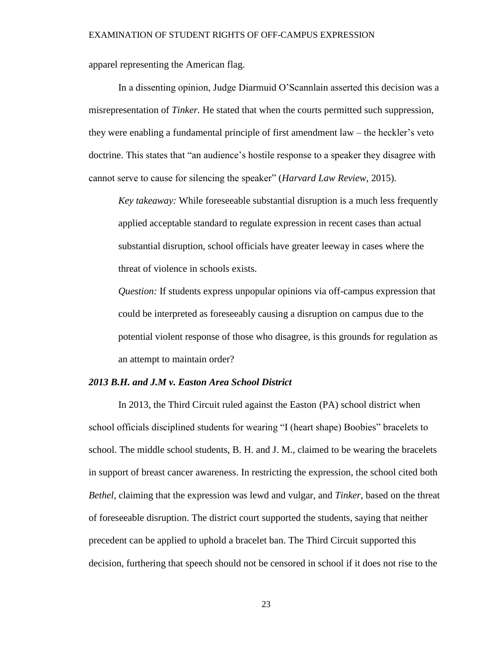apparel representing the American flag.

In a dissenting opinion, Judge Diarmuid O'Scannlain asserted this decision was a misrepresentation of *Tinker.* He stated that when the courts permitted such suppression, they were enabling a fundamental principle of first amendment law – the heckler's veto doctrine. This states that "an audience's hostile response to a speaker they disagree with cannot serve to cause for silencing the speaker" (*Harvard Law Review*, 2015).

*Key takeaway:* While foreseeable substantial disruption is a much less frequently applied acceptable standard to regulate expression in recent cases than actual substantial disruption, school officials have greater leeway in cases where the threat of violence in schools exists.

*Question:* If students express unpopular opinions via off-campus expression that could be interpreted as foreseeably causing a disruption on campus due to the potential violent response of those who disagree, is this grounds for regulation as an attempt to maintain order?

### *2013 B.H. and J.M v. Easton Area School District*

In 2013, the Third Circuit ruled against the Easton (PA) school district when school officials disciplined students for wearing "I (heart shape) Boobies" bracelets to school. The middle school students, B. H. and J. M., claimed to be wearing the bracelets in support of breast cancer awareness. In restricting the expression, the school cited both *Bethel,* claiming that the expression was lewd and vulgar, and *Tinker,* based on the threat of foreseeable disruption. The district court supported the students, saying that neither precedent can be applied to uphold a bracelet ban. The Third Circuit supported this decision, furthering that speech should not be censored in school if it does not rise to the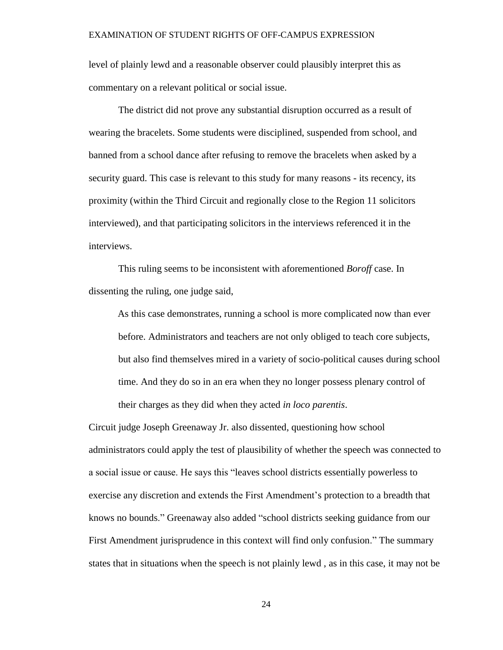level of plainly lewd and a reasonable observer could plausibly interpret this as commentary on a relevant political or social issue.

The district did not prove any substantial disruption occurred as a result of wearing the bracelets. Some students were disciplined, suspended from school, and banned from a school dance after refusing to remove the bracelets when asked by a security guard. This case is relevant to this study for many reasons - its recency, its proximity (within the Third Circuit and regionally close to the Region 11 solicitors interviewed), and that participating solicitors in the interviews referenced it in the interviews.

This ruling seems to be inconsistent with aforementioned *Boroff* case. In dissenting the ruling, one judge said,

As this case demonstrates, running a school is more complicated now than ever before. Administrators and teachers are not only obliged to teach core subjects, but also find themselves mired in a variety of socio-political causes during school time. And they do so in an era when they no longer possess plenary control of their charges as they did when they acted *in loco parentis*.

Circuit judge Joseph Greenaway Jr. also dissented, questioning how school administrators could apply the test of plausibility of whether the speech was connected to a social issue or cause. He says this "leaves school districts essentially powerless to exercise any discretion and extends the First Amendment's protection to a breadth that knows no bounds." Greenaway also added "school districts seeking guidance from our First Amendment jurisprudence in this context will find only confusion." The summary states that in situations when the speech is not plainly lewd , as in this case, it may not be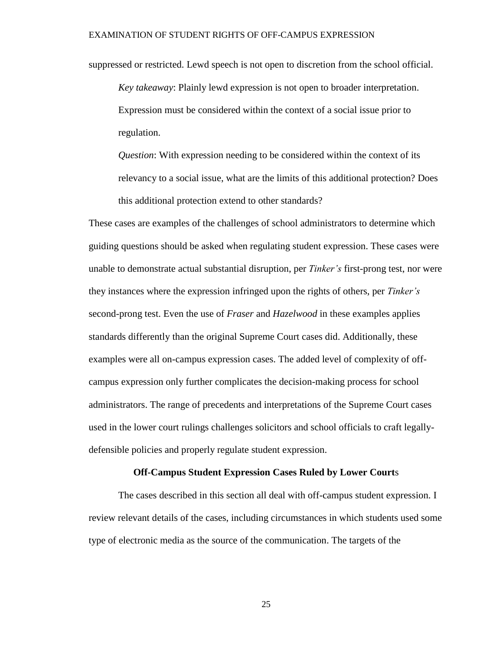suppressed or restricted. Lewd speech is not open to discretion from the school official.

*Key takeaway*: Plainly lewd expression is not open to broader interpretation. Expression must be considered within the context of a social issue prior to regulation.

*Question*: With expression needing to be considered within the context of its relevancy to a social issue, what are the limits of this additional protection? Does this additional protection extend to other standards?

These cases are examples of the challenges of school administrators to determine which guiding questions should be asked when regulating student expression. These cases were unable to demonstrate actual substantial disruption, per *Tinker's* first-prong test, nor were they instances where the expression infringed upon the rights of others, per *Tinker's* second-prong test. Even the use of *Fraser* and *Hazelwood* in these examples applies standards differently than the original Supreme Court cases did. Additionally, these examples were all on-campus expression cases. The added level of complexity of offcampus expression only further complicates the decision-making process for school administrators. The range of precedents and interpretations of the Supreme Court cases used in the lower court rulings challenges solicitors and school officials to craft legallydefensible policies and properly regulate student expression.

### **Off-Campus Student Expression Cases Ruled by Lower Court**s

<span id="page-34-0"></span>The cases described in this section all deal with off-campus student expression. I review relevant details of the cases, including circumstances in which students used some type of electronic media as the source of the communication. The targets of the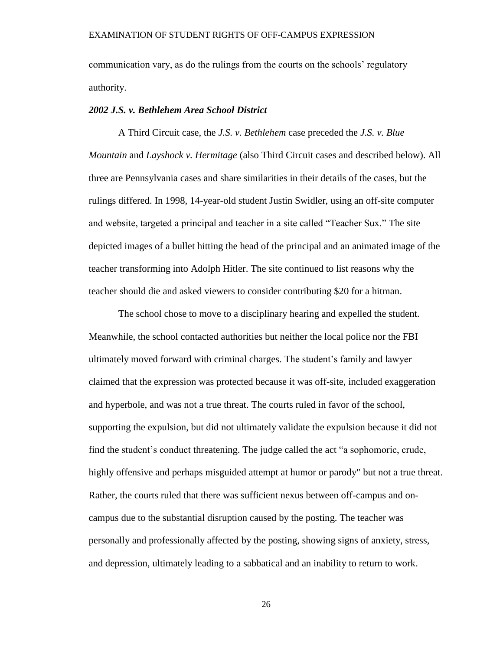communication vary, as do the rulings from the courts on the schools' regulatory authority.

# *2002 J.S. v. Bethlehem Area School District*

A Third Circuit case, the *J.S. v. Bethlehem* case preceded the *J.S. v. Blue Mountain* and *Layshock v. Hermitage* (also Third Circuit cases and described below). All three are Pennsylvania cases and share similarities in their details of the cases, but the rulings differed. In 1998, 14-year-old student Justin Swidler, using an off-site computer and website, targeted a principal and teacher in a site called "Teacher Sux." The site depicted images of a bullet hitting the head of the principal and an animated image of the teacher transforming into Adolph Hitler. The site continued to list reasons why the teacher should die and asked viewers to consider contributing \$20 for a hitman.

The school chose to move to a disciplinary hearing and expelled the student. Meanwhile, the school contacted authorities but neither the local police nor the FBI ultimately moved forward with criminal charges. The student's family and lawyer claimed that the expression was protected because it was off-site, included exaggeration and hyperbole, and was not a true threat. The courts ruled in favor of the school, supporting the expulsion, but did not ultimately validate the expulsion because it did not find the student's conduct threatening. The judge called the act "a sophomoric, crude, highly offensive and perhaps misguided attempt at humor or parody" but not a true threat. Rather, the courts ruled that there was sufficient nexus between off-campus and oncampus due to the substantial disruption caused by the posting. The teacher was personally and professionally affected by the posting, showing signs of anxiety, stress, and depression, ultimately leading to a sabbatical and an inability to return to work.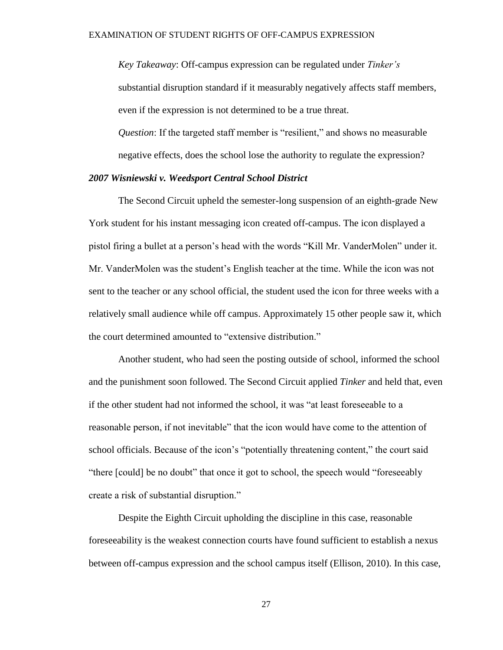*Key Takeaway*: Off-campus expression can be regulated under *Tinker's* substantial disruption standard if it measurably negatively affects staff members, even if the expression is not determined to be a true threat.

*Question*: If the targeted staff member is "resilient," and shows no measurable negative effects, does the school lose the authority to regulate the expression?

# *2007 Wisniewski v. Weedsport Central School District*

The Second Circuit upheld the semester-long suspension of an eighth-grade New York student for his instant messaging icon created off-campus. The icon displayed a pistol firing a bullet at a person's head with the words "Kill Mr. VanderMolen" under it. Mr. VanderMolen was the student's English teacher at the time. While the icon was not sent to the teacher or any school official, the student used the icon for three weeks with a relatively small audience while off campus. Approximately 15 other people saw it, which the court determined amounted to "extensive distribution."

Another student, who had seen the posting outside of school, informed the school and the punishment soon followed. The Second Circuit applied *Tinker* and held that, even if the other student had not informed the school, it was "at least foreseeable to a reasonable person, if not inevitable" that the icon would have come to the attention of school officials. Because of the icon's "potentially threatening content," the court said "there [could] be no doubt" that once it got to school, the speech would "foreseeably create a risk of substantial disruption."

Despite the Eighth Circuit upholding the discipline in this case, reasonable foreseeability is the weakest connection courts have found sufficient to establish a nexus between off-campus expression and the school campus itself (Ellison, 2010). In this case,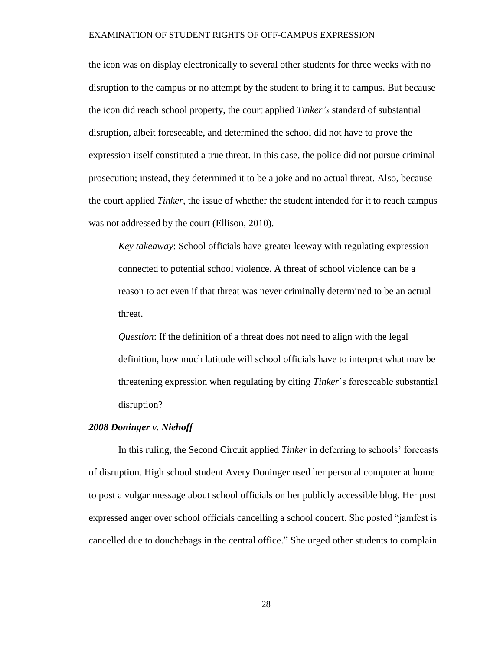the icon was on display electronically to several other students for three weeks with no disruption to the campus or no attempt by the student to bring it to campus. But because the icon did reach school property, the court applied *Tinker's* standard of substantial disruption, albeit foreseeable, and determined the school did not have to prove the expression itself constituted a true threat. In this case, the police did not pursue criminal prosecution; instead, they determined it to be a joke and no actual threat. Also, because the court applied *Tinker*, the issue of whether the student intended for it to reach campus was not addressed by the court (Ellison, 2010).

*Key takeaway*: School officials have greater leeway with regulating expression connected to potential school violence. A threat of school violence can be a reason to act even if that threat was never criminally determined to be an actual threat.

*Question*: If the definition of a threat does not need to align with the legal definition, how much latitude will school officials have to interpret what may be threatening expression when regulating by citing *Tinker*'s foreseeable substantial disruption?

# *2008 Doninger v. Niehoff*

In this ruling, the Second Circuit applied *Tinker* in deferring to schools' forecasts of disruption. High school student Avery Doninger used her personal computer at home to post a vulgar message about school officials on her publicly accessible blog. Her post expressed anger over school officials cancelling a school concert. She posted "jamfest is cancelled due to douchebags in the central office." She urged other students to complain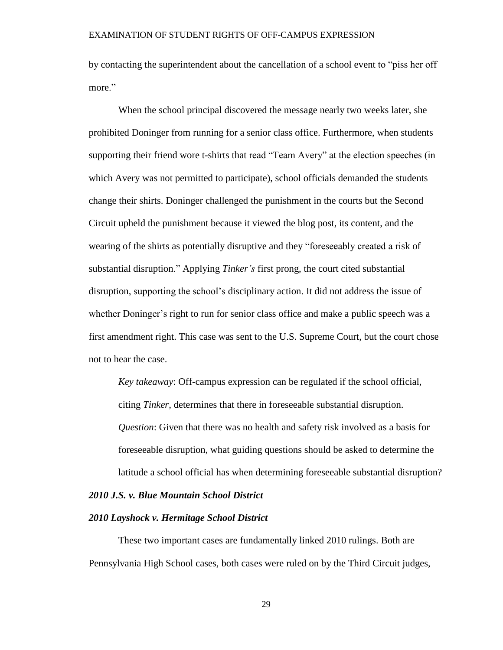by contacting the superintendent about the cancellation of a school event to "piss her off more"

When the school principal discovered the message nearly two weeks later, she prohibited Doninger from running for a senior class office. Furthermore, when students supporting their friend wore t-shirts that read "Team Avery" at the election speeches (in which Avery was not permitted to participate), school officials demanded the students change their shirts. Doninger challenged the punishment in the courts but the Second Circuit upheld the punishment because it viewed the blog post, its content, and the wearing of the shirts as potentially disruptive and they "foreseeably created a risk of substantial disruption." Applying *Tinker's* first prong, the court cited substantial disruption, supporting the school's disciplinary action. It did not address the issue of whether Doninger's right to run for senior class office and make a public speech was a first amendment right. This case was sent to the U.S. Supreme Court, but the court chose not to hear the case.

*Key takeaway*: Off-campus expression can be regulated if the school official, citing *Tinker,* determines that there in foreseeable substantial disruption. *Question*: Given that there was no health and safety risk involved as a basis for foreseeable disruption, what guiding questions should be asked to determine the latitude a school official has when determining foreseeable substantial disruption?

# *2010 J.S. v. Blue Mountain School District*

## *2010 Layshock v. Hermitage School District*

These two important cases are fundamentally linked 2010 rulings. Both are Pennsylvania High School cases, both cases were ruled on by the Third Circuit judges,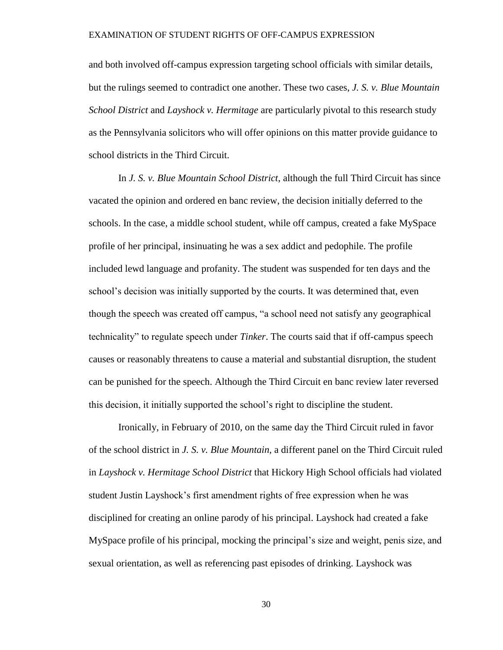and both involved off-campus expression targeting school officials with similar details, but the rulings seemed to contradict one another. These two cases, *J. S. v. Blue Mountain School District* and *Layshock v. Hermitage* are particularly pivotal to this research study as the Pennsylvania solicitors who will offer opinions on this matter provide guidance to school districts in the Third Circuit.

In *J. S. v. Blue Mountain School District*, although the full Third Circuit has since vacated the opinion and ordered en banc review, the decision initially deferred to the schools. In the case, a middle school student, while off campus, created a fake MySpace profile of her principal, insinuating he was a sex addict and pedophile. The profile included lewd language and profanity. The student was suspended for ten days and the school's decision was initially supported by the courts. It was determined that, even though the speech was created off campus, "a school need not satisfy any geographical technicality" to regulate speech under *Tinker*. The courts said that if off-campus speech causes or reasonably threatens to cause a material and substantial disruption, the student can be punished for the speech. Although the Third Circuit en banc review later reversed this decision, it initially supported the school's right to discipline the student.

Ironically, in February of 2010, on the same day the Third Circuit ruled in favor of the school district in *J. S. v. Blue Mountain*, a different panel on the Third Circuit ruled in *Layshock v. Hermitage School District* that Hickory High School officials had violated student Justin Layshock's first amendment rights of free expression when he was disciplined for creating an online parody of his principal. Layshock had created a fake MySpace profile of his principal, mocking the principal's size and weight, penis size, and sexual orientation, as well as referencing past episodes of drinking. Layshock was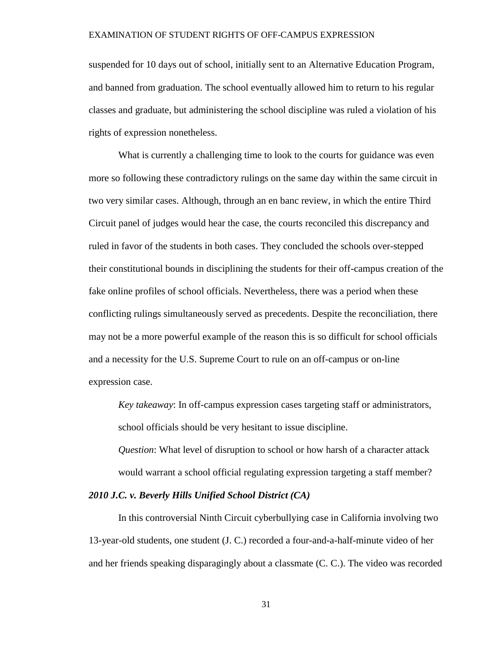suspended for 10 days out of school, initially sent to an Alternative Education Program, and banned from graduation. The school eventually allowed him to return to his regular classes and graduate, but administering the school discipline was ruled a violation of his rights of expression nonetheless.

What is currently a challenging time to look to the courts for guidance was even more so following these contradictory rulings on the same day within the same circuit in two very similar cases. Although, through an en banc review, in which the entire Third Circuit panel of judges would hear the case, the courts reconciled this discrepancy and ruled in favor of the students in both cases. They concluded the schools over-stepped their constitutional bounds in disciplining the students for their off-campus creation of the fake online profiles of school officials. Nevertheless, there was a period when these conflicting rulings simultaneously served as precedents. Despite the reconciliation, there may not be a more powerful example of the reason this is so difficult for school officials and a necessity for the U.S. Supreme Court to rule on an off-campus or on-line expression case.

*Key takeaway*: In off-campus expression cases targeting staff or administrators, school officials should be very hesitant to issue discipline.

*Question*: What level of disruption to school or how harsh of a character attack would warrant a school official regulating expression targeting a staff member?

# *2010 J.C. v. Beverly Hills Unified School District (CA)*

In this controversial Ninth Circuit cyberbullying case in California involving two 13-year-old students, one student (J. C.) recorded a four-and-a-half-minute video of her and her friends speaking disparagingly about a classmate (C. C.). The video was recorded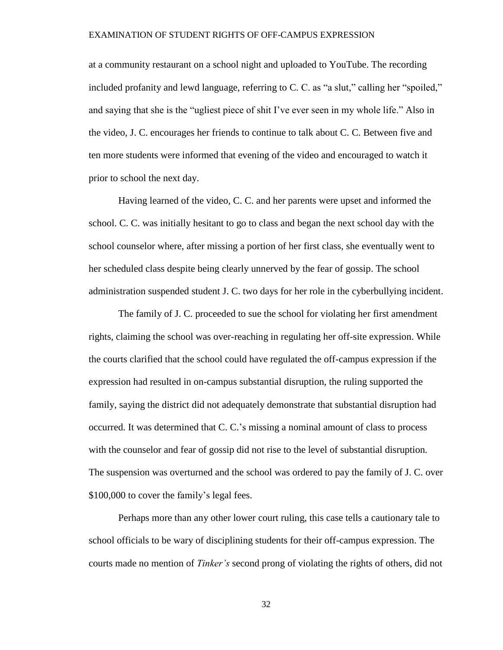at a community restaurant on a school night and uploaded to YouTube. The recording included profanity and lewd language, referring to C. C. as "a slut," calling her "spoiled," and saying that she is the "ugliest piece of shit I've ever seen in my whole life." Also in the video, J. C. encourages her friends to continue to talk about C. C. Between five and ten more students were informed that evening of the video and encouraged to watch it prior to school the next day.

Having learned of the video, C. C. and her parents were upset and informed the school. C. C. was initially hesitant to go to class and began the next school day with the school counselor where, after missing a portion of her first class, she eventually went to her scheduled class despite being clearly unnerved by the fear of gossip. The school administration suspended student J. C. two days for her role in the cyberbullying incident.

The family of J. C. proceeded to sue the school for violating her first amendment rights, claiming the school was over-reaching in regulating her off-site expression. While the courts clarified that the school could have regulated the off-campus expression if the expression had resulted in on-campus substantial disruption, the ruling supported the family, saying the district did not adequately demonstrate that substantial disruption had occurred. It was determined that C. C.'s missing a nominal amount of class to process with the counselor and fear of gossip did not rise to the level of substantial disruption. The suspension was overturned and the school was ordered to pay the family of J. C. over \$100,000 to cover the family's legal fees.

Perhaps more than any other lower court ruling, this case tells a cautionary tale to school officials to be wary of disciplining students for their off-campus expression. The courts made no mention of *Tinker's* second prong of violating the rights of others, did not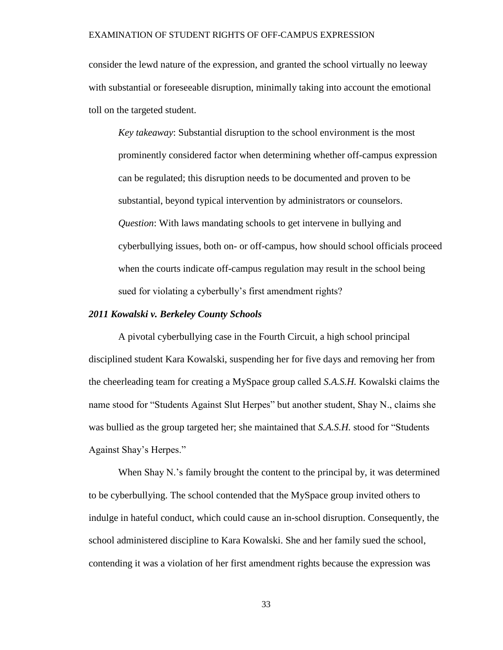consider the lewd nature of the expression, and granted the school virtually no leeway with substantial or foreseeable disruption, minimally taking into account the emotional toll on the targeted student.

*Key takeaway*: Substantial disruption to the school environment is the most prominently considered factor when determining whether off-campus expression can be regulated; this disruption needs to be documented and proven to be substantial, beyond typical intervention by administrators or counselors. *Question*: With laws mandating schools to get intervene in bullying and cyberbullying issues, both on- or off-campus, how should school officials proceed when the courts indicate off-campus regulation may result in the school being sued for violating a cyberbully's first amendment rights?

### *2011 Kowalski v. Berkeley County Schools*

A pivotal cyberbullying case in the Fourth Circuit, a high school principal disciplined student Kara Kowalski, suspending her for five days and removing her from the cheerleading team for creating a MySpace group called *S.A.S.H.* Kowalski claims the name stood for "Students Against Slut Herpes" but another student, Shay N., claims she was bullied as the group targeted her; she maintained that *S.A.S.H.* stood for "Students Against Shay's Herpes."

When Shay N.'s family brought the content to the principal by, it was determined to be cyberbullying. The school contended that the MySpace group invited others to indulge in hateful conduct, which could cause an in-school disruption. Consequently, the school administered discipline to Kara Kowalski. She and her family sued the school, contending it was a violation of her first amendment rights because the expression was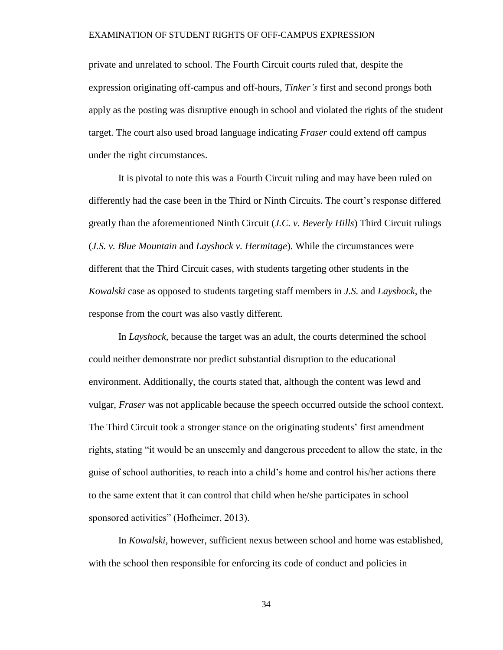private and unrelated to school. The Fourth Circuit courts ruled that, despite the expression originating off-campus and off-hours, *Tinker's* first and second prongs both apply as the posting was disruptive enough in school and violated the rights of the student target. The court also used broad language indicating *Fraser* could extend off campus under the right circumstances.

It is pivotal to note this was a Fourth Circuit ruling and may have been ruled on differently had the case been in the Third or Ninth Circuits. The court's response differed greatly than the aforementioned Ninth Circuit (*J.C. v. Beverly Hills*) Third Circuit rulings (*J.S. v. Blue Mountain* and *Layshock v. Hermitage*). While the circumstances were different that the Third Circuit cases, with students targeting other students in the *Kowalski* case as opposed to students targeting staff members in *J.S.* and *Layshock*, the response from the court was also vastly different.

In *Layshock,* because the target was an adult, the courts determined the school could neither demonstrate nor predict substantial disruption to the educational environment. Additionally, the courts stated that, although the content was lewd and vulgar, *Fraser* was not applicable because the speech occurred outside the school context. The Third Circuit took a stronger stance on the originating students' first amendment rights, stating "it would be an unseemly and dangerous precedent to allow the state, in the guise of school authorities, to reach into a child's home and control his/her actions there to the same extent that it can control that child when he/she participates in school sponsored activities" (Hofheimer, 2013).

In *Kowalski*, however, sufficient nexus between school and home was established, with the school then responsible for enforcing its code of conduct and policies in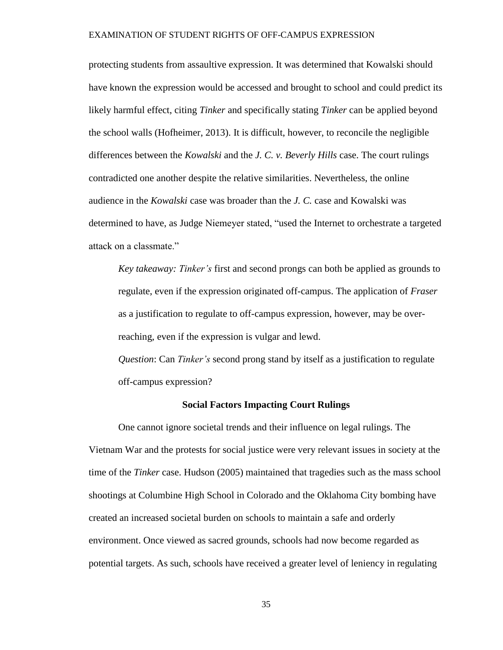protecting students from assaultive expression. It was determined that Kowalski should have known the expression would be accessed and brought to school and could predict its likely harmful effect, citing *Tinker* and specifically stating *Tinker* can be applied beyond the school walls (Hofheimer, 2013). It is difficult, however, to reconcile the negligible differences between the *Kowalski* and the *J. C. v. Beverly Hills* case. The court rulings contradicted one another despite the relative similarities. Nevertheless, the online audience in the *Kowalski* case was broader than the *J. C.* case and Kowalski was determined to have, as Judge Niemeyer stated, "used the Internet to orchestrate a targeted attack on a classmate."

*Key takeaway: Tinker's* first and second prongs can both be applied as grounds to regulate, even if the expression originated off-campus. The application of *Fraser* as a justification to regulate to off-campus expression, however, may be overreaching, even if the expression is vulgar and lewd.

*Question*: Can *Tinker's* second prong stand by itself as a justification to regulate off-campus expression?

# **Social Factors Impacting Court Rulings**

One cannot ignore societal trends and their influence on legal rulings. The Vietnam War and the protests for social justice were very relevant issues in society at the time of the *Tinker* case. Hudson (2005) maintained that tragedies such as the mass school shootings at Columbine High School in Colorado and the Oklahoma City bombing have created an increased societal burden on schools to maintain a safe and orderly environment. Once viewed as sacred grounds, schools had now become regarded as potential targets. As such, schools have received a greater level of leniency in regulating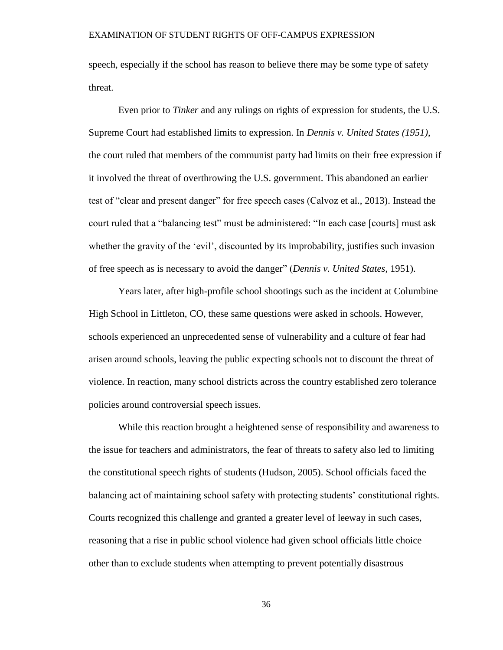speech, especially if the school has reason to believe there may be some type of safety threat.

Even prior to *Tinker* and any rulings on rights of expression for students, the U.S. Supreme Court had established limits to expression. In *Dennis v. United States (1951)*, the court ruled that members of the communist party had limits on their free expression if it involved the threat of overthrowing the U.S. government. This abandoned an earlier test of "clear and present danger" for free speech cases (Calvoz et al., 2013). Instead the court ruled that a "balancing test" must be administered: "In each case [courts] must ask whether the gravity of the 'evil', discounted by its improbability, justifies such invasion of free speech as is necessary to avoid the danger" (*Dennis v. United States*, 1951).

Years later, after high-profile school shootings such as the incident at Columbine High School in Littleton, CO, these same questions were asked in schools. However, schools experienced an unprecedented sense of vulnerability and a culture of fear had arisen around schools, leaving the public expecting schools not to discount the threat of violence. In reaction, many school districts across the country established zero tolerance policies around controversial speech issues.

While this reaction brought a heightened sense of responsibility and awareness to the issue for teachers and administrators, the fear of threats to safety also led to limiting the constitutional speech rights of students (Hudson, 2005). School officials faced the balancing act of maintaining school safety with protecting students' constitutional rights. Courts recognized this challenge and granted a greater level of leeway in such cases, reasoning that a rise in public school violence had given school officials little choice other than to exclude students when attempting to prevent potentially disastrous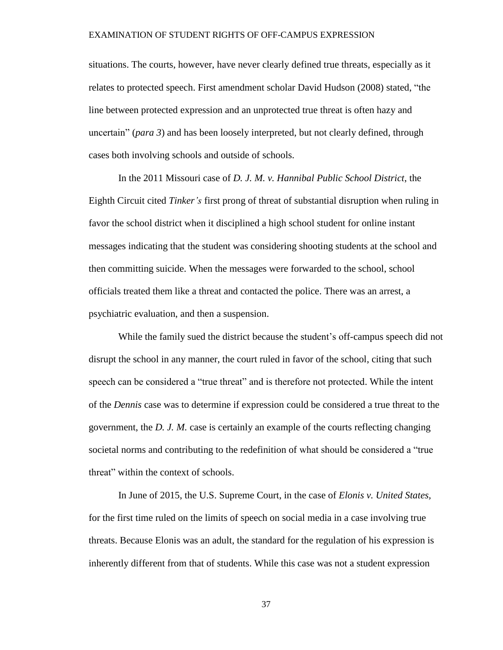situations. The courts, however, have never clearly defined true threats, especially as it relates to protected speech. First amendment scholar David Hudson (2008) stated, "the line between protected expression and an unprotected true threat is often hazy and uncertain" (*para 3*) and has been loosely interpreted, but not clearly defined, through cases both involving schools and outside of schools.

In the 2011 Missouri case of *D. J. M. v. Hannibal Public School District*, the Eighth Circuit cited *Tinker's* first prong of threat of substantial disruption when ruling in favor the school district when it disciplined a high school student for online instant messages indicating that the student was considering shooting students at the school and then committing suicide. When the messages were forwarded to the school, school officials treated them like a threat and contacted the police. There was an arrest, a psychiatric evaluation, and then a suspension.

While the family sued the district because the student's off-campus speech did not disrupt the school in any manner, the court ruled in favor of the school, citing that such speech can be considered a "true threat" and is therefore not protected. While the intent of the *Dennis* case was to determine if expression could be considered a true threat to the government, the *D. J. M.* case is certainly an example of the courts reflecting changing societal norms and contributing to the redefinition of what should be considered a "true threat" within the context of schools.

In June of 2015, the U.S. Supreme Court, in the case of *Elonis v. United States,*  for the first time ruled on the limits of speech on social media in a case involving true threats. Because Elonis was an adult, the standard for the regulation of his expression is inherently different from that of students. While this case was not a student expression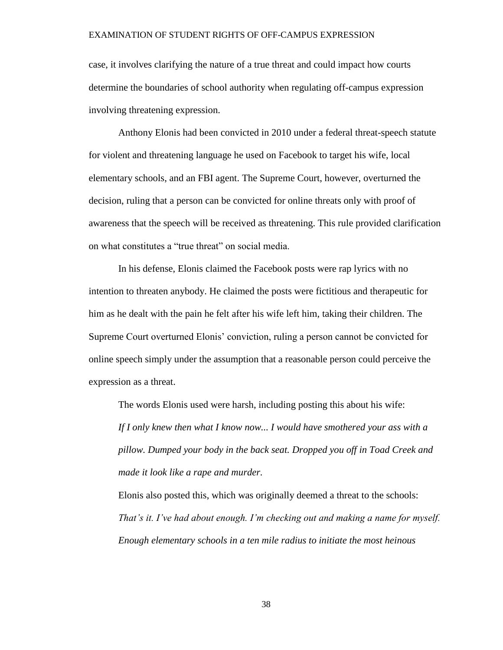case, it involves clarifying the nature of a true threat and could impact how courts determine the boundaries of school authority when regulating off-campus expression involving threatening expression.

Anthony Elonis had been convicted in 2010 under a federal threat-speech statute for violent and threatening language he used on Facebook to target his wife, local elementary schools, and an FBI agent. The Supreme Court, however, overturned the decision, ruling that a person can be convicted for online threats only with proof of awareness that the speech will be received as threatening. This rule provided clarification on what constitutes a "true threat" on social media.

In his defense, Elonis claimed the Facebook posts were rap lyrics with no intention to threaten anybody. He claimed the posts were fictitious and therapeutic for him as he dealt with the pain he felt after his wife left him, taking their children. The Supreme Court overturned Elonis' conviction, ruling a person cannot be convicted for online speech simply under the assumption that a reasonable person could perceive the expression as a threat.

The words Elonis used were harsh, including posting this about his wife: *If I only knew then what I know now... I would have smothered your ass with a pillow. Dumped your body in the back seat. Dropped you off in Toad Creek and made it look like a rape and murder.* 

Elonis also posted this, which was originally deemed a threat to the schools: *That's it. I've had about enough. I'm checking out and making a name for myself. Enough elementary schools in a ten mile radius to initiate the most heinous*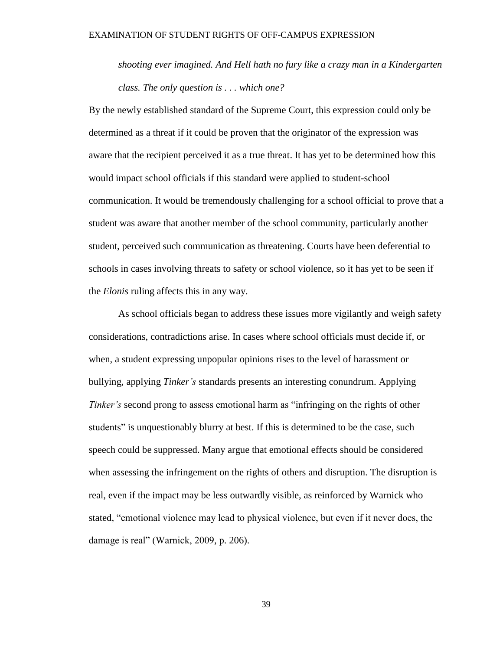*shooting ever imagined. And Hell hath no fury like a crazy man in a Kindergarten class. The only question is . . . which one?*

By the newly established standard of the Supreme Court, this expression could only be determined as a threat if it could be proven that the originator of the expression was aware that the recipient perceived it as a true threat. It has yet to be determined how this would impact school officials if this standard were applied to student-school communication. It would be tremendously challenging for a school official to prove that a student was aware that another member of the school community, particularly another student, perceived such communication as threatening. Courts have been deferential to schools in cases involving threats to safety or school violence, so it has yet to be seen if the *Elonis* ruling affects this in any way.

As school officials began to address these issues more vigilantly and weigh safety considerations, contradictions arise. In cases where school officials must decide if, or when, a student expressing unpopular opinions rises to the level of harassment or bullying, applying *Tinker's* standards presents an interesting conundrum. Applying *Tinker's* second prong to assess emotional harm as "infringing on the rights of other students" is unquestionably blurry at best. If this is determined to be the case, such speech could be suppressed. Many argue that emotional effects should be considered when assessing the infringement on the rights of others and disruption. The disruption is real, even if the impact may be less outwardly visible, as reinforced by Warnick who stated, "emotional violence may lead to physical violence, but even if it never does, the damage is real" (Warnick, 2009, p. 206).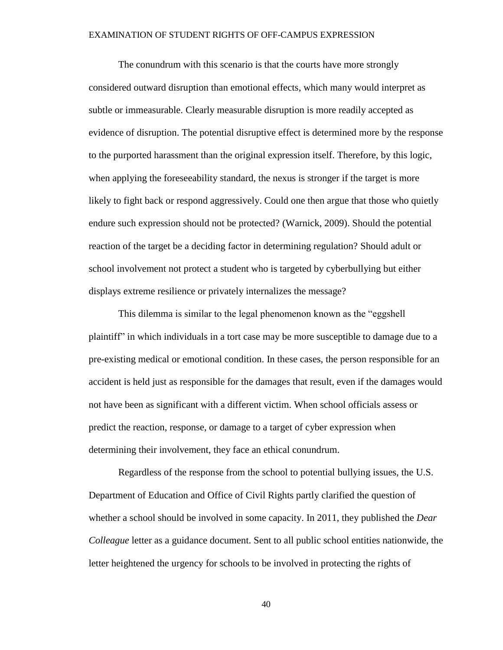The conundrum with this scenario is that the courts have more strongly considered outward disruption than emotional effects, which many would interpret as subtle or immeasurable. Clearly measurable disruption is more readily accepted as evidence of disruption. The potential disruptive effect is determined more by the response to the purported harassment than the original expression itself. Therefore, by this logic, when applying the foreseeability standard, the nexus is stronger if the target is more likely to fight back or respond aggressively. Could one then argue that those who quietly endure such expression should not be protected? (Warnick, 2009). Should the potential reaction of the target be a deciding factor in determining regulation? Should adult or school involvement not protect a student who is targeted by cyberbullying but either displays extreme resilience or privately internalizes the message?

This dilemma is similar to the legal phenomenon known as the "eggshell plaintiff" in which individuals in a tort case may be more susceptible to damage due to a pre-existing medical or emotional condition. In these cases, the person responsible for an accident is held just as responsible for the damages that result, even if the damages would not have been as significant with a different victim. When school officials assess or predict the reaction, response, or damage to a target of cyber expression when determining their involvement, they face an ethical conundrum.

Regardless of the response from the school to potential bullying issues, the U.S. Department of Education and Office of Civil Rights partly clarified the question of whether a school should be involved in some capacity. In 2011, they published the *Dear Colleague* letter as a guidance document. Sent to all public school entities nationwide, the letter heightened the urgency for schools to be involved in protecting the rights of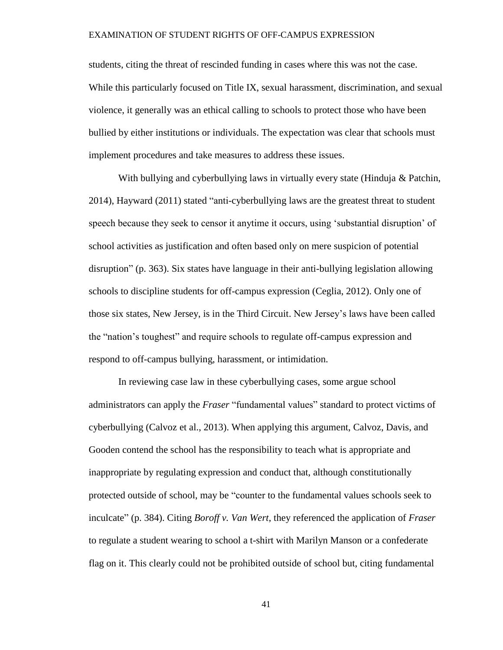students, citing the threat of rescinded funding in cases where this was not the case. While this particularly focused on Title IX, sexual harassment, discrimination, and sexual violence, it generally was an ethical calling to schools to protect those who have been bullied by either institutions or individuals. The expectation was clear that schools must implement procedures and take measures to address these issues.

With bullying and cyberbullying laws in virtually every state (Hinduja & Patchin, 2014), Hayward (2011) stated "anti-cyberbullying laws are the greatest threat to student speech because they seek to censor it anytime it occurs, using 'substantial disruption' of school activities as justification and often based only on mere suspicion of potential disruption" (p. 363). Six states have language in their anti-bullying legislation allowing schools to discipline students for off-campus expression (Ceglia, 2012). Only one of those six states, New Jersey, is in the Third Circuit. New Jersey's laws have been called the "nation's toughest" and require schools to regulate off-campus expression and respond to off-campus bullying, harassment, or intimidation.

In reviewing case law in these cyberbullying cases, some argue school administrators can apply the *Fraser* "fundamental values" standard to protect victims of cyberbullying (Calvoz et al., 2013). When applying this argument, Calvoz, Davis, and Gooden contend the school has the responsibility to teach what is appropriate and inappropriate by regulating expression and conduct that, although constitutionally protected outside of school, may be "counter to the fundamental values schools seek to inculcate" (p. 384). Citing *Boroff v. Van Wert*, they referenced the application of *Fraser*  to regulate a student wearing to school a t-shirt with Marilyn Manson or a confederate flag on it. This clearly could not be prohibited outside of school but, citing fundamental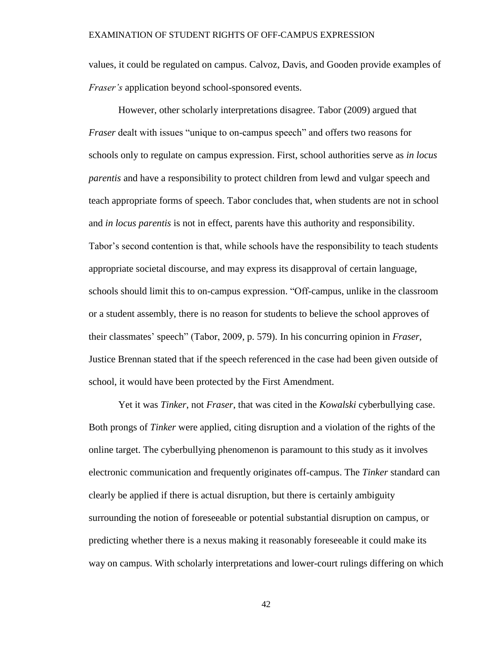values, it could be regulated on campus. Calvoz, Davis, and Gooden provide examples of *Fraser's* application beyond school-sponsored events.

However, other scholarly interpretations disagree. Tabor (2009) argued that *Fraser* dealt with issues "unique to on-campus speech" and offers two reasons for schools only to regulate on campus expression. First, school authorities serve as *in locus parentis* and have a responsibility to protect children from lewd and vulgar speech and teach appropriate forms of speech. Tabor concludes that, when students are not in school and *in locus parentis* is not in effect, parents have this authority and responsibility. Tabor's second contention is that, while schools have the responsibility to teach students appropriate societal discourse, and may express its disapproval of certain language, schools should limit this to on-campus expression. "Off-campus, unlike in the classroom or a student assembly, there is no reason for students to believe the school approves of their classmates' speech" (Tabor, 2009, p. 579). In his concurring opinion in *Fraser,*  Justice Brennan stated that if the speech referenced in the case had been given outside of school, it would have been protected by the First Amendment.

Yet it was *Tinker*, not *Fraser*, that was cited in the *Kowalski* cyberbullying case. Both prongs of *Tinker* were applied, citing disruption and a violation of the rights of the online target. The cyberbullying phenomenon is paramount to this study as it involves electronic communication and frequently originates off-campus. The *Tinker* standard can clearly be applied if there is actual disruption, but there is certainly ambiguity surrounding the notion of foreseeable or potential substantial disruption on campus, or predicting whether there is a nexus making it reasonably foreseeable it could make its way on campus. With scholarly interpretations and lower-court rulings differing on which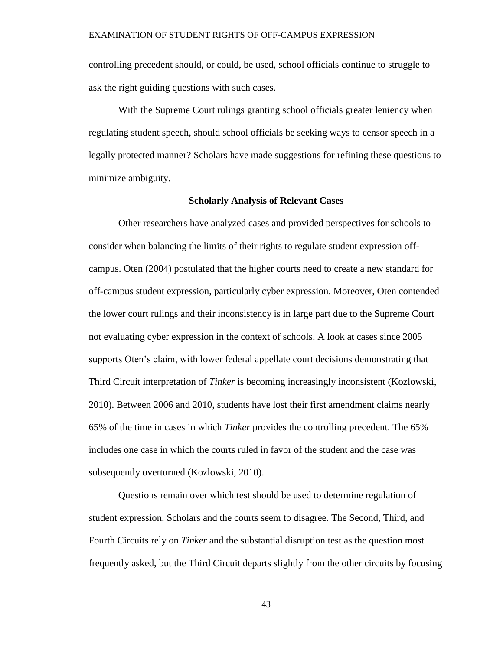controlling precedent should, or could, be used, school officials continue to struggle to ask the right guiding questions with such cases.

With the Supreme Court rulings granting school officials greater leniency when regulating student speech, should school officials be seeking ways to censor speech in a legally protected manner? Scholars have made suggestions for refining these questions to minimize ambiguity.

# **Scholarly Analysis of Relevant Cases**

Other researchers have analyzed cases and provided perspectives for schools to consider when balancing the limits of their rights to regulate student expression offcampus. Oten (2004) postulated that the higher courts need to create a new standard for off-campus student expression, particularly cyber expression. Moreover, Oten contended the lower court rulings and their inconsistency is in large part due to the Supreme Court not evaluating cyber expression in the context of schools. A look at cases since 2005 supports Oten's claim, with lower federal appellate court decisions demonstrating that Third Circuit interpretation of *Tinker* is becoming increasingly inconsistent (Kozlowski, 2010). Between 2006 and 2010, students have lost their first amendment claims nearly 65% of the time in cases in which *Tinker* provides the controlling precedent. The 65% includes one case in which the courts ruled in favor of the student and the case was subsequently overturned (Kozlowski, 2010).

Questions remain over which test should be used to determine regulation of student expression. Scholars and the courts seem to disagree. The Second, Third, and Fourth Circuits rely on *Tinker* and the substantial disruption test as the question most frequently asked, but the Third Circuit departs slightly from the other circuits by focusing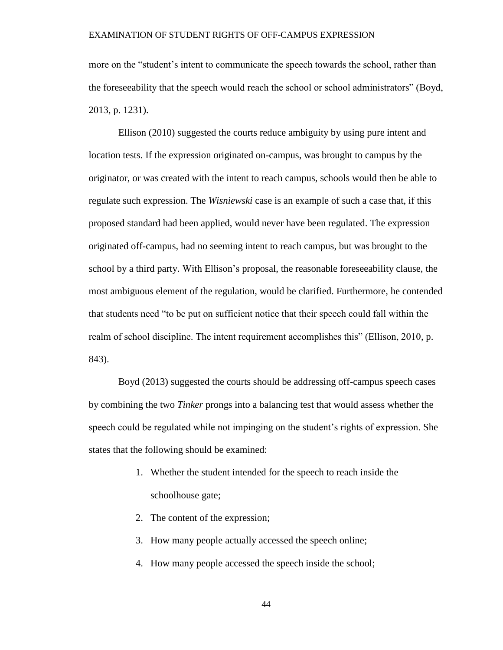more on the "student's intent to communicate the speech towards the school, rather than the foreseeability that the speech would reach the school or school administrators" (Boyd, 2013, p. 1231).

Ellison (2010) suggested the courts reduce ambiguity by using pure intent and location tests. If the expression originated on-campus, was brought to campus by the originator, or was created with the intent to reach campus, schools would then be able to regulate such expression. The *Wisniewski* case is an example of such a case that, if this proposed standard had been applied, would never have been regulated. The expression originated off-campus, had no seeming intent to reach campus, but was brought to the school by a third party. With Ellison's proposal, the reasonable foreseeability clause, the most ambiguous element of the regulation, would be clarified. Furthermore, he contended that students need "to be put on sufficient notice that their speech could fall within the realm of school discipline. The intent requirement accomplishes this" (Ellison, 2010, p. 843).

Boyd (2013) suggested the courts should be addressing off-campus speech cases by combining the two *Tinker* prongs into a balancing test that would assess whether the speech could be regulated while not impinging on the student's rights of expression. She states that the following should be examined:

- 1. Whether the student intended for the speech to reach inside the schoolhouse gate;
- 2. The content of the expression;
- 3. How many people actually accessed the speech online;
- 4. How many people accessed the speech inside the school;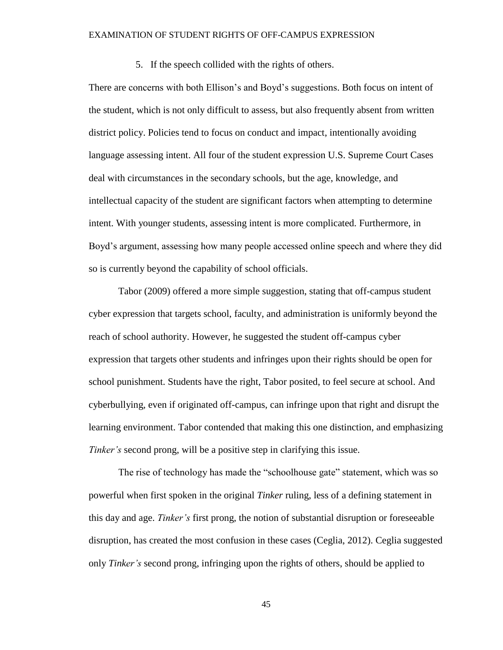5. If the speech collided with the rights of others.

There are concerns with both Ellison's and Boyd's suggestions. Both focus on intent of the student, which is not only difficult to assess, but also frequently absent from written district policy. Policies tend to focus on conduct and impact, intentionally avoiding language assessing intent. All four of the student expression U.S. Supreme Court Cases deal with circumstances in the secondary schools, but the age, knowledge, and intellectual capacity of the student are significant factors when attempting to determine intent. With younger students, assessing intent is more complicated. Furthermore, in Boyd's argument, assessing how many people accessed online speech and where they did so is currently beyond the capability of school officials.

Tabor (2009) offered a more simple suggestion, stating that off-campus student cyber expression that targets school, faculty, and administration is uniformly beyond the reach of school authority. However, he suggested the student off-campus cyber expression that targets other students and infringes upon their rights should be open for school punishment. Students have the right, Tabor posited, to feel secure at school. And cyberbullying, even if originated off-campus, can infringe upon that right and disrupt the learning environment. Tabor contended that making this one distinction, and emphasizing *Tinker's* second prong, will be a positive step in clarifying this issue.

The rise of technology has made the "schoolhouse gate" statement, which was so powerful when first spoken in the original *Tinker* ruling, less of a defining statement in this day and age. *Tinker's* first prong, the notion of substantial disruption or foreseeable disruption, has created the most confusion in these cases (Ceglia, 2012). Ceglia suggested only *Tinker's* second prong, infringing upon the rights of others, should be applied to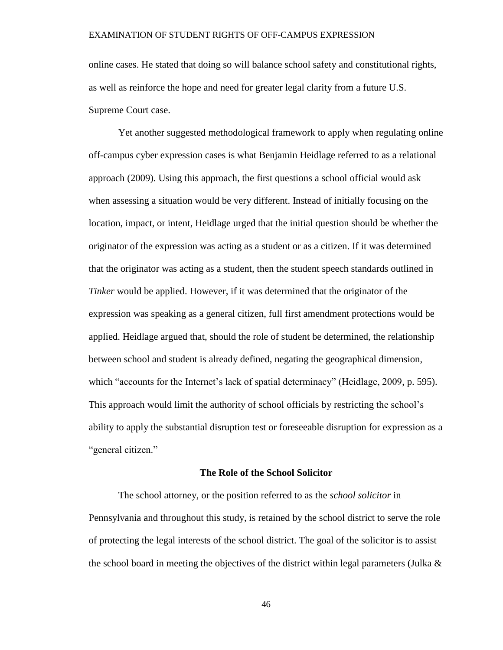online cases. He stated that doing so will balance school safety and constitutional rights, as well as reinforce the hope and need for greater legal clarity from a future U.S. Supreme Court case.

Yet another suggested methodological framework to apply when regulating online off-campus cyber expression cases is what Benjamin Heidlage referred to as a relational approach (2009). Using this approach, the first questions a school official would ask when assessing a situation would be very different. Instead of initially focusing on the location, impact, or intent, Heidlage urged that the initial question should be whether the originator of the expression was acting as a student or as a citizen. If it was determined that the originator was acting as a student, then the student speech standards outlined in *Tinker* would be applied. However, if it was determined that the originator of the expression was speaking as a general citizen, full first amendment protections would be applied. Heidlage argued that, should the role of student be determined, the relationship between school and student is already defined, negating the geographical dimension, which "accounts for the Internet's lack of spatial determinacy" (Heidlage, 2009, p. 595). This approach would limit the authority of school officials by restricting the school's ability to apply the substantial disruption test or foreseeable disruption for expression as a "general citizen."

#### **The Role of the School Solicitor**

The school attorney, or the position referred to as the *school solicitor* in Pennsylvania and throughout this study, is retained by the school district to serve the role of protecting the legal interests of the school district. The goal of the solicitor is to assist the school board in meeting the objectives of the district within legal parameters (Julka  $\&$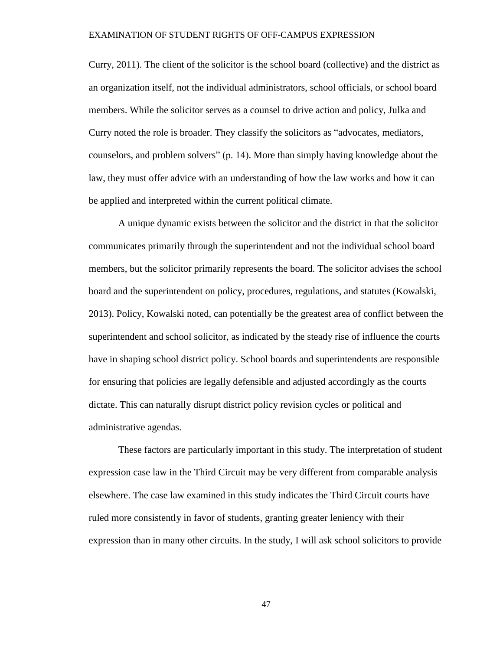Curry, 2011). The client of the solicitor is the school board (collective) and the district as an organization itself, not the individual administrators, school officials, or school board members. While the solicitor serves as a counsel to drive action and policy, Julka and Curry noted the role is broader. They classify the solicitors as "advocates, mediators, counselors, and problem solvers" (p. 14). More than simply having knowledge about the law, they must offer advice with an understanding of how the law works and how it can be applied and interpreted within the current political climate.

A unique dynamic exists between the solicitor and the district in that the solicitor communicates primarily through the superintendent and not the individual school board members, but the solicitor primarily represents the board. The solicitor advises the school board and the superintendent on policy, procedures, regulations, and statutes (Kowalski, 2013). Policy, Kowalski noted, can potentially be the greatest area of conflict between the superintendent and school solicitor, as indicated by the steady rise of influence the courts have in shaping school district policy. School boards and superintendents are responsible for ensuring that policies are legally defensible and adjusted accordingly as the courts dictate. This can naturally disrupt district policy revision cycles or political and administrative agendas.

These factors are particularly important in this study. The interpretation of student expression case law in the Third Circuit may be very different from comparable analysis elsewhere. The case law examined in this study indicates the Third Circuit courts have ruled more consistently in favor of students, granting greater leniency with their expression than in many other circuits. In the study, I will ask school solicitors to provide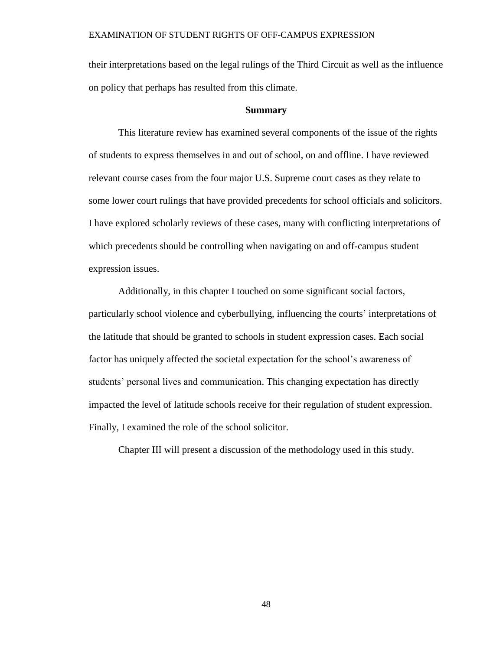their interpretations based on the legal rulings of the Third Circuit as well as the influence on policy that perhaps has resulted from this climate.

## **Summary**

This literature review has examined several components of the issue of the rights of students to express themselves in and out of school, on and offline. I have reviewed relevant course cases from the four major U.S. Supreme court cases as they relate to some lower court rulings that have provided precedents for school officials and solicitors. I have explored scholarly reviews of these cases, many with conflicting interpretations of which precedents should be controlling when navigating on and off-campus student expression issues.

Additionally, in this chapter I touched on some significant social factors, particularly school violence and cyberbullying, influencing the courts' interpretations of the latitude that should be granted to schools in student expression cases. Each social factor has uniquely affected the societal expectation for the school's awareness of students' personal lives and communication. This changing expectation has directly impacted the level of latitude schools receive for their regulation of student expression. Finally, I examined the role of the school solicitor.

Chapter III will present a discussion of the methodology used in this study.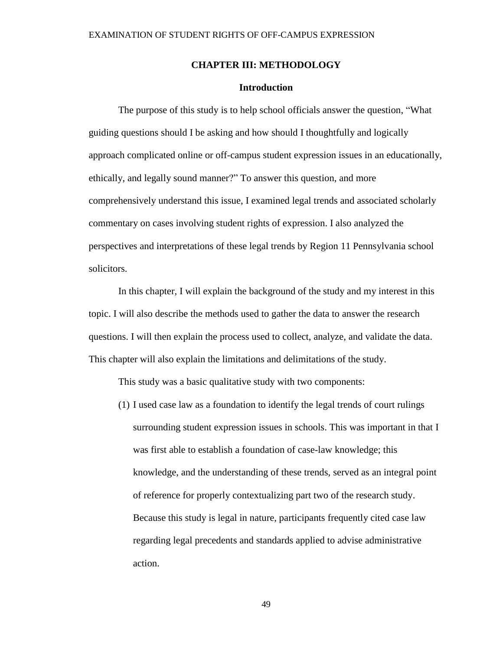## **CHAPTER III: METHODOLOGY**

# **Introduction**

The purpose of this study is to help school officials answer the question, "What guiding questions should I be asking and how should I thoughtfully and logically approach complicated online or off-campus student expression issues in an educationally, ethically, and legally sound manner?" To answer this question, and more comprehensively understand this issue, I examined legal trends and associated scholarly commentary on cases involving student rights of expression. I also analyzed the perspectives and interpretations of these legal trends by Region 11 Pennsylvania school solicitors.

In this chapter, I will explain the background of the study and my interest in this topic. I will also describe the methods used to gather the data to answer the research questions. I will then explain the process used to collect, analyze, and validate the data. This chapter will also explain the limitations and delimitations of the study.

This study was a basic qualitative study with two components:

(1) I used case law as a foundation to identify the legal trends of court rulings surrounding student expression issues in schools. This was important in that I was first able to establish a foundation of case-law knowledge; this knowledge, and the understanding of these trends, served as an integral point of reference for properly contextualizing part two of the research study. Because this study is legal in nature, participants frequently cited case law regarding legal precedents and standards applied to advise administrative action.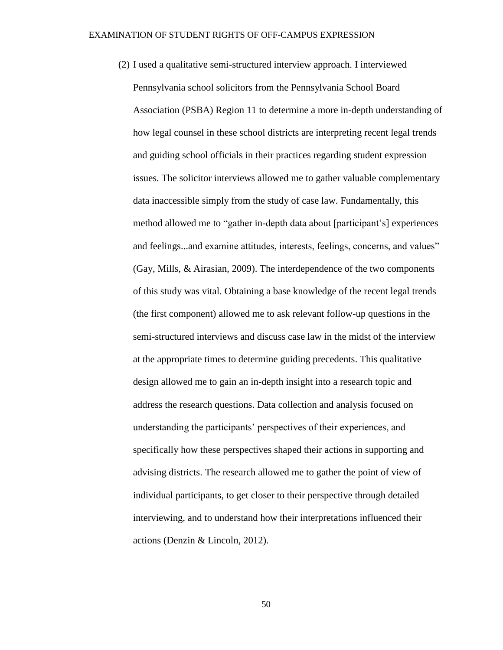(2) I used a qualitative semi-structured interview approach. I interviewed Pennsylvania school solicitors from the Pennsylvania School Board Association (PSBA) Region 11 to determine a more in-depth understanding of how legal counsel in these school districts are interpreting recent legal trends and guiding school officials in their practices regarding student expression issues. The solicitor interviews allowed me to gather valuable complementary data inaccessible simply from the study of case law. Fundamentally, this method allowed me to "gather in-depth data about [participant's] experiences and feelings...and examine attitudes, interests, feelings, concerns, and values" (Gay, Mills, & Airasian, 2009). The interdependence of the two components of this study was vital. Obtaining a base knowledge of the recent legal trends (the first component) allowed me to ask relevant follow-up questions in the semi-structured interviews and discuss case law in the midst of the interview at the appropriate times to determine guiding precedents. This qualitative design allowed me to gain an in-depth insight into a research topic and address the research questions. Data collection and analysis focused on understanding the participants' perspectives of their experiences, and specifically how these perspectives shaped their actions in supporting and advising districts. The research allowed me to gather the point of view of individual participants, to get closer to their perspective through detailed interviewing, and to understand how their interpretations influenced their actions (Denzin & Lincoln, 2012).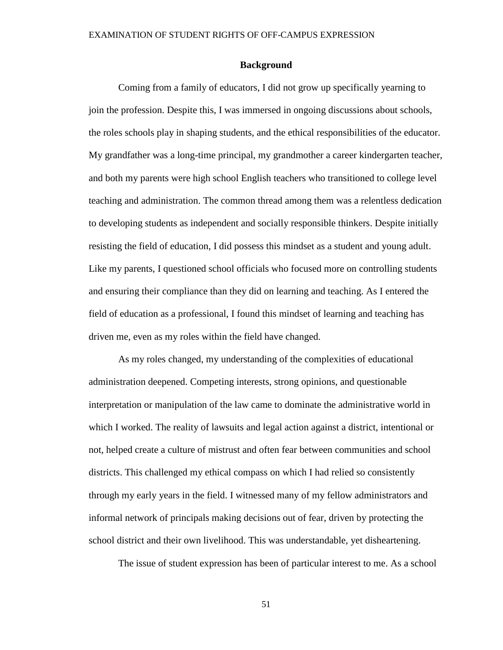# **Background**

Coming from a family of educators, I did not grow up specifically yearning to join the profession. Despite this, I was immersed in ongoing discussions about schools, the roles schools play in shaping students, and the ethical responsibilities of the educator. My grandfather was a long-time principal, my grandmother a career kindergarten teacher, and both my parents were high school English teachers who transitioned to college level teaching and administration. The common thread among them was a relentless dedication to developing students as independent and socially responsible thinkers. Despite initially resisting the field of education, I did possess this mindset as a student and young adult. Like my parents, I questioned school officials who focused more on controlling students and ensuring their compliance than they did on learning and teaching. As I entered the field of education as a professional, I found this mindset of learning and teaching has driven me, even as my roles within the field have changed.

As my roles changed, my understanding of the complexities of educational administration deepened. Competing interests, strong opinions, and questionable interpretation or manipulation of the law came to dominate the administrative world in which I worked. The reality of lawsuits and legal action against a district, intentional or not, helped create a culture of mistrust and often fear between communities and school districts. This challenged my ethical compass on which I had relied so consistently through my early years in the field. I witnessed many of my fellow administrators and informal network of principals making decisions out of fear, driven by protecting the school district and their own livelihood. This was understandable, yet disheartening.

The issue of student expression has been of particular interest to me. As a school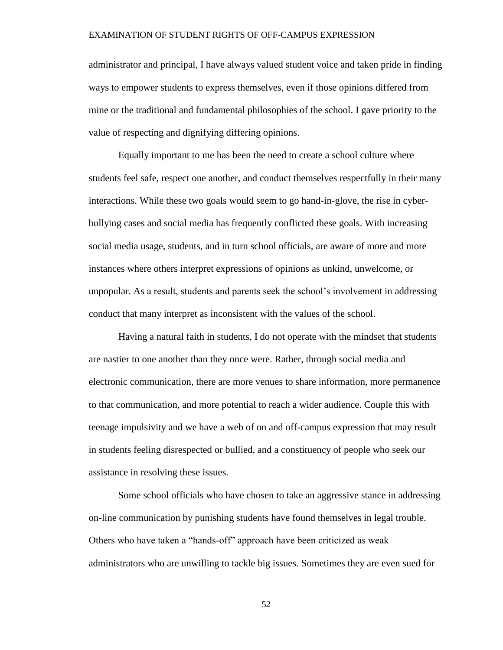administrator and principal, I have always valued student voice and taken pride in finding ways to empower students to express themselves, even if those opinions differed from mine or the traditional and fundamental philosophies of the school. I gave priority to the value of respecting and dignifying differing opinions.

Equally important to me has been the need to create a school culture where students feel safe, respect one another, and conduct themselves respectfully in their many interactions. While these two goals would seem to go hand-in-glove, the rise in cyberbullying cases and social media has frequently conflicted these goals. With increasing social media usage, students, and in turn school officials, are aware of more and more instances where others interpret expressions of opinions as unkind, unwelcome, or unpopular. As a result, students and parents seek the school's involvement in addressing conduct that many interpret as inconsistent with the values of the school.

Having a natural faith in students, I do not operate with the mindset that students are nastier to one another than they once were. Rather, through social media and electronic communication, there are more venues to share information, more permanence to that communication, and more potential to reach a wider audience. Couple this with teenage impulsivity and we have a web of on and off-campus expression that may result in students feeling disrespected or bullied, and a constituency of people who seek our assistance in resolving these issues.

Some school officials who have chosen to take an aggressive stance in addressing on-line communication by punishing students have found themselves in legal trouble. Others who have taken a "hands-off" approach have been criticized as weak administrators who are unwilling to tackle big issues. Sometimes they are even sued for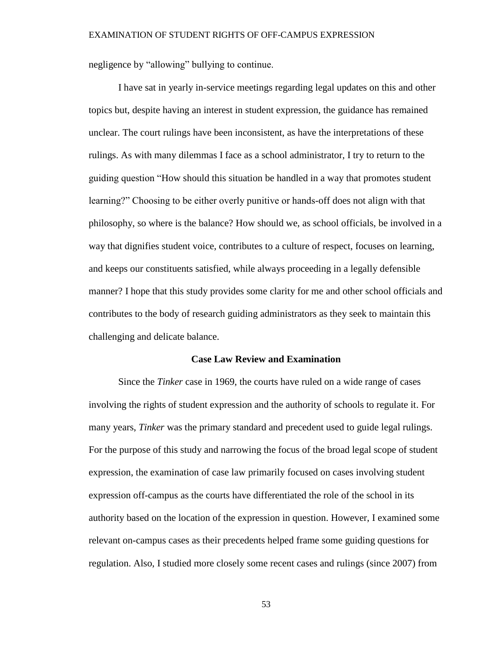negligence by "allowing" bullying to continue.

I have sat in yearly in-service meetings regarding legal updates on this and other topics but, despite having an interest in student expression, the guidance has remained unclear. The court rulings have been inconsistent, as have the interpretations of these rulings. As with many dilemmas I face as a school administrator, I try to return to the guiding question "How should this situation be handled in a way that promotes student learning?" Choosing to be either overly punitive or hands-off does not align with that philosophy, so where is the balance? How should we, as school officials, be involved in a way that dignifies student voice, contributes to a culture of respect, focuses on learning, and keeps our constituents satisfied, while always proceeding in a legally defensible manner? I hope that this study provides some clarity for me and other school officials and contributes to the body of research guiding administrators as they seek to maintain this challenging and delicate balance.

## **Case Law Review and Examination**

Since the *Tinker* case in 1969, the courts have ruled on a wide range of cases involving the rights of student expression and the authority of schools to regulate it. For many years, *Tinker* was the primary standard and precedent used to guide legal rulings. For the purpose of this study and narrowing the focus of the broad legal scope of student expression, the examination of case law primarily focused on cases involving student expression off-campus as the courts have differentiated the role of the school in its authority based on the location of the expression in question. However, I examined some relevant on-campus cases as their precedents helped frame some guiding questions for regulation. Also, I studied more closely some recent cases and rulings (since 2007) from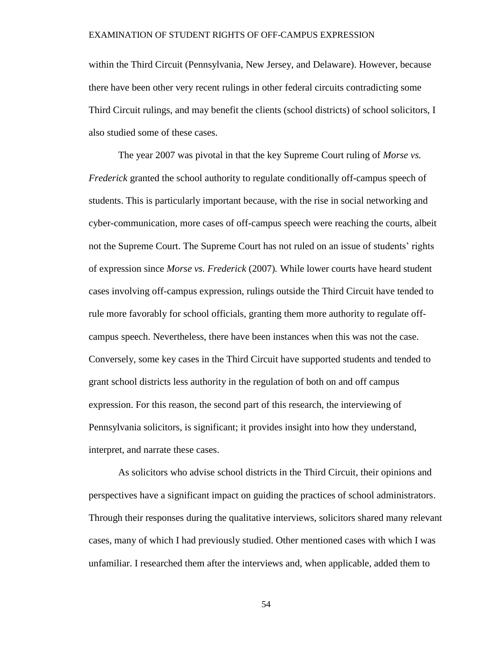within the Third Circuit (Pennsylvania, New Jersey, and Delaware). However, because there have been other very recent rulings in other federal circuits contradicting some Third Circuit rulings, and may benefit the clients (school districts) of school solicitors, I also studied some of these cases.

The year 2007 was pivotal in that the key Supreme Court ruling of *Morse vs. Frederick* granted the school authority to regulate conditionally off-campus speech of students. This is particularly important because, with the rise in social networking and cyber-communication, more cases of off-campus speech were reaching the courts, albeit not the Supreme Court. The Supreme Court has not ruled on an issue of students' rights of expression since *Morse vs. Frederick* (2007)*.* While lower courts have heard student cases involving off-campus expression, rulings outside the Third Circuit have tended to rule more favorably for school officials, granting them more authority to regulate offcampus speech. Nevertheless, there have been instances when this was not the case. Conversely, some key cases in the Third Circuit have supported students and tended to grant school districts less authority in the regulation of both on and off campus expression. For this reason, the second part of this research, the interviewing of Pennsylvania solicitors, is significant; it provides insight into how they understand, interpret, and narrate these cases.

As solicitors who advise school districts in the Third Circuit, their opinions and perspectives have a significant impact on guiding the practices of school administrators. Through their responses during the qualitative interviews, solicitors shared many relevant cases, many of which I had previously studied. Other mentioned cases with which I was unfamiliar. I researched them after the interviews and, when applicable, added them to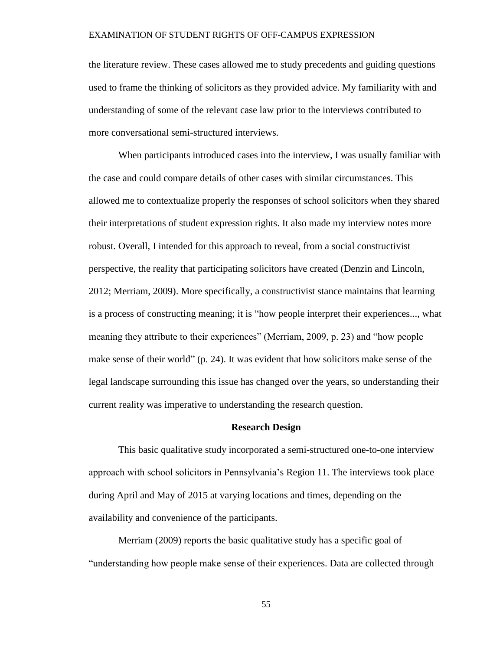the literature review. These cases allowed me to study precedents and guiding questions used to frame the thinking of solicitors as they provided advice. My familiarity with and understanding of some of the relevant case law prior to the interviews contributed to more conversational semi-structured interviews.

When participants introduced cases into the interview, I was usually familiar with the case and could compare details of other cases with similar circumstances. This allowed me to contextualize properly the responses of school solicitors when they shared their interpretations of student expression rights. It also made my interview notes more robust. Overall, I intended for this approach to reveal, from a social constructivist perspective, the reality that participating solicitors have created (Denzin and Lincoln, 2012; Merriam, 2009). More specifically, a constructivist stance maintains that learning is a process of constructing meaning; it is "how people interpret their experiences..., what meaning they attribute to their experiences" (Merriam, 2009, p. 23) and "how people make sense of their world" (p. 24). It was evident that how solicitors make sense of the legal landscape surrounding this issue has changed over the years, so understanding their current reality was imperative to understanding the research question.

### **Research Design**

This basic qualitative study incorporated a semi-structured one-to-one interview approach with school solicitors in Pennsylvania's Region 11. The interviews took place during April and May of 2015 at varying locations and times, depending on the availability and convenience of the participants.

Merriam (2009) reports the basic qualitative study has a specific goal of "understanding how people make sense of their experiences. Data are collected through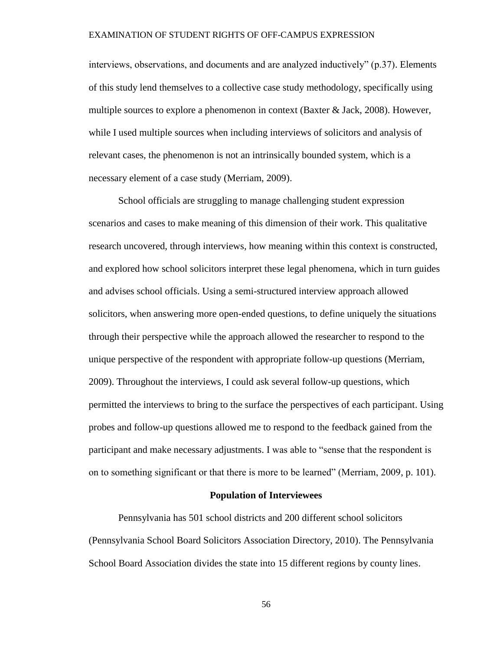interviews, observations, and documents and are analyzed inductively" (p.37). Elements of this study lend themselves to a collective case study methodology, specifically using multiple sources to explore a phenomenon in context (Baxter  $\&$  Jack, 2008). However, while I used multiple sources when including interviews of solicitors and analysis of relevant cases, the phenomenon is not an intrinsically bounded system, which is a necessary element of a case study (Merriam, 2009).

School officials are struggling to manage challenging student expression scenarios and cases to make meaning of this dimension of their work. This qualitative research uncovered, through interviews, how meaning within this context is constructed, and explored how school solicitors interpret these legal phenomena, which in turn guides and advises school officials. Using a semi-structured interview approach allowed solicitors, when answering more open-ended questions, to define uniquely the situations through their perspective while the approach allowed the researcher to respond to the unique perspective of the respondent with appropriate follow-up questions (Merriam, 2009). Throughout the interviews, I could ask several follow-up questions, which permitted the interviews to bring to the surface the perspectives of each participant. Using probes and follow-up questions allowed me to respond to the feedback gained from the participant and make necessary adjustments. I was able to "sense that the respondent is on to something significant or that there is more to be learned" (Merriam, 2009, p. 101).

#### **Population of Interviewees**

Pennsylvania has 501 school districts and 200 different school solicitors (Pennsylvania School Board Solicitors Association Directory, 2010). The Pennsylvania School Board Association divides the state into 15 different regions by county lines.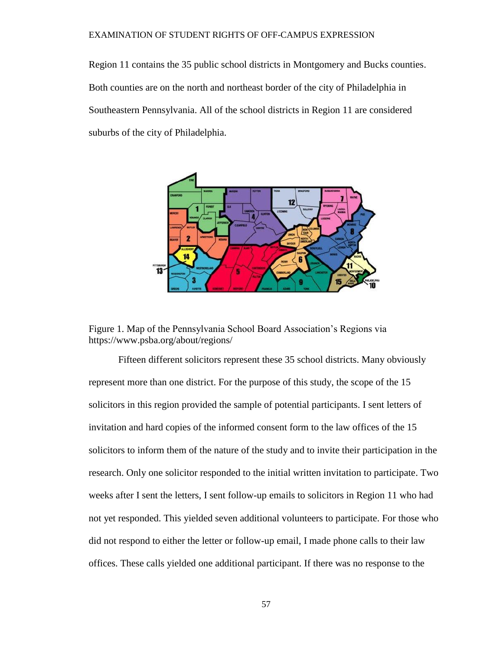Region 11 contains the 35 public school districts in Montgomery and Bucks counties. Both counties are on the north and northeast border of the city of Philadelphia in Southeastern Pennsylvania. All of the school districts in Region 11 are considered suburbs of the city of Philadelphia.



Figure 1. Map of the Pennsylvania School Board Association's Regions via https://www.psba.org/about/regions/

Fifteen different solicitors represent these 35 school districts. Many obviously represent more than one district. For the purpose of this study, the scope of the 15 solicitors in this region provided the sample of potential participants. I sent letters of invitation and hard copies of the informed consent form to the law offices of the 15 solicitors to inform them of the nature of the study and to invite their participation in the research. Only one solicitor responded to the initial written invitation to participate. Two weeks after I sent the letters, I sent follow-up emails to solicitors in Region 11 who had not yet responded. This yielded seven additional volunteers to participate. For those who did not respond to either the letter or follow-up email, I made phone calls to their law offices. These calls yielded one additional participant. If there was no response to the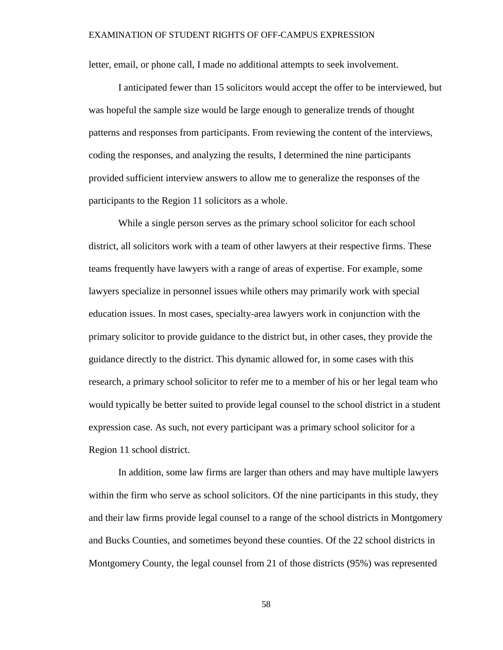letter, email, or phone call, I made no additional attempts to seek involvement.

I anticipated fewer than 15 solicitors would accept the offer to be interviewed, but was hopeful the sample size would be large enough to generalize trends of thought patterns and responses from participants. From reviewing the content of the interviews, coding the responses, and analyzing the results, I determined the nine participants provided sufficient interview answers to allow me to generalize the responses of the participants to the Region 11 solicitors as a whole.

While a single person serves as the primary school solicitor for each school district, all solicitors work with a team of other lawyers at their respective firms. These teams frequently have lawyers with a range of areas of expertise. For example, some lawyers specialize in personnel issues while others may primarily work with special education issues. In most cases, specialty-area lawyers work in conjunction with the primary solicitor to provide guidance to the district but, in other cases, they provide the guidance directly to the district. This dynamic allowed for, in some cases with this research, a primary school solicitor to refer me to a member of his or her legal team who would typically be better suited to provide legal counsel to the school district in a student expression case. As such, not every participant was a primary school solicitor for a Region 11 school district.

In addition, some law firms are larger than others and may have multiple lawyers within the firm who serve as school solicitors. Of the nine participants in this study, they and their law firms provide legal counsel to a range of the school districts in Montgomery and Bucks Counties, and sometimes beyond these counties. Of the 22 school districts in Montgomery County, the legal counsel from 21 of those districts (95%) was represented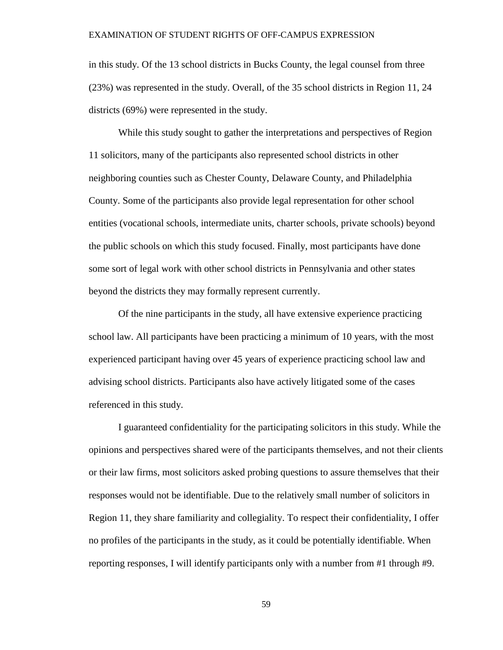in this study. Of the 13 school districts in Bucks County, the legal counsel from three (23%) was represented in the study. Overall, of the 35 school districts in Region 11, 24 districts (69%) were represented in the study.

While this study sought to gather the interpretations and perspectives of Region 11 solicitors, many of the participants also represented school districts in other neighboring counties such as Chester County, Delaware County, and Philadelphia County. Some of the participants also provide legal representation for other school entities (vocational schools, intermediate units, charter schools, private schools) beyond the public schools on which this study focused. Finally, most participants have done some sort of legal work with other school districts in Pennsylvania and other states beyond the districts they may formally represent currently.

Of the nine participants in the study, all have extensive experience practicing school law. All participants have been practicing a minimum of 10 years, with the most experienced participant having over 45 years of experience practicing school law and advising school districts. Participants also have actively litigated some of the cases referenced in this study.

I guaranteed confidentiality for the participating solicitors in this study. While the opinions and perspectives shared were of the participants themselves, and not their clients or their law firms, most solicitors asked probing questions to assure themselves that their responses would not be identifiable. Due to the relatively small number of solicitors in Region 11, they share familiarity and collegiality. To respect their confidentiality, I offer no profiles of the participants in the study, as it could be potentially identifiable. When reporting responses, I will identify participants only with a number from #1 through #9.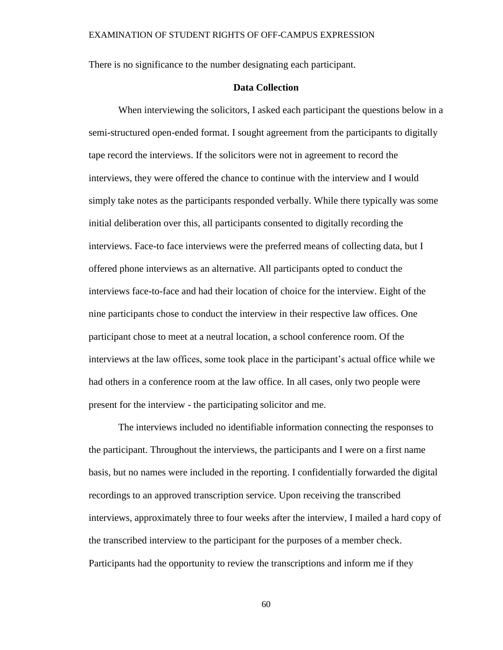There is no significance to the number designating each participant.

# **Data Collection**

When interviewing the solicitors, I asked each participant the questions below in a semi-structured open-ended format. I sought agreement from the participants to digitally tape record the interviews. If the solicitors were not in agreement to record the interviews, they were offered the chance to continue with the interview and I would simply take notes as the participants responded verbally. While there typically was some initial deliberation over this, all participants consented to digitally recording the interviews. Face-to face interviews were the preferred means of collecting data, but I offered phone interviews as an alternative. All participants opted to conduct the interviews face-to-face and had their location of choice for the interview. Eight of the nine participants chose to conduct the interview in their respective law offices. One participant chose to meet at a neutral location, a school conference room. Of the interviews at the law offices, some took place in the participant's actual office while we had others in a conference room at the law office. In all cases, only two people were present for the interview - the participating solicitor and me.

The interviews included no identifiable information connecting the responses to the participant. Throughout the interviews, the participants and I were on a first name basis, but no names were included in the reporting. I confidentially forwarded the digital recordings to an approved transcription service. Upon receiving the transcribed interviews, approximately three to four weeks after the interview, I mailed a hard copy of the transcribed interview to the participant for the purposes of a member check. Participants had the opportunity to review the transcriptions and inform me if they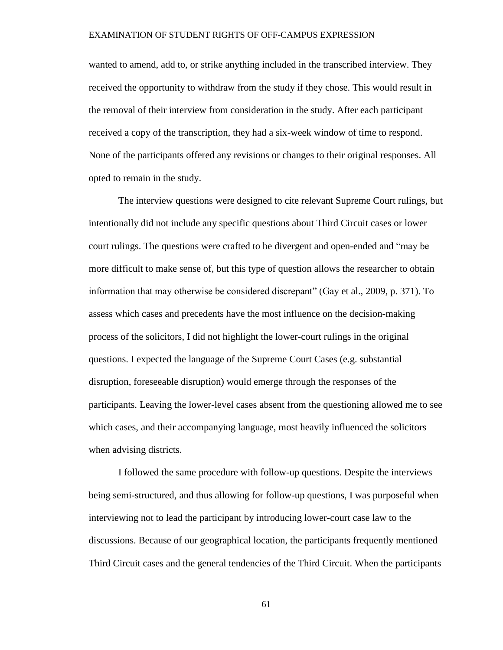wanted to amend, add to, or strike anything included in the transcribed interview. They received the opportunity to withdraw from the study if they chose. This would result in the removal of their interview from consideration in the study. After each participant received a copy of the transcription, they had a six-week window of time to respond. None of the participants offered any revisions or changes to their original responses. All opted to remain in the study.

The interview questions were designed to cite relevant Supreme Court rulings, but intentionally did not include any specific questions about Third Circuit cases or lower court rulings. The questions were crafted to be divergent and open-ended and "may be more difficult to make sense of, but this type of question allows the researcher to obtain information that may otherwise be considered discrepant" (Gay et al., 2009, p. 371). To assess which cases and precedents have the most influence on the decision-making process of the solicitors, I did not highlight the lower-court rulings in the original questions. I expected the language of the Supreme Court Cases (e.g. substantial disruption, foreseeable disruption) would emerge through the responses of the participants. Leaving the lower-level cases absent from the questioning allowed me to see which cases, and their accompanying language, most heavily influenced the solicitors when advising districts.

I followed the same procedure with follow-up questions. Despite the interviews being semi-structured, and thus allowing for follow-up questions, I was purposeful when interviewing not to lead the participant by introducing lower-court case law to the discussions. Because of our geographical location, the participants frequently mentioned Third Circuit cases and the general tendencies of the Third Circuit. When the participants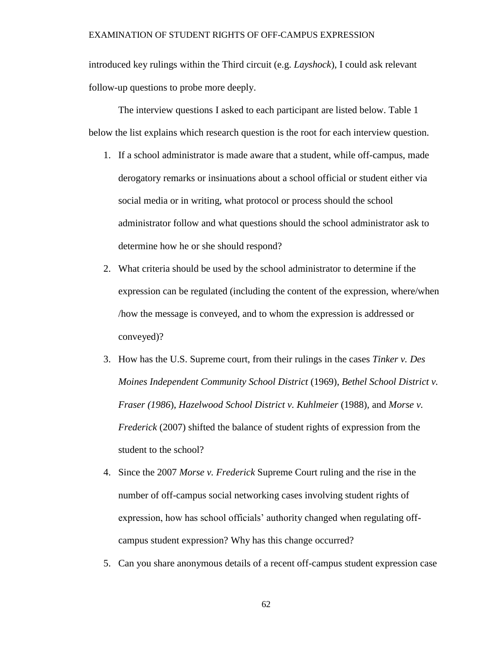introduced key rulings within the Third circuit (e.g. *Layshock*), I could ask relevant follow-up questions to probe more deeply.

The interview questions I asked to each participant are listed below. Table 1 below the list explains which research question is the root for each interview question.

- 1. If a school administrator is made aware that a student, while off-campus, made derogatory remarks or insinuations about a school official or student either via social media or in writing, what protocol or process should the school administrator follow and what questions should the school administrator ask to determine how he or she should respond?
- 2. What criteria should be used by the school administrator to determine if the expression can be regulated (including the content of the expression, where/when /how the message is conveyed, and to whom the expression is addressed or conveyed)?
- 3. How has the U.S. Supreme court, from their rulings in the cases *Tinker v. Des Moines Independent Community School District* (1969), *Bethel School District v. Fraser (1986*), *Hazelwood School District v. Kuhlmeier* (1988)*,* and *Morse v. Frederick* (2007) shifted the balance of student rights of expression from the student to the school?
- 4. Since the 2007 *Morse v. Frederick* Supreme Court ruling and the rise in the number of off-campus social networking cases involving student rights of expression, how has school officials' authority changed when regulating offcampus student expression? Why has this change occurred?
- 5. Can you share anonymous details of a recent off-campus student expression case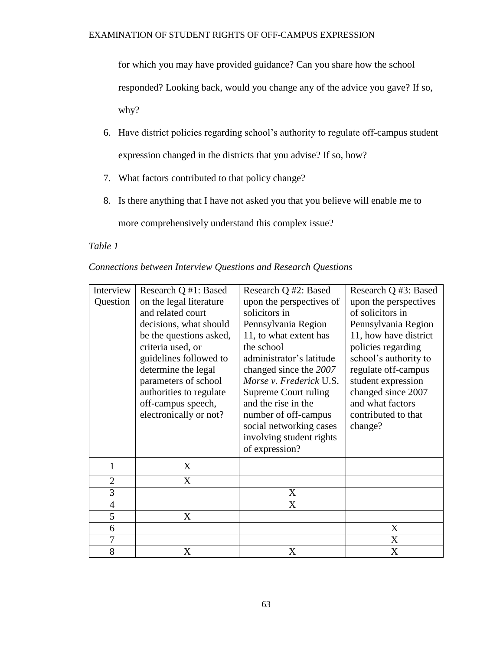for which you may have provided guidance? Can you share how the school responded? Looking back, would you change any of the advice you gave? If so, why?

- 6. Have district policies regarding school's authority to regulate off-campus student expression changed in the districts that you advise? If so, how?
- 7. What factors contributed to that policy change?
- 8. Is there anything that I have not asked you that you believe will enable me to

more comprehensively understand this complex issue?

# *Table 1*

| Connections between Interview Questions and Research Questions |                                                         |  |        |  |  |  |
|----------------------------------------------------------------|---------------------------------------------------------|--|--------|--|--|--|
|                                                                | Interview   Research Q #1: Based   Research Q #2: Based |  | Resear |  |  |  |

| Interview      | Research Q #1: Based    | Research Q #2: Based     | Research Q #3: Based  |
|----------------|-------------------------|--------------------------|-----------------------|
| Question       | on the legal literature | upon the perspectives of | upon the perspectives |
|                | and related court       | solicitors in            | of solicitors in      |
|                | decisions, what should  | Pennsylvania Region      | Pennsylvania Region   |
|                | be the questions asked, | 11, to what extent has   | 11, how have district |
|                | criteria used, or       | the school               | policies regarding    |
|                | guidelines followed to  | administrator's latitude | school's authority to |
|                | determine the legal     | changed since the 2007   | regulate off-campus   |
|                | parameters of school    | Morse v. Frederick U.S.  | student expression    |
|                | authorities to regulate | Supreme Court ruling     | changed since 2007    |
|                | off-campus speech,      | and the rise in the      | and what factors      |
|                | electronically or not?  | number of off-campus     | contributed to that   |
|                |                         | social networking cases  | change?               |
|                |                         | involving student rights |                       |
|                |                         | of expression?           |                       |
| 1              | X                       |                          |                       |
| $\overline{2}$ | X                       |                          |                       |
| 3              |                         | X                        |                       |
| $\overline{4}$ |                         | X                        |                       |
| 5              | X                       |                          |                       |
| 6              |                         |                          | X                     |
| 7              |                         |                          | X                     |
| 8              | X                       | X                        | X                     |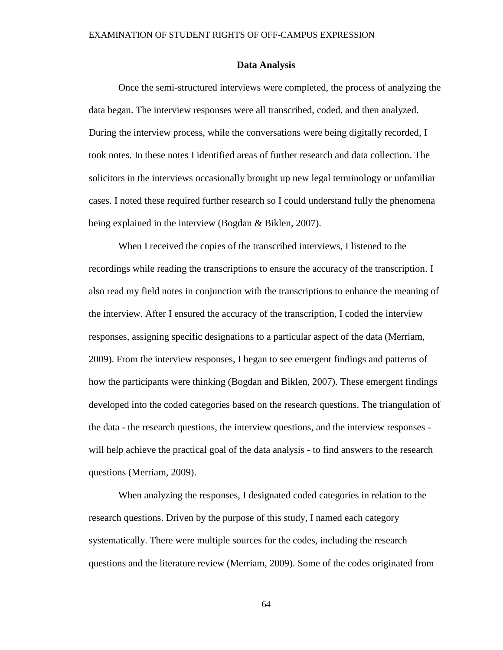## **Data Analysis**

Once the semi-structured interviews were completed, the process of analyzing the data began. The interview responses were all transcribed, coded, and then analyzed. During the interview process, while the conversations were being digitally recorded, I took notes. In these notes I identified areas of further research and data collection. The solicitors in the interviews occasionally brought up new legal terminology or unfamiliar cases. I noted these required further research so I could understand fully the phenomena being explained in the interview (Bogdan & Biklen, 2007).

When I received the copies of the transcribed interviews, I listened to the recordings while reading the transcriptions to ensure the accuracy of the transcription. I also read my field notes in conjunction with the transcriptions to enhance the meaning of the interview. After I ensured the accuracy of the transcription, I coded the interview responses, assigning specific designations to a particular aspect of the data (Merriam, 2009). From the interview responses, I began to see emergent findings and patterns of how the participants were thinking (Bogdan and Biklen, 2007). These emergent findings developed into the coded categories based on the research questions. The triangulation of the data - the research questions, the interview questions, and the interview responses will help achieve the practical goal of the data analysis - to find answers to the research questions (Merriam, 2009).

When analyzing the responses, I designated coded categories in relation to the research questions. Driven by the purpose of this study, I named each category systematically. There were multiple sources for the codes, including the research questions and the literature review (Merriam, 2009). Some of the codes originated from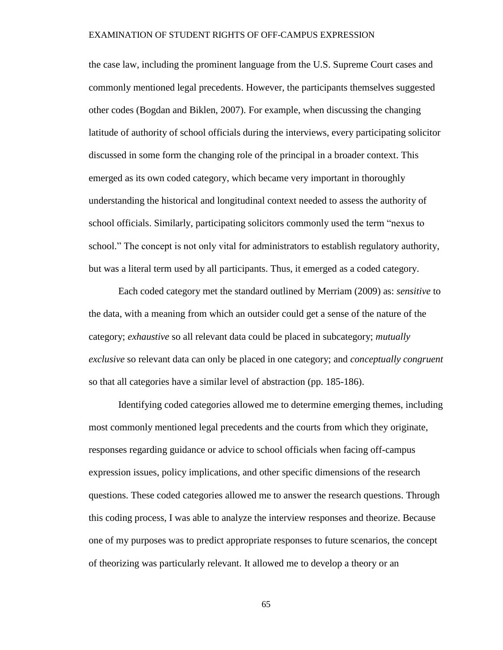the case law, including the prominent language from the U.S. Supreme Court cases and commonly mentioned legal precedents. However, the participants themselves suggested other codes (Bogdan and Biklen, 2007). For example, when discussing the changing latitude of authority of school officials during the interviews, every participating solicitor discussed in some form the changing role of the principal in a broader context. This emerged as its own coded category, which became very important in thoroughly understanding the historical and longitudinal context needed to assess the authority of school officials. Similarly, participating solicitors commonly used the term "nexus to school." The concept is not only vital for administrators to establish regulatory authority, but was a literal term used by all participants. Thus, it emerged as a coded category.

Each coded category met the standard outlined by Merriam (2009) as: *sensitive* to the data, with a meaning from which an outsider could get a sense of the nature of the category; *exhaustive* so all relevant data could be placed in subcategory; *mutually exclusive* so relevant data can only be placed in one category; and *conceptually congruent* so that all categories have a similar level of abstraction (pp. 185-186).

Identifying coded categories allowed me to determine emerging themes, including most commonly mentioned legal precedents and the courts from which they originate, responses regarding guidance or advice to school officials when facing off-campus expression issues, policy implications, and other specific dimensions of the research questions. These coded categories allowed me to answer the research questions. Through this coding process, I was able to analyze the interview responses and theorize. Because one of my purposes was to predict appropriate responses to future scenarios, the concept of theorizing was particularly relevant. It allowed me to develop a theory or an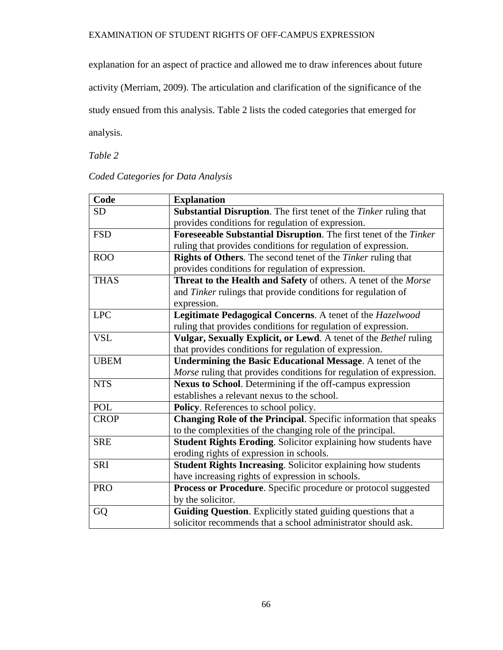explanation for an aspect of practice and allowed me to draw inferences about future

activity (Merriam, 2009). The articulation and clarification of the significance of the

study ensued from this analysis. Table 2 lists the coded categories that emerged for

analysis.

*Table 2*

# *Coded Categories for Data Analysis*

| Code        | <b>Explanation</b>                                                    |
|-------------|-----------------------------------------------------------------------|
| <b>SD</b>   | Substantial Disruption. The first tenet of the Tinker ruling that     |
|             | provides conditions for regulation of expression.                     |
| <b>FSD</b>  | Foreseeable Substantial Disruption. The first tenet of the Tinker     |
|             | ruling that provides conditions for regulation of expression.         |
| <b>ROO</b>  | Rights of Others. The second tenet of the Tinker ruling that          |
|             | provides conditions for regulation of expression.                     |
| <b>THAS</b> | Threat to the Health and Safety of others. A tenet of the Morse       |
|             | and Tinker rulings that provide conditions for regulation of          |
|             | expression.                                                           |
| <b>LPC</b>  | Legitimate Pedagogical Concerns. A tenet of the Hazelwood             |
|             | ruling that provides conditions for regulation of expression.         |
| <b>VSL</b>  | Vulgar, Sexually Explicit, or Lewd. A tenet of the Bethel ruling      |
|             | that provides conditions for regulation of expression.                |
| <b>UBEM</b> | <b>Undermining the Basic Educational Message.</b> A tenet of the      |
|             | Morse ruling that provides conditions for regulation of expression.   |
| <b>NTS</b>  | Nexus to School. Determining if the off-campus expression             |
|             | establishes a relevant nexus to the school.                           |
| POL         | Policy. References to school policy.                                  |
| <b>CROP</b> | Changing Role of the Principal. Specific information that speaks      |
|             | to the complexities of the changing role of the principal.            |
| <b>SRE</b>  | <b>Student Rights Eroding.</b> Solicitor explaining how students have |
|             | eroding rights of expression in schools.                              |
| <b>SRI</b>  | Student Rights Increasing. Solicitor explaining how students          |
|             | have increasing rights of expression in schools.                      |
| <b>PRO</b>  | Process or Procedure. Specific procedure or protocol suggested        |
|             | by the solicitor.                                                     |
| GQ          | Guiding Question. Explicitly stated guiding questions that a          |
|             | solicitor recommends that a school administrator should ask.          |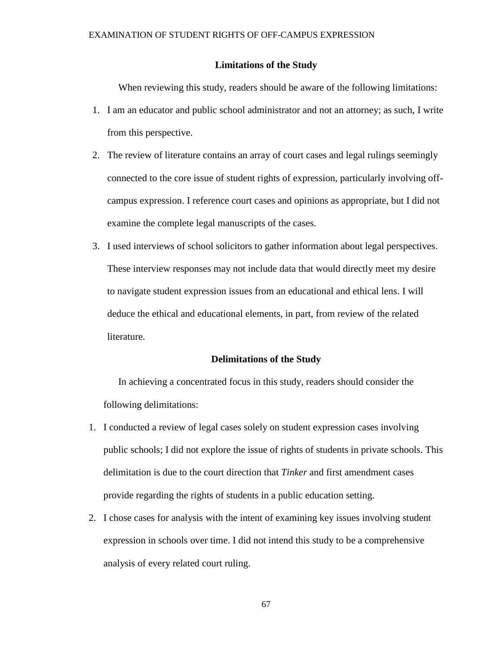## **Limitations of the Study**

When reviewing this study, readers should be aware of the following limitations:

- 1. I am an educator and public school administrator and not an attorney; as such, I write from this perspective.
- 2. The review of literature contains an array of court cases and legal rulings seemingly connected to the core issue of student rights of expression, particularly involving offcampus expression. I reference court cases and opinions as appropriate, but I did not examine the complete legal manuscripts of the cases.
- 3. I used interviews of school solicitors to gather information about legal perspectives. These interview responses may not include data that would directly meet my desire to navigate student expression issues from an educational and ethical lens. I will deduce the ethical and educational elements, in part, from review of the related literature.

#### **Delimitations of the Study**

In achieving a concentrated focus in this study, readers should consider the following delimitations:

- 1. I conducted a review of legal cases solely on student expression cases involving public schools; I did not explore the issue of rights of students in private schools. This delimitation is due to the court direction that *Tinker* and first amendment cases provide regarding the rights of students in a public education setting.
- 2. I chose cases for analysis with the intent of examining key issues involving student expression in schools over time. I did not intend this study to be a comprehensive analysis of every related court ruling.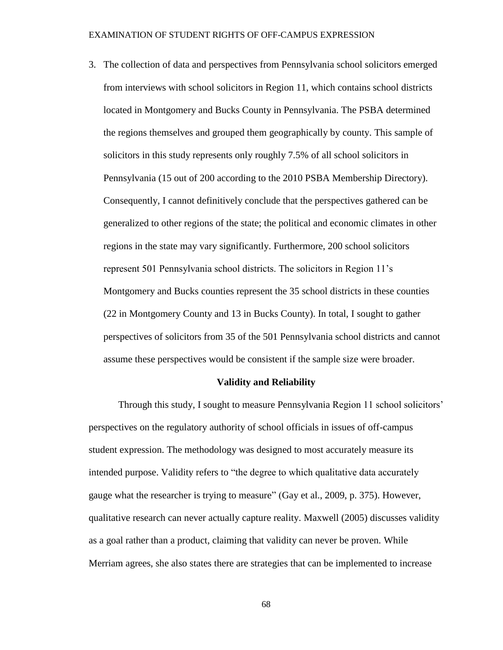3. The collection of data and perspectives from Pennsylvania school solicitors emerged from interviews with school solicitors in Region 11, which contains school districts located in Montgomery and Bucks County in Pennsylvania. The PSBA determined the regions themselves and grouped them geographically by county. This sample of solicitors in this study represents only roughly 7.5% of all school solicitors in Pennsylvania (15 out of 200 according to the 2010 PSBA Membership Directory). Consequently, I cannot definitively conclude that the perspectives gathered can be generalized to other regions of the state; the political and economic climates in other regions in the state may vary significantly. Furthermore, 200 school solicitors represent 501 Pennsylvania school districts. The solicitors in Region 11's Montgomery and Bucks counties represent the 35 school districts in these counties (22 in Montgomery County and 13 in Bucks County). In total, I sought to gather perspectives of solicitors from 35 of the 501 Pennsylvania school districts and cannot assume these perspectives would be consistent if the sample size were broader.

## **Validity and Reliability**

Through this study, I sought to measure Pennsylvania Region 11 school solicitors' perspectives on the regulatory authority of school officials in issues of off-campus student expression. The methodology was designed to most accurately measure its intended purpose. Validity refers to "the degree to which qualitative data accurately gauge what the researcher is trying to measure" (Gay et al., 2009, p. 375). However, qualitative research can never actually capture reality. Maxwell (2005) discusses validity as a goal rather than a product, claiming that validity can never be proven. While Merriam agrees, she also states there are strategies that can be implemented to increase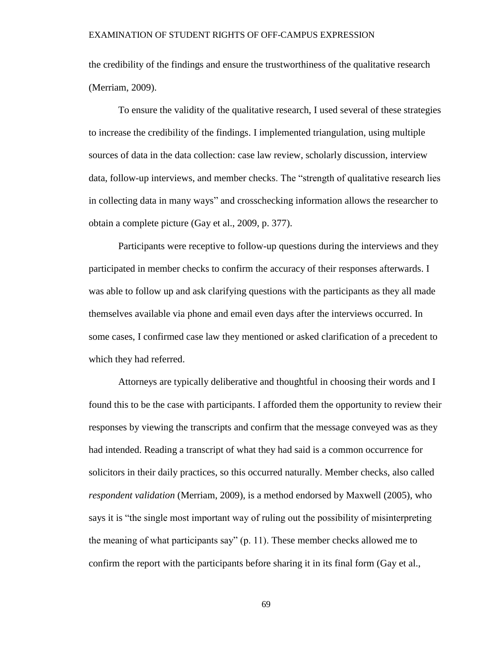the credibility of the findings and ensure the trustworthiness of the qualitative research (Merriam, 2009).

To ensure the validity of the qualitative research, I used several of these strategies to increase the credibility of the findings. I implemented triangulation, using multiple sources of data in the data collection: case law review, scholarly discussion, interview data, follow-up interviews, and member checks. The "strength of qualitative research lies in collecting data in many ways" and crosschecking information allows the researcher to obtain a complete picture (Gay et al., 2009, p. 377).

Participants were receptive to follow-up questions during the interviews and they participated in member checks to confirm the accuracy of their responses afterwards. I was able to follow up and ask clarifying questions with the participants as they all made themselves available via phone and email even days after the interviews occurred. In some cases, I confirmed case law they mentioned or asked clarification of a precedent to which they had referred.

Attorneys are typically deliberative and thoughtful in choosing their words and I found this to be the case with participants. I afforded them the opportunity to review their responses by viewing the transcripts and confirm that the message conveyed was as they had intended. Reading a transcript of what they had said is a common occurrence for solicitors in their daily practices, so this occurred naturally. Member checks, also called *respondent validation* (Merriam, 2009), is a method endorsed by Maxwell (2005), who says it is "the single most important way of ruling out the possibility of misinterpreting the meaning of what participants say" (p. 11). These member checks allowed me to confirm the report with the participants before sharing it in its final form (Gay et al.,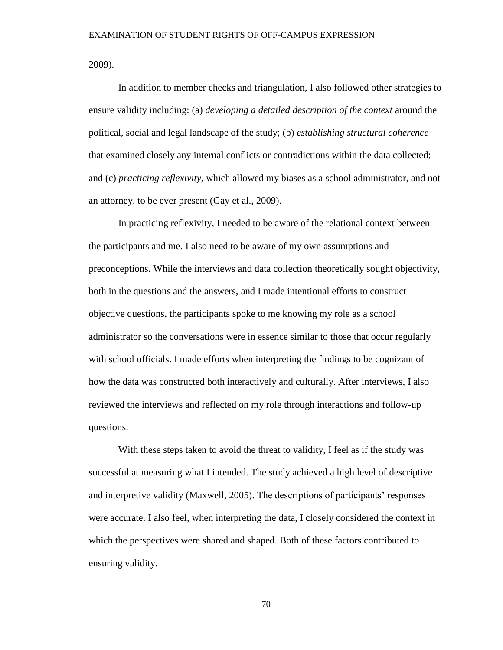2009).

In addition to member checks and triangulation, I also followed other strategies to ensure validity including: (a) *developing a detailed description of the context* around the political, social and legal landscape of the study; (b) *establishing structural coherence* that examined closely any internal conflicts or contradictions within the data collected; and (c) *practicing reflexivity,* which allowed my biases as a school administrator, and not an attorney, to be ever present (Gay et al., 2009).

In practicing reflexivity, I needed to be aware of the relational context between the participants and me. I also need to be aware of my own assumptions and preconceptions. While the interviews and data collection theoretically sought objectivity, both in the questions and the answers, and I made intentional efforts to construct objective questions, the participants spoke to me knowing my role as a school administrator so the conversations were in essence similar to those that occur regularly with school officials. I made efforts when interpreting the findings to be cognizant of how the data was constructed both interactively and culturally. After interviews, I also reviewed the interviews and reflected on my role through interactions and follow-up questions.

With these steps taken to avoid the threat to validity, I feel as if the study was successful at measuring what I intended. The study achieved a high level of descriptive and interpretive validity (Maxwell, 2005). The descriptions of participants' responses were accurate. I also feel, when interpreting the data, I closely considered the context in which the perspectives were shared and shaped. Both of these factors contributed to ensuring validity.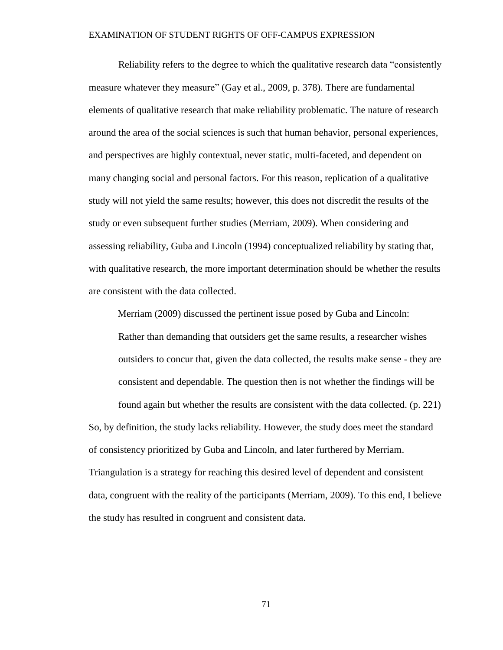Reliability refers to the degree to which the qualitative research data "consistently measure whatever they measure" (Gay et al., 2009, p. 378). There are fundamental elements of qualitative research that make reliability problematic. The nature of research around the area of the social sciences is such that human behavior, personal experiences, and perspectives are highly contextual, never static, multi-faceted, and dependent on many changing social and personal factors. For this reason, replication of a qualitative study will not yield the same results; however, this does not discredit the results of the study or even subsequent further studies (Merriam, 2009). When considering and assessing reliability, Guba and Lincoln (1994) conceptualized reliability by stating that, with qualitative research, the more important determination should be whether the results are consistent with the data collected.

Merriam (2009) discussed the pertinent issue posed by Guba and Lincoln: Rather than demanding that outsiders get the same results, a researcher wishes outsiders to concur that, given the data collected, the results make sense - they are consistent and dependable. The question then is not whether the findings will be found again but whether the results are consistent with the data collected. (p. 221) So, by definition, the study lacks reliability. However, the study does meet the standard of consistency prioritized by Guba and Lincoln, and later furthered by Merriam. Triangulation is a strategy for reaching this desired level of dependent and consistent data, congruent with the reality of the participants (Merriam, 2009). To this end, I believe the study has resulted in congruent and consistent data.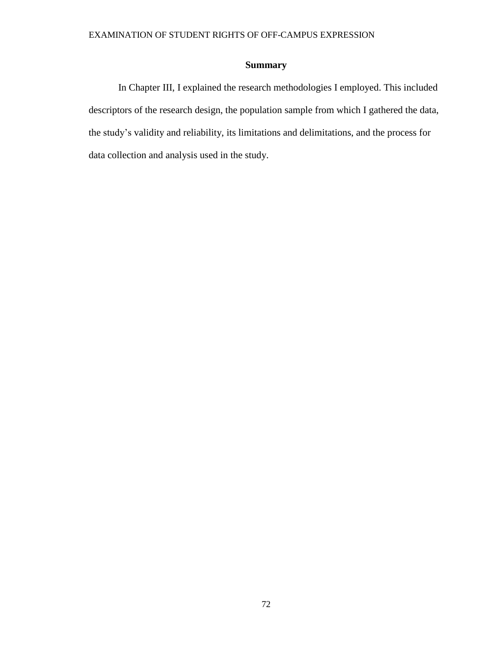# **Summary**

In Chapter III, I explained the research methodologies I employed. This included descriptors of the research design, the population sample from which I gathered the data, the study's validity and reliability, its limitations and delimitations, and the process for data collection and analysis used in the study.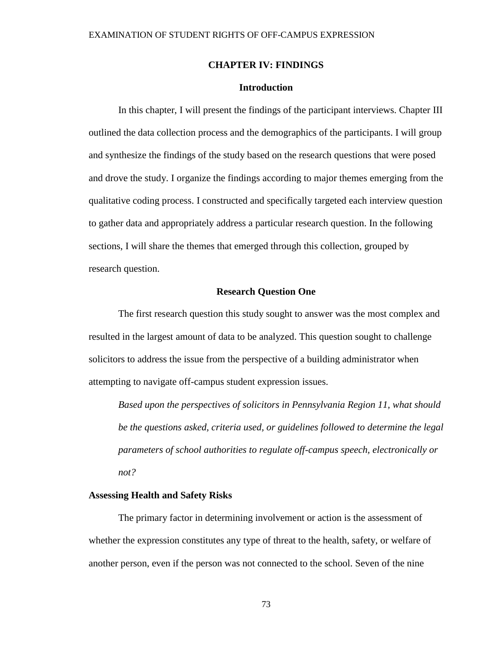## **CHAPTER IV: FINDINGS**

## **Introduction**

In this chapter, I will present the findings of the participant interviews. Chapter III outlined the data collection process and the demographics of the participants. I will group and synthesize the findings of the study based on the research questions that were posed and drove the study. I organize the findings according to major themes emerging from the qualitative coding process. I constructed and specifically targeted each interview question to gather data and appropriately address a particular research question. In the following sections, I will share the themes that emerged through this collection, grouped by research question.

## **Research Question One**

The first research question this study sought to answer was the most complex and resulted in the largest amount of data to be analyzed. This question sought to challenge solicitors to address the issue from the perspective of a building administrator when attempting to navigate off-campus student expression issues.

*Based upon the perspectives of solicitors in Pennsylvania Region 11, what should be the questions asked, criteria used, or guidelines followed to determine the legal parameters of school authorities to regulate off-campus speech, electronically or not?*

## **Assessing Health and Safety Risks**

The primary factor in determining involvement or action is the assessment of whether the expression constitutes any type of threat to the health, safety, or welfare of another person, even if the person was not connected to the school. Seven of the nine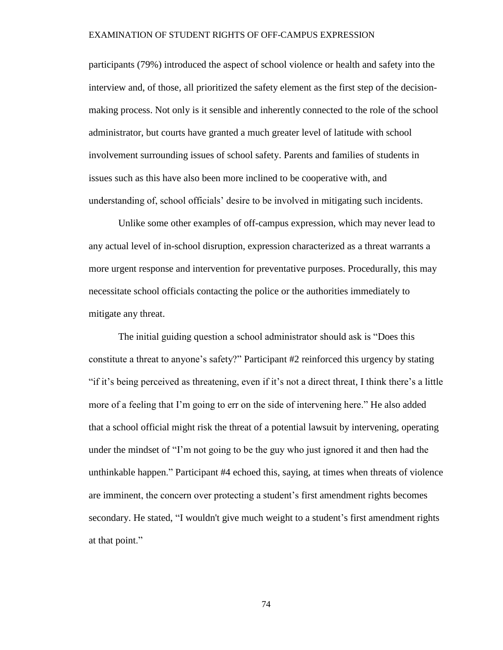participants (79%) introduced the aspect of school violence or health and safety into the interview and, of those, all prioritized the safety element as the first step of the decisionmaking process. Not only is it sensible and inherently connected to the role of the school administrator, but courts have granted a much greater level of latitude with school involvement surrounding issues of school safety. Parents and families of students in issues such as this have also been more inclined to be cooperative with, and understanding of, school officials' desire to be involved in mitigating such incidents.

Unlike some other examples of off-campus expression, which may never lead to any actual level of in-school disruption, expression characterized as a threat warrants a more urgent response and intervention for preventative purposes. Procedurally, this may necessitate school officials contacting the police or the authorities immediately to mitigate any threat.

The initial guiding question a school administrator should ask is "Does this constitute a threat to anyone's safety?" Participant #2 reinforced this urgency by stating "if it's being perceived as threatening, even if it's not a direct threat, I think there's a little more of a feeling that I'm going to err on the side of intervening here." He also added that a school official might risk the threat of a potential lawsuit by intervening, operating under the mindset of "I'm not going to be the guy who just ignored it and then had the unthinkable happen." Participant #4 echoed this, saying, at times when threats of violence are imminent, the concern over protecting a student's first amendment rights becomes secondary. He stated, "I wouldn't give much weight to a student's first amendment rights at that point."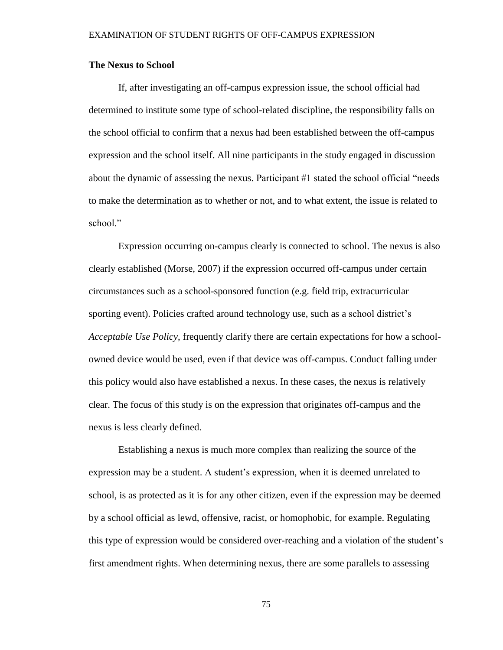## **The Nexus to School**

If, after investigating an off-campus expression issue, the school official had determined to institute some type of school-related discipline, the responsibility falls on the school official to confirm that a nexus had been established between the off-campus expression and the school itself. All nine participants in the study engaged in discussion about the dynamic of assessing the nexus. Participant #1 stated the school official "needs to make the determination as to whether or not, and to what extent, the issue is related to school<sup>"</sup>

Expression occurring on-campus clearly is connected to school. The nexus is also clearly established (Morse, 2007) if the expression occurred off-campus under certain circumstances such as a school-sponsored function (e.g. field trip, extracurricular sporting event). Policies crafted around technology use, such as a school district's *Acceptable Use Policy*, frequently clarify there are certain expectations for how a schoolowned device would be used, even if that device was off-campus. Conduct falling under this policy would also have established a nexus. In these cases, the nexus is relatively clear. The focus of this study is on the expression that originates off-campus and the nexus is less clearly defined.

Establishing a nexus is much more complex than realizing the source of the expression may be a student. A student's expression, when it is deemed unrelated to school, is as protected as it is for any other citizen, even if the expression may be deemed by a school official as lewd, offensive, racist, or homophobic, for example. Regulating this type of expression would be considered over-reaching and a violation of the student's first amendment rights. When determining nexus, there are some parallels to assessing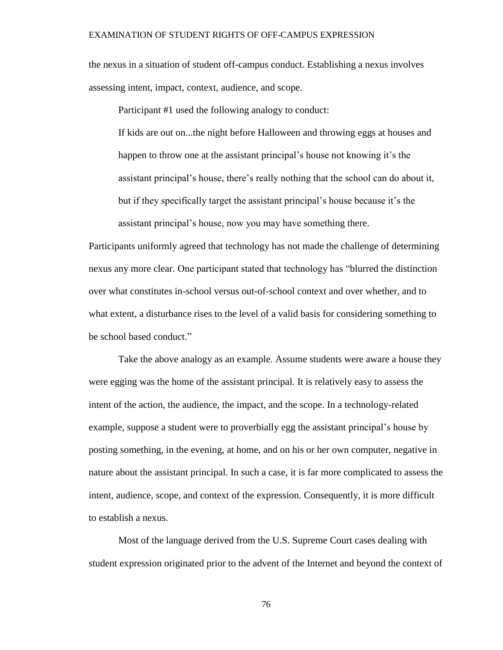the nexus in a situation of student off-campus conduct. Establishing a nexus involves assessing intent, impact, context, audience, and scope.

Participant #1 used the following analogy to conduct:

If kids are out on...the night before Halloween and throwing eggs at houses and happen to throw one at the assistant principal's house not knowing it's the assistant principal's house, there's really nothing that the school can do about it, but if they specifically target the assistant principal's house because it's the assistant principal's house, now you may have something there.

Participants uniformly agreed that technology has not made the challenge of determining nexus any more clear. One participant stated that technology has "blurred the distinction over what constitutes in-school versus out-of-school context and over whether, and to what extent, a disturbance rises to the level of a valid basis for considering something to be school based conduct."

Take the above analogy as an example. Assume students were aware a house they were egging was the home of the assistant principal. It is relatively easy to assess the intent of the action, the audience, the impact, and the scope. In a technology-related example, suppose a student were to proverbially egg the assistant principal's house by posting something, in the evening, at home, and on his or her own computer, negative in nature about the assistant principal. In such a case, it is far more complicated to assess the intent, audience, scope, and context of the expression. Consequently, it is more difficult to establish a nexus.

Most of the language derived from the U.S. Supreme Court cases dealing with student expression originated prior to the advent of the Internet and beyond the context of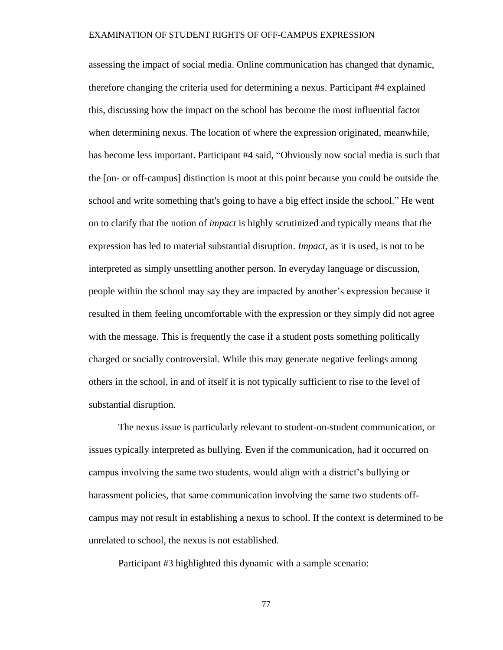assessing the impact of social media. Online communication has changed that dynamic, therefore changing the criteria used for determining a nexus. Participant #4 explained this, discussing how the impact on the school has become the most influential factor when determining nexus. The location of where the expression originated, meanwhile, has become less important. Participant #4 said, "Obviously now social media is such that the [on- or off-campus] distinction is moot at this point because you could be outside the school and write something that's going to have a big effect inside the school." He went on to clarify that the notion of *impact* is highly scrutinized and typically means that the expression has led to material substantial disruption. *Impact,* as it is used, is not to be interpreted as simply unsettling another person. In everyday language or discussion, people within the school may say they are impacted by another's expression because it resulted in them feeling uncomfortable with the expression or they simply did not agree with the message. This is frequently the case if a student posts something politically charged or socially controversial. While this may generate negative feelings among others in the school, in and of itself it is not typically sufficient to rise to the level of substantial disruption.

The nexus issue is particularly relevant to student-on-student communication, or issues typically interpreted as bullying. Even if the communication, had it occurred on campus involving the same two students, would align with a district's bullying or harassment policies, that same communication involving the same two students offcampus may not result in establishing a nexus to school. If the context is determined to be unrelated to school, the nexus is not established.

Participant #3 highlighted this dynamic with a sample scenario: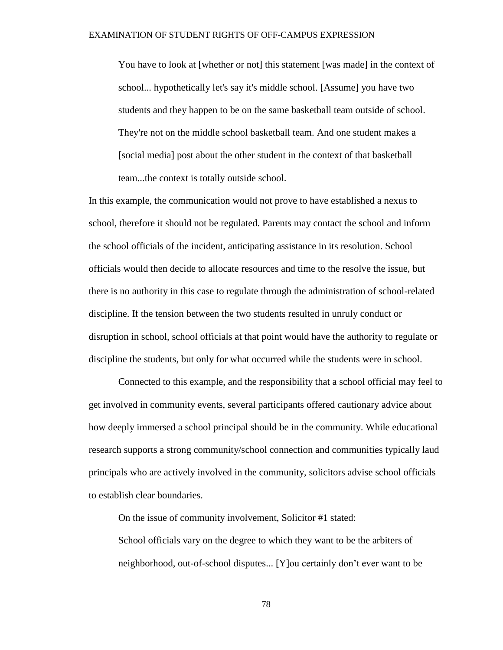You have to look at [whether or not] this statement [was made] in the context of school... hypothetically let's say it's middle school. [Assume] you have two students and they happen to be on the same basketball team outside of school. They're not on the middle school basketball team. And one student makes a [social media] post about the other student in the context of that basketball team...the context is totally outside school.

In this example, the communication would not prove to have established a nexus to school, therefore it should not be regulated. Parents may contact the school and inform the school officials of the incident, anticipating assistance in its resolution. School officials would then decide to allocate resources and time to the resolve the issue, but there is no authority in this case to regulate through the administration of school-related discipline. If the tension between the two students resulted in unruly conduct or disruption in school, school officials at that point would have the authority to regulate or discipline the students, but only for what occurred while the students were in school.

Connected to this example, and the responsibility that a school official may feel to get involved in community events, several participants offered cautionary advice about how deeply immersed a school principal should be in the community. While educational research supports a strong community/school connection and communities typically laud principals who are actively involved in the community, solicitors advise school officials to establish clear boundaries.

On the issue of community involvement, Solicitor #1 stated:

School officials vary on the degree to which they want to be the arbiters of neighborhood, out-of-school disputes... [Y]ou certainly don't ever want to be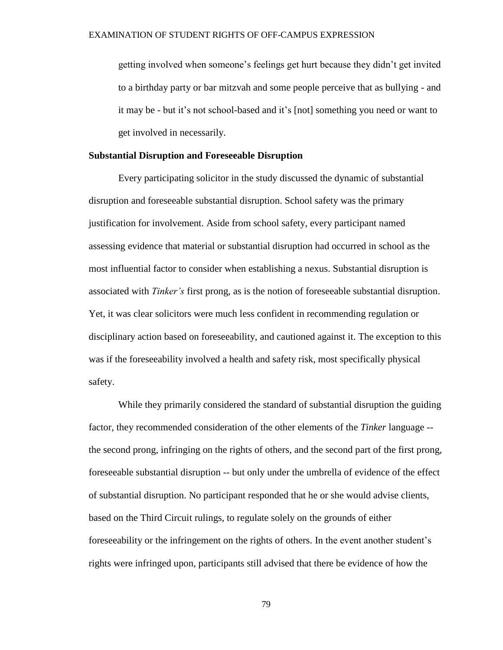getting involved when someone's feelings get hurt because they didn't get invited to a birthday party or bar mitzvah and some people perceive that as bullying - and it may be - but it's not school-based and it's [not] something you need or want to get involved in necessarily.

## **Substantial Disruption and Foreseeable Disruption**

Every participating solicitor in the study discussed the dynamic of substantial disruption and foreseeable substantial disruption. School safety was the primary justification for involvement. Aside from school safety, every participant named assessing evidence that material or substantial disruption had occurred in school as the most influential factor to consider when establishing a nexus. Substantial disruption is associated with *Tinker's* first prong, as is the notion of foreseeable substantial disruption. Yet, it was clear solicitors were much less confident in recommending regulation or disciplinary action based on foreseeability, and cautioned against it. The exception to this was if the foreseeability involved a health and safety risk, most specifically physical safety.

While they primarily considered the standard of substantial disruption the guiding factor, they recommended consideration of the other elements of the *Tinker* language - the second prong, infringing on the rights of others, and the second part of the first prong, foreseeable substantial disruption -- but only under the umbrella of evidence of the effect of substantial disruption. No participant responded that he or she would advise clients, based on the Third Circuit rulings, to regulate solely on the grounds of either foreseeability or the infringement on the rights of others. In the event another student's rights were infringed upon, participants still advised that there be evidence of how the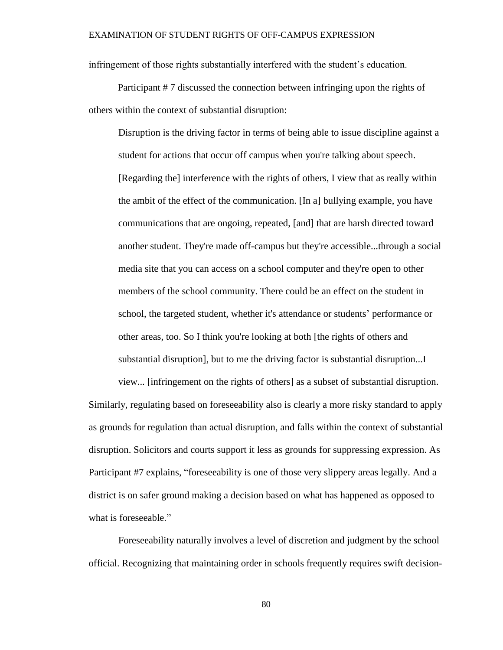infringement of those rights substantially interfered with the student's education.

Participant # 7 discussed the connection between infringing upon the rights of others within the context of substantial disruption:

Disruption is the driving factor in terms of being able to issue discipline against a student for actions that occur off campus when you're talking about speech. [Regarding the] interference with the rights of others, I view that as really within the ambit of the effect of the communication. [In a] bullying example, you have communications that are ongoing, repeated, [and] that are harsh directed toward another student. They're made off-campus but they're accessible...through a social media site that you can access on a school computer and they're open to other members of the school community. There could be an effect on the student in school, the targeted student, whether it's attendance or students' performance or other areas, too. So I think you're looking at both [the rights of others and substantial disruption], but to me the driving factor is substantial disruption...I

view... [infringement on the rights of others] as a subset of substantial disruption. Similarly, regulating based on foreseeability also is clearly a more risky standard to apply as grounds for regulation than actual disruption, and falls within the context of substantial disruption. Solicitors and courts support it less as grounds for suppressing expression. As Participant #7 explains, "foreseeability is one of those very slippery areas legally. And a district is on safer ground making a decision based on what has happened as opposed to what is foreseeable."

Foreseeability naturally involves a level of discretion and judgment by the school official. Recognizing that maintaining order in schools frequently requires swift decision-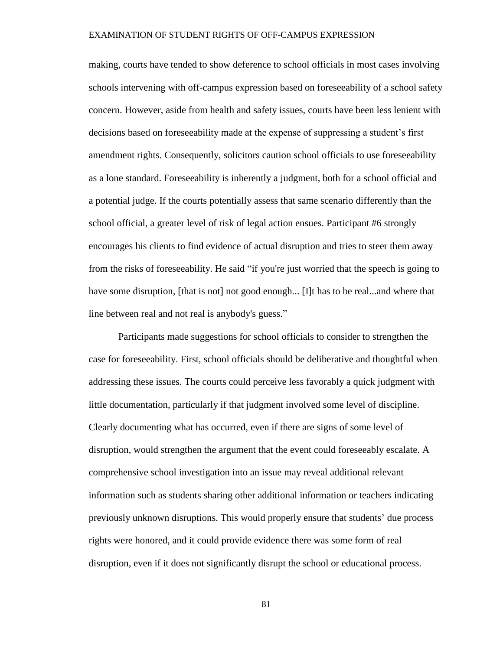making, courts have tended to show deference to school officials in most cases involving schools intervening with off-campus expression based on foreseeability of a school safety concern. However, aside from health and safety issues, courts have been less lenient with decisions based on foreseeability made at the expense of suppressing a student's first amendment rights. Consequently, solicitors caution school officials to use foreseeability as a lone standard. Foreseeability is inherently a judgment, both for a school official and a potential judge. If the courts potentially assess that same scenario differently than the school official, a greater level of risk of legal action ensues. Participant #6 strongly encourages his clients to find evidence of actual disruption and tries to steer them away from the risks of foreseeability. He said "if you're just worried that the speech is going to have some disruption, [that is not] not good enough... [I]t has to be real...and where that line between real and not real is anybody's guess."

Participants made suggestions for school officials to consider to strengthen the case for foreseeability. First, school officials should be deliberative and thoughtful when addressing these issues. The courts could perceive less favorably a quick judgment with little documentation, particularly if that judgment involved some level of discipline. Clearly documenting what has occurred, even if there are signs of some level of disruption, would strengthen the argument that the event could foreseeably escalate. A comprehensive school investigation into an issue may reveal additional relevant information such as students sharing other additional information or teachers indicating previously unknown disruptions. This would properly ensure that students' due process rights were honored, and it could provide evidence there was some form of real disruption, even if it does not significantly disrupt the school or educational process.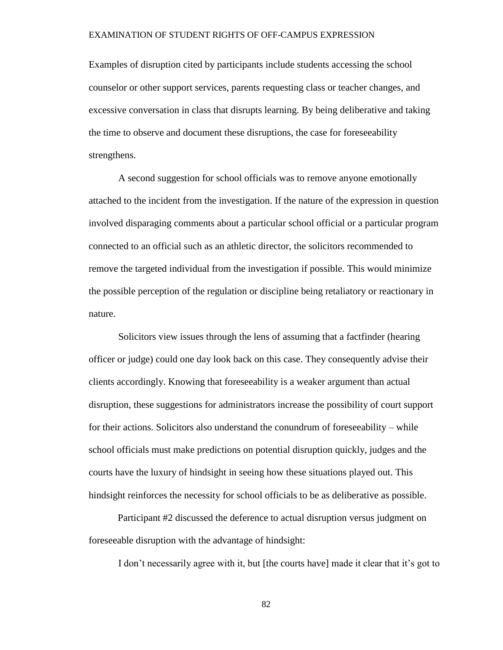Examples of disruption cited by participants include students accessing the school counselor or other support services, parents requesting class or teacher changes, and excessive conversation in class that disrupts learning. By being deliberative and taking the time to observe and document these disruptions, the case for foreseeability strengthens.

A second suggestion for school officials was to remove anyone emotionally attached to the incident from the investigation. If the nature of the expression in question involved disparaging comments about a particular school official or a particular program connected to an official such as an athletic director, the solicitors recommended to remove the targeted individual from the investigation if possible. This would minimize the possible perception of the regulation or discipline being retaliatory or reactionary in nature.

Solicitors view issues through the lens of assuming that a factfinder (hearing officer or judge) could one day look back on this case. They consequently advise their clients accordingly. Knowing that foreseeability is a weaker argument than actual disruption, these suggestions for administrators increase the possibility of court support for their actions. Solicitors also understand the conundrum of foreseeability – while school officials must make predictions on potential disruption quickly, judges and the courts have the luxury of hindsight in seeing how these situations played out. This hindsight reinforces the necessity for school officials to be as deliberative as possible.

Participant #2 discussed the deference to actual disruption versus judgment on foreseeable disruption with the advantage of hindsight:

I don't necessarily agree with it, but [the courts have] made it clear that it's got to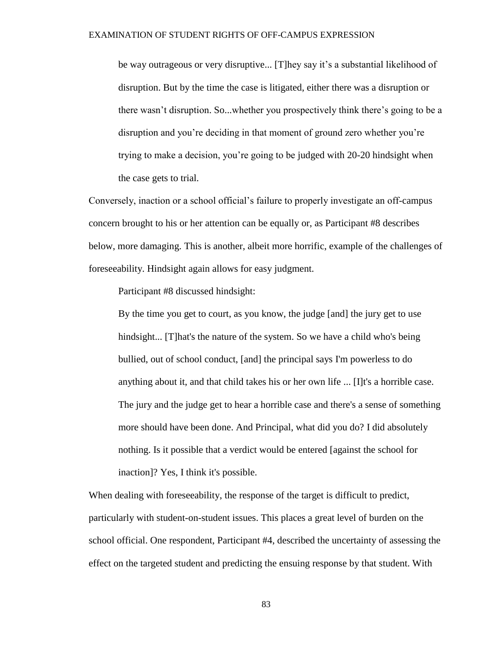be way outrageous or very disruptive... [T]hey say it's a substantial likelihood of disruption. But by the time the case is litigated, either there was a disruption or there wasn't disruption. So...whether you prospectively think there's going to be a disruption and you're deciding in that moment of ground zero whether you're trying to make a decision, you're going to be judged with 20-20 hindsight when the case gets to trial.

Conversely, inaction or a school official's failure to properly investigate an off-campus concern brought to his or her attention can be equally or, as Participant #8 describes below, more damaging. This is another, albeit more horrific, example of the challenges of foreseeability. Hindsight again allows for easy judgment.

Participant #8 discussed hindsight:

By the time you get to court, as you know, the judge [and] the jury get to use hindsight... [T]hat's the nature of the system. So we have a child who's being bullied, out of school conduct, [and] the principal says I'm powerless to do anything about it, and that child takes his or her own life ... [I]t's a horrible case. The jury and the judge get to hear a horrible case and there's a sense of something more should have been done. And Principal, what did you do? I did absolutely nothing. Is it possible that a verdict would be entered [against the school for inaction]? Yes, I think it's possible.

When dealing with foreseeability, the response of the target is difficult to predict, particularly with student-on-student issues. This places a great level of burden on the school official. One respondent, Participant #4, described the uncertainty of assessing the effect on the targeted student and predicting the ensuing response by that student. With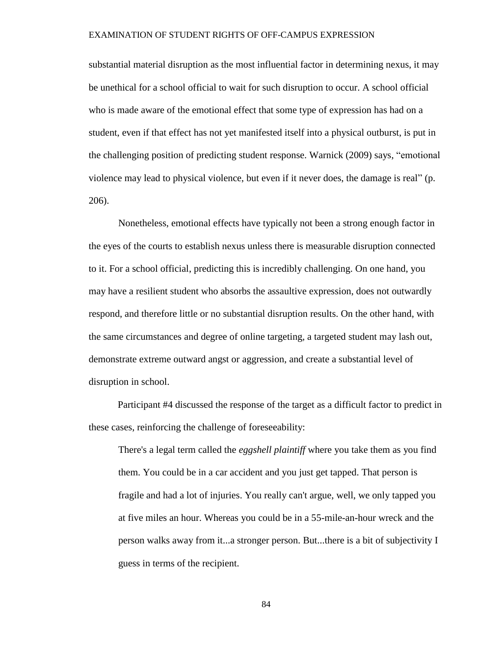substantial material disruption as the most influential factor in determining nexus, it may be unethical for a school official to wait for such disruption to occur. A school official who is made aware of the emotional effect that some type of expression has had on a student, even if that effect has not yet manifested itself into a physical outburst, is put in the challenging position of predicting student response. Warnick (2009) says, "emotional violence may lead to physical violence, but even if it never does, the damage is real" (p. 206).

Nonetheless, emotional effects have typically not been a strong enough factor in the eyes of the courts to establish nexus unless there is measurable disruption connected to it. For a school official, predicting this is incredibly challenging. On one hand, you may have a resilient student who absorbs the assaultive expression, does not outwardly respond, and therefore little or no substantial disruption results. On the other hand, with the same circumstances and degree of online targeting, a targeted student may lash out, demonstrate extreme outward angst or aggression, and create a substantial level of disruption in school.

Participant #4 discussed the response of the target as a difficult factor to predict in these cases, reinforcing the challenge of foreseeability:

There's a legal term called the *eggshell plaintiff* where you take them as you find them. You could be in a car accident and you just get tapped. That person is fragile and had a lot of injuries. You really can't argue, well, we only tapped you at five miles an hour. Whereas you could be in a 55-mile-an-hour wreck and the person walks away from it...a stronger person. But...there is a bit of subjectivity I guess in terms of the recipient.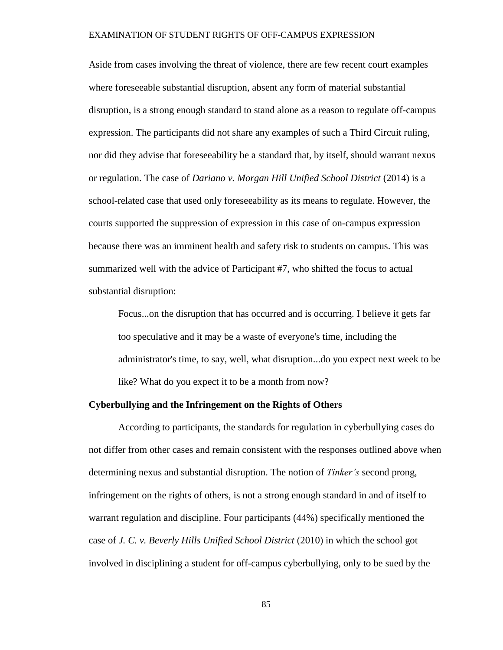Aside from cases involving the threat of violence, there are few recent court examples where foreseeable substantial disruption, absent any form of material substantial disruption, is a strong enough standard to stand alone as a reason to regulate off-campus expression. The participants did not share any examples of such a Third Circuit ruling, nor did they advise that foreseeability be a standard that, by itself, should warrant nexus or regulation. The case of *Dariano v. Morgan Hill Unified School District* (2014) is a school-related case that used only foreseeability as its means to regulate. However, the courts supported the suppression of expression in this case of on-campus expression because there was an imminent health and safety risk to students on campus. This was summarized well with the advice of Participant #7, who shifted the focus to actual substantial disruption:

Focus...on the disruption that has occurred and is occurring. I believe it gets far too speculative and it may be a waste of everyone's time, including the administrator's time, to say, well, what disruption...do you expect next week to be like? What do you expect it to be a month from now?

## **Cyberbullying and the Infringement on the Rights of Others**

According to participants, the standards for regulation in cyberbullying cases do not differ from other cases and remain consistent with the responses outlined above when determining nexus and substantial disruption. The notion of *Tinker's* second prong, infringement on the rights of others, is not a strong enough standard in and of itself to warrant regulation and discipline. Four participants (44%) specifically mentioned the case of *J. C. v. Beverly Hills Unified School District* (2010) in which the school got involved in disciplining a student for off-campus cyberbullying, only to be sued by the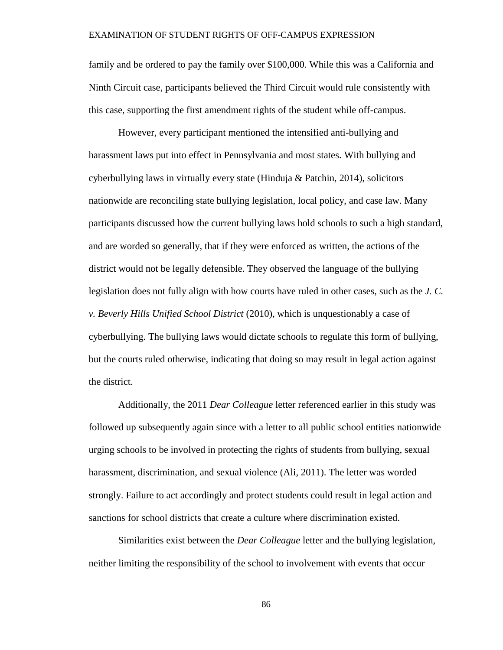family and be ordered to pay the family over \$100,000. While this was a California and Ninth Circuit case, participants believed the Third Circuit would rule consistently with this case, supporting the first amendment rights of the student while off-campus.

However, every participant mentioned the intensified anti-bullying and harassment laws put into effect in Pennsylvania and most states. With bullying and cyberbullying laws in virtually every state (Hinduja & Patchin, 2014), solicitors nationwide are reconciling state bullying legislation, local policy, and case law. Many participants discussed how the current bullying laws hold schools to such a high standard, and are worded so generally, that if they were enforced as written, the actions of the district would not be legally defensible. They observed the language of the bullying legislation does not fully align with how courts have ruled in other cases, such as the *J. C. v. Beverly Hills Unified School District* (2010), which is unquestionably a case of cyberbullying. The bullying laws would dictate schools to regulate this form of bullying, but the courts ruled otherwise, indicating that doing so may result in legal action against the district.

Additionally, the 2011 *Dear Colleague* letter referenced earlier in this study was followed up subsequently again since with a letter to all public school entities nationwide urging schools to be involved in protecting the rights of students from bullying, sexual harassment, discrimination, and sexual violence (Ali, 2011). The letter was worded strongly. Failure to act accordingly and protect students could result in legal action and sanctions for school districts that create a culture where discrimination existed.

Similarities exist between the *Dear Colleague* letter and the bullying legislation, neither limiting the responsibility of the school to involvement with events that occur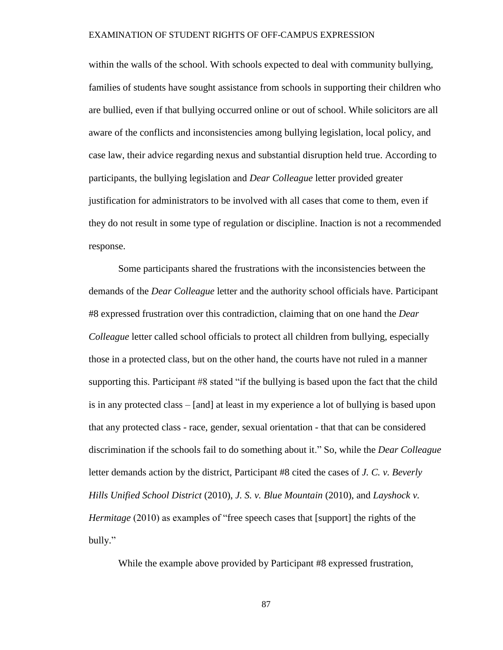within the walls of the school. With schools expected to deal with community bullying, families of students have sought assistance from schools in supporting their children who are bullied, even if that bullying occurred online or out of school. While solicitors are all aware of the conflicts and inconsistencies among bullying legislation, local policy, and case law, their advice regarding nexus and substantial disruption held true. According to participants, the bullying legislation and *Dear Colleague* letter provided greater justification for administrators to be involved with all cases that come to them, even if they do not result in some type of regulation or discipline. Inaction is not a recommended response.

Some participants shared the frustrations with the inconsistencies between the demands of the *Dear Colleague* letter and the authority school officials have. Participant #8 expressed frustration over this contradiction, claiming that on one hand the *Dear Colleague* letter called school officials to protect all children from bullying, especially those in a protected class, but on the other hand, the courts have not ruled in a manner supporting this. Participant #8 stated "if the bullying is based upon the fact that the child is in any protected class – [and] at least in my experience a lot of bullying is based upon that any protected class - race, gender, sexual orientation - that that can be considered discrimination if the schools fail to do something about it." So, while the *Dear Colleague* letter demands action by the district, Participant #8 cited the cases of *J. C. v. Beverly Hills Unified School District* (2010), *J. S. v. Blue Mountain* (2010), and *Layshock v. Hermitage* (2010) as examples of "free speech cases that [support] the rights of the bully."

While the example above provided by Participant #8 expressed frustration,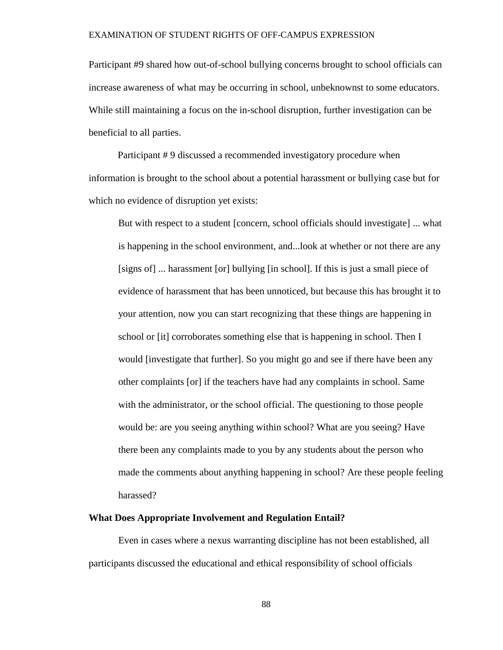Participant #9 shared how out-of-school bullying concerns brought to school officials can increase awareness of what may be occurring in school, unbeknownst to some educators. While still maintaining a focus on the in-school disruption, further investigation can be beneficial to all parties.

Participant # 9 discussed a recommended investigatory procedure when information is brought to the school about a potential harassment or bullying case but for which no evidence of disruption yet exists:

But with respect to a student [concern, school officials should investigate] ... what is happening in the school environment, and...look at whether or not there are any [signs of] ... harassment [or] bullying [in school]. If this is just a small piece of evidence of harassment that has been unnoticed, but because this has brought it to your attention, now you can start recognizing that these things are happening in school or [it] corroborates something else that is happening in school. Then I would [investigate that further]. So you might go and see if there have been any other complaints [or] if the teachers have had any complaints in school. Same with the administrator, or the school official. The questioning to those people would be: are you seeing anything within school? What are you seeing? Have there been any complaints made to you by any students about the person who made the comments about anything happening in school? Are these people feeling harassed?

## **What Does Appropriate Involvement and Regulation Entail?**

Even in cases where a nexus warranting discipline has not been established, all participants discussed the educational and ethical responsibility of school officials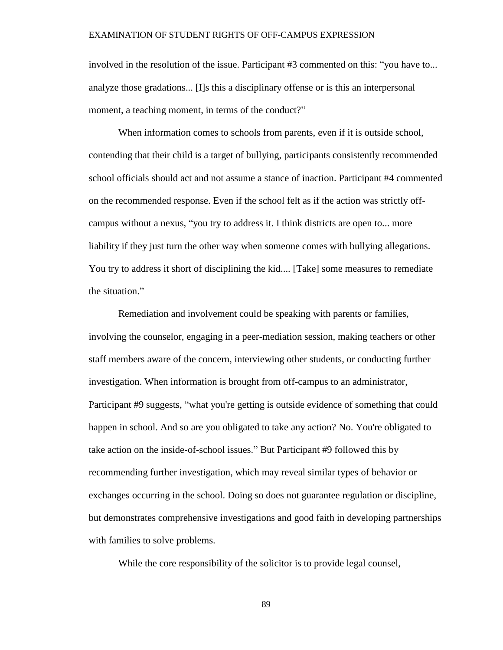involved in the resolution of the issue. Participant #3 commented on this: "you have to... analyze those gradations... [I]s this a disciplinary offense or is this an interpersonal moment, a teaching moment, in terms of the conduct?"

When information comes to schools from parents, even if it is outside school, contending that their child is a target of bullying, participants consistently recommended school officials should act and not assume a stance of inaction. Participant #4 commented on the recommended response. Even if the school felt as if the action was strictly offcampus without a nexus, "you try to address it. I think districts are open to... more liability if they just turn the other way when someone comes with bullying allegations. You try to address it short of disciplining the kid.... [Take] some measures to remediate the situation."

Remediation and involvement could be speaking with parents or families, involving the counselor, engaging in a peer-mediation session, making teachers or other staff members aware of the concern, interviewing other students, or conducting further investigation. When information is brought from off-campus to an administrator, Participant #9 suggests, "what you're getting is outside evidence of something that could happen in school. And so are you obligated to take any action? No. You're obligated to take action on the inside-of-school issues." But Participant #9 followed this by recommending further investigation, which may reveal similar types of behavior or exchanges occurring in the school. Doing so does not guarantee regulation or discipline, but demonstrates comprehensive investigations and good faith in developing partnerships with families to solve problems.

While the core responsibility of the solicitor is to provide legal counsel,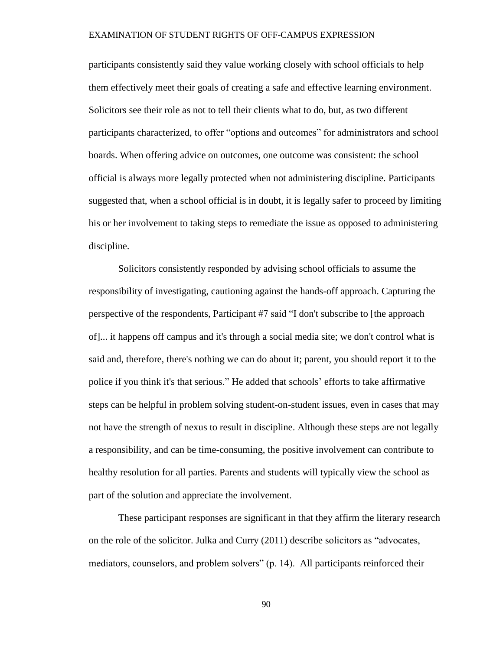participants consistently said they value working closely with school officials to help them effectively meet their goals of creating a safe and effective learning environment. Solicitors see their role as not to tell their clients what to do, but, as two different participants characterized, to offer "options and outcomes" for administrators and school boards. When offering advice on outcomes, one outcome was consistent: the school official is always more legally protected when not administering discipline. Participants suggested that, when a school official is in doubt, it is legally safer to proceed by limiting his or her involvement to taking steps to remediate the issue as opposed to administering discipline.

Solicitors consistently responded by advising school officials to assume the responsibility of investigating, cautioning against the hands-off approach. Capturing the perspective of the respondents, Participant #7 said "I don't subscribe to [the approach of]... it happens off campus and it's through a social media site; we don't control what is said and, therefore, there's nothing we can do about it; parent, you should report it to the police if you think it's that serious." He added that schools' efforts to take affirmative steps can be helpful in problem solving student-on-student issues, even in cases that may not have the strength of nexus to result in discipline. Although these steps are not legally a responsibility, and can be time-consuming, the positive involvement can contribute to healthy resolution for all parties. Parents and students will typically view the school as part of the solution and appreciate the involvement.

These participant responses are significant in that they affirm the literary research on the role of the solicitor. Julka and Curry (2011) describe solicitors as "advocates, mediators, counselors, and problem solvers" (p. 14). All participants reinforced their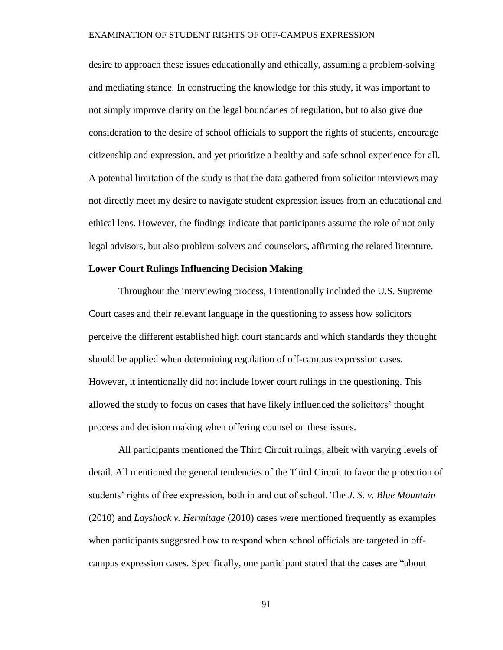desire to approach these issues educationally and ethically, assuming a problem-solving and mediating stance. In constructing the knowledge for this study, it was important to not simply improve clarity on the legal boundaries of regulation, but to also give due consideration to the desire of school officials to support the rights of students, encourage citizenship and expression, and yet prioritize a healthy and safe school experience for all. A potential limitation of the study is that the data gathered from solicitor interviews may not directly meet my desire to navigate student expression issues from an educational and ethical lens. However, the findings indicate that participants assume the role of not only legal advisors, but also problem-solvers and counselors, affirming the related literature.

## **Lower Court Rulings Influencing Decision Making**

Throughout the interviewing process, I intentionally included the U.S. Supreme Court cases and their relevant language in the questioning to assess how solicitors perceive the different established high court standards and which standards they thought should be applied when determining regulation of off-campus expression cases. However, it intentionally did not include lower court rulings in the questioning. This allowed the study to focus on cases that have likely influenced the solicitors' thought process and decision making when offering counsel on these issues.

All participants mentioned the Third Circuit rulings, albeit with varying levels of detail. All mentioned the general tendencies of the Third Circuit to favor the protection of students' rights of free expression, both in and out of school. The *J. S. v. Blue Mountain* (2010) and *Layshock v. Hermitage* (2010) cases were mentioned frequently as examples when participants suggested how to respond when school officials are targeted in offcampus expression cases. Specifically, one participant stated that the cases are "about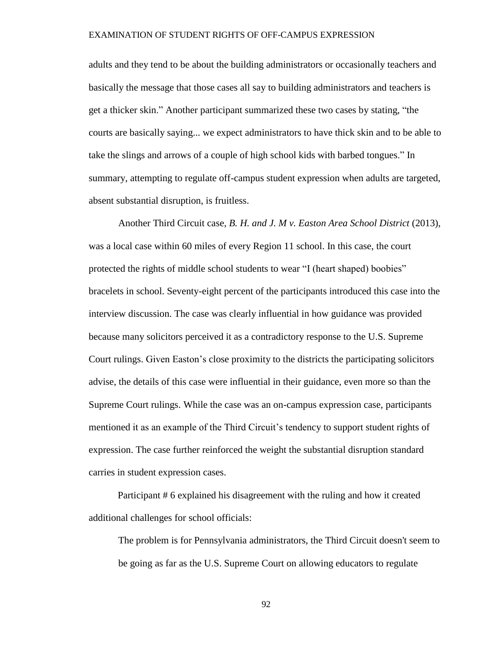adults and they tend to be about the building administrators or occasionally teachers and basically the message that those cases all say to building administrators and teachers is get a thicker skin." Another participant summarized these two cases by stating, "the courts are basically saying... we expect administrators to have thick skin and to be able to take the slings and arrows of a couple of high school kids with barbed tongues." In summary, attempting to regulate off-campus student expression when adults are targeted, absent substantial disruption, is fruitless.

Another Third Circuit case, *B. H. and J. M v. Easton Area School District* (2013), was a local case within 60 miles of every Region 11 school. In this case, the court protected the rights of middle school students to wear "I (heart shaped) boobies" bracelets in school. Seventy-eight percent of the participants introduced this case into the interview discussion. The case was clearly influential in how guidance was provided because many solicitors perceived it as a contradictory response to the U.S. Supreme Court rulings. Given Easton's close proximity to the districts the participating solicitors advise, the details of this case were influential in their guidance, even more so than the Supreme Court rulings. While the case was an on-campus expression case, participants mentioned it as an example of the Third Circuit's tendency to support student rights of expression. The case further reinforced the weight the substantial disruption standard carries in student expression cases.

Participant # 6 explained his disagreement with the ruling and how it created additional challenges for school officials:

The problem is for Pennsylvania administrators, the Third Circuit doesn't seem to be going as far as the U.S. Supreme Court on allowing educators to regulate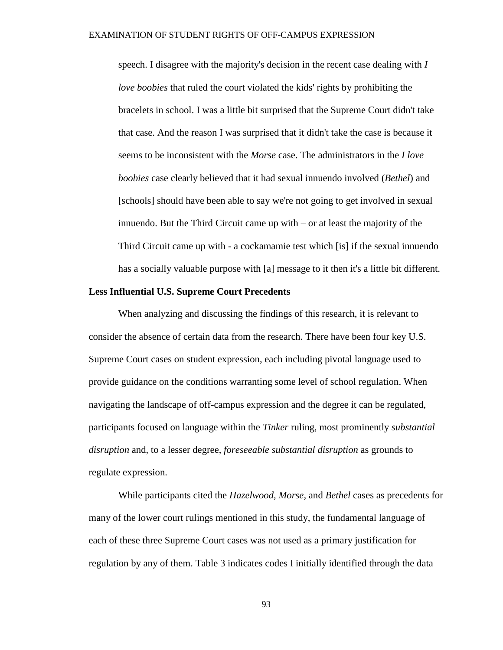speech. I disagree with the majority's decision in the recent case dealing with *I love boobies* that ruled the court violated the kids' rights by prohibiting the bracelets in school. I was a little bit surprised that the Supreme Court didn't take that case. And the reason I was surprised that it didn't take the case is because it seems to be inconsistent with the *Morse* case. The administrators in the *I love boobies* case clearly believed that it had sexual innuendo involved (*Bethel*) and [schools] should have been able to say we're not going to get involved in sexual innuendo. But the Third Circuit came up with – or at least the majority of the Third Circuit came up with - a cockamamie test which [is] if the sexual innuendo has a socially valuable purpose with [a] message to it then it's a little bit different.

## **Less Influential U.S. Supreme Court Precedents**

When analyzing and discussing the findings of this research, it is relevant to consider the absence of certain data from the research. There have been four key U.S. Supreme Court cases on student expression, each including pivotal language used to provide guidance on the conditions warranting some level of school regulation. When navigating the landscape of off-campus expression and the degree it can be regulated, participants focused on language within the *Tinker* ruling, most prominently *substantial disruption* and, to a lesser degree, *foreseeable substantial disruption* as grounds to regulate expression.

While participants cited the *Hazelwood, Morse,* and *Bethel* cases as precedents for many of the lower court rulings mentioned in this study, the fundamental language of each of these three Supreme Court cases was not used as a primary justification for regulation by any of them. Table 3 indicates codes I initially identified through the data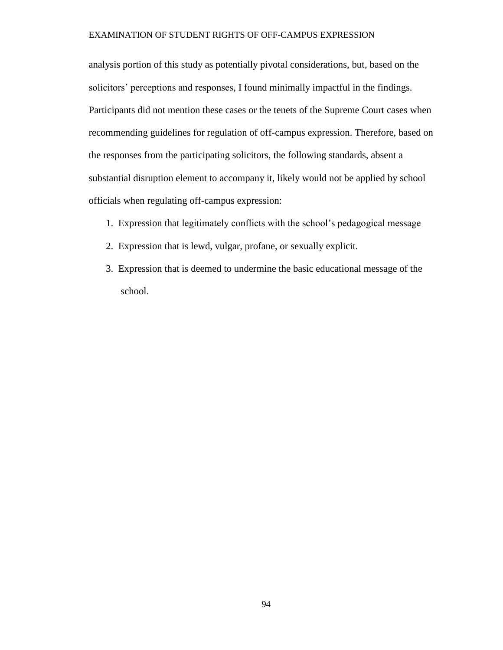analysis portion of this study as potentially pivotal considerations, but, based on the solicitors' perceptions and responses, I found minimally impactful in the findings. Participants did not mention these cases or the tenets of the Supreme Court cases when recommending guidelines for regulation of off-campus expression. Therefore, based on the responses from the participating solicitors, the following standards, absent a substantial disruption element to accompany it, likely would not be applied by school officials when regulating off-campus expression:

- 1. Expression that legitimately conflicts with the school's pedagogical message
- 2. Expression that is lewd, vulgar, profane, or sexually explicit.
- 3. Expression that is deemed to undermine the basic educational message of the school.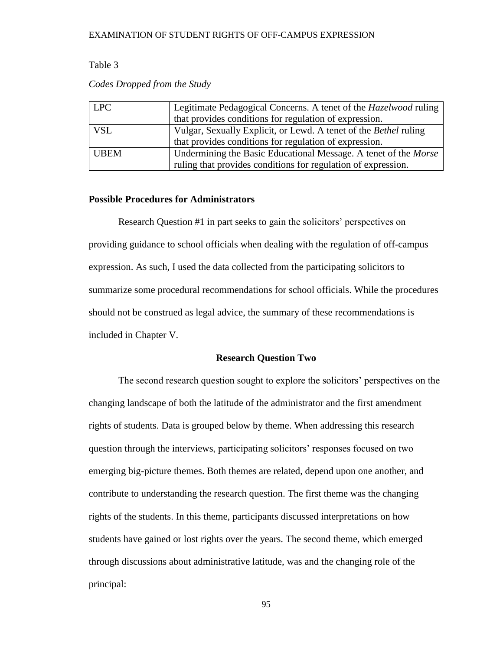## Table 3

| <b>LPC</b>  | Legitimate Pedagogical Concerns. A tenet of the <i>Hazelwood</i> ruling |  |
|-------------|-------------------------------------------------------------------------|--|
|             | that provides conditions for regulation of expression.                  |  |
| <b>VSL</b>  | Vulgar, Sexually Explicit, or Lewd. A tenet of the Bethel ruling        |  |
|             | that provides conditions for regulation of expression.                  |  |
| <b>UBEM</b> | Undermining the Basic Educational Message. A tenet of the <i>Morse</i>  |  |
|             | ruling that provides conditions for regulation of expression.           |  |

## *Codes Dropped from the Study*

## **Possible Procedures for Administrators**

Research Question #1 in part seeks to gain the solicitors' perspectives on providing guidance to school officials when dealing with the regulation of off-campus expression. As such, I used the data collected from the participating solicitors to summarize some procedural recommendations for school officials. While the procedures should not be construed as legal advice, the summary of these recommendations is included in Chapter V.

## **Research Question Two**

The second research question sought to explore the solicitors' perspectives on the changing landscape of both the latitude of the administrator and the first amendment rights of students. Data is grouped below by theme. When addressing this research question through the interviews, participating solicitors' responses focused on two emerging big-picture themes. Both themes are related, depend upon one another, and contribute to understanding the research question. The first theme was the changing rights of the students. In this theme, participants discussed interpretations on how students have gained or lost rights over the years. The second theme, which emerged through discussions about administrative latitude, was and the changing role of the principal: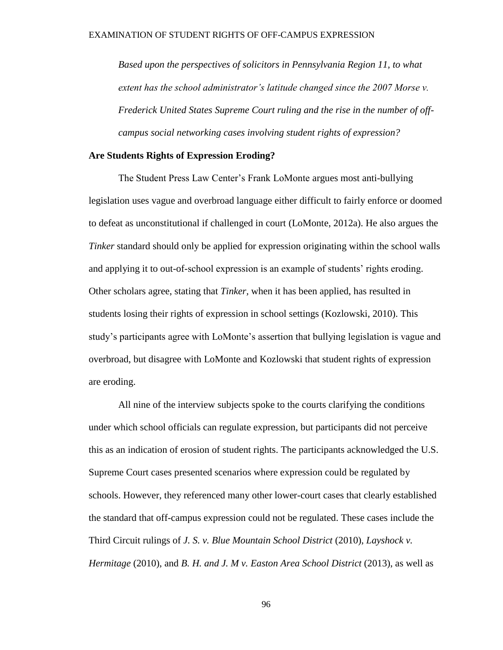*Based upon the perspectives of solicitors in Pennsylvania Region 11, to what extent has the school administrator's latitude changed since the 2007 Morse v. Frederick United States Supreme Court ruling and the rise in the number of offcampus social networking cases involving student rights of expression?* 

## **Are Students Rights of Expression Eroding?**

The Student Press Law Center's Frank LoMonte argues most anti-bullying legislation uses vague and overbroad language either difficult to fairly enforce or doomed to defeat as unconstitutional if challenged in court (LoMonte, 2012a). He also argues the *Tinker* standard should only be applied for expression originating within the school walls and applying it to out-of-school expression is an example of students' rights eroding. Other scholars agree, stating that *Tinker,* when it has been applied, has resulted in students losing their rights of expression in school settings (Kozlowski, 2010). This study's participants agree with LoMonte's assertion that bullying legislation is vague and overbroad, but disagree with LoMonte and Kozlowski that student rights of expression are eroding.

All nine of the interview subjects spoke to the courts clarifying the conditions under which school officials can regulate expression, but participants did not perceive this as an indication of erosion of student rights. The participants acknowledged the U.S. Supreme Court cases presented scenarios where expression could be regulated by schools. However, they referenced many other lower-court cases that clearly established the standard that off-campus expression could not be regulated. These cases include the Third Circuit rulings of *J. S. v. Blue Mountain School District* (2010), *Layshock v. Hermitage* (2010), and *B. H. and J. M v. Easton Area School District* (2013), as well as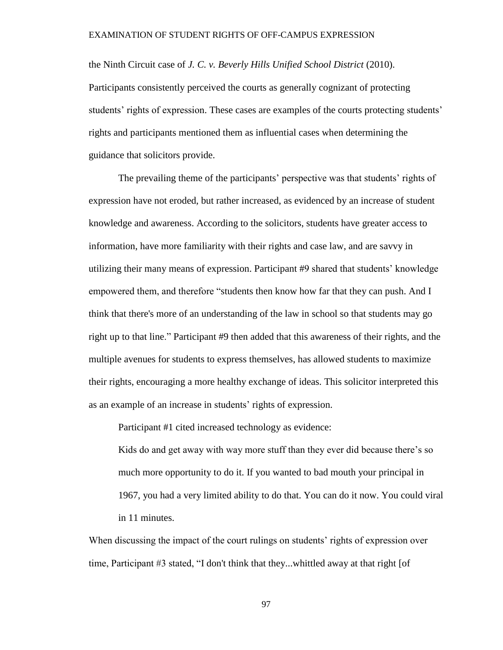the Ninth Circuit case of *J. C. v. Beverly Hills Unified School District* (2010). Participants consistently perceived the courts as generally cognizant of protecting students' rights of expression. These cases are examples of the courts protecting students' rights and participants mentioned them as influential cases when determining the guidance that solicitors provide.

The prevailing theme of the participants' perspective was that students' rights of expression have not eroded, but rather increased, as evidenced by an increase of student knowledge and awareness. According to the solicitors, students have greater access to information, have more familiarity with their rights and case law, and are savvy in utilizing their many means of expression. Participant #9 shared that students' knowledge empowered them, and therefore "students then know how far that they can push. And I think that there's more of an understanding of the law in school so that students may go right up to that line." Participant #9 then added that this awareness of their rights, and the multiple avenues for students to express themselves, has allowed students to maximize their rights, encouraging a more healthy exchange of ideas. This solicitor interpreted this as an example of an increase in students' rights of expression.

Participant #1 cited increased technology as evidence:

Kids do and get away with way more stuff than they ever did because there's so much more opportunity to do it. If you wanted to bad mouth your principal in 1967, you had a very limited ability to do that. You can do it now. You could viral in 11 minutes.

When discussing the impact of the court rulings on students' rights of expression over time, Participant #3 stated, "I don't think that they...whittled away at that right [of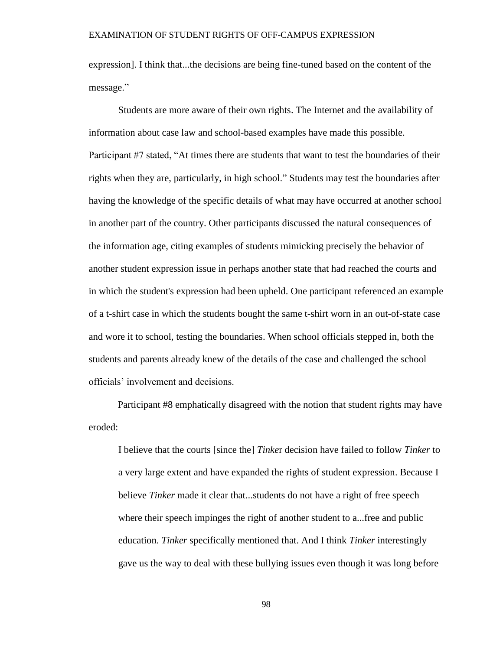expression]. I think that...the decisions are being fine-tuned based on the content of the message."

Students are more aware of their own rights. The Internet and the availability of information about case law and school-based examples have made this possible. Participant #7 stated, "At times there are students that want to test the boundaries of their rights when they are, particularly, in high school." Students may test the boundaries after having the knowledge of the specific details of what may have occurred at another school in another part of the country. Other participants discussed the natural consequences of the information age, citing examples of students mimicking precisely the behavior of another student expression issue in perhaps another state that had reached the courts and in which the student's expression had been upheld. One participant referenced an example of a t-shirt case in which the students bought the same t-shirt worn in an out-of-state case and wore it to school, testing the boundaries. When school officials stepped in, both the students and parents already knew of the details of the case and challenged the school officials' involvement and decisions.

Participant #8 emphatically disagreed with the notion that student rights may have eroded:

I believe that the courts [since the] *Tinke*r decision have failed to follow *Tinker* to a very large extent and have expanded the rights of student expression. Because I believe *Tinker* made it clear that...students do not have a right of free speech where their speech impinges the right of another student to a...free and public education. *Tinker* specifically mentioned that. And I think *Tinker* interestingly gave us the way to deal with these bullying issues even though it was long before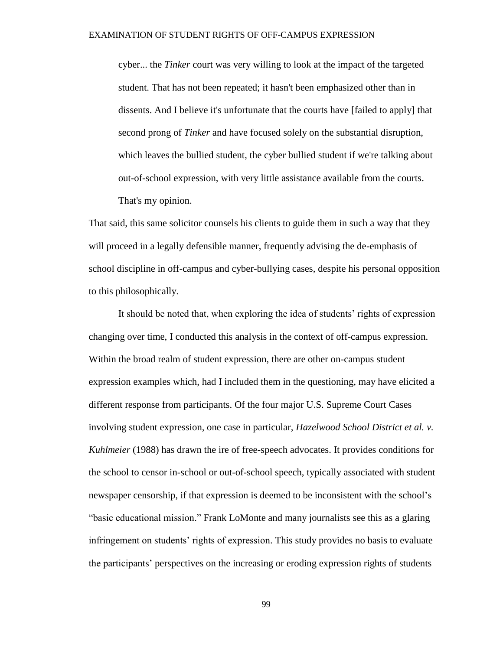cyber... the *Tinker* court was very willing to look at the impact of the targeted student. That has not been repeated; it hasn't been emphasized other than in dissents. And I believe it's unfortunate that the courts have [failed to apply] that second prong of *Tinker* and have focused solely on the substantial disruption, which leaves the bullied student, the cyber bullied student if we're talking about out-of-school expression, with very little assistance available from the courts. That's my opinion.

That said, this same solicitor counsels his clients to guide them in such a way that they will proceed in a legally defensible manner, frequently advising the de-emphasis of school discipline in off-campus and cyber-bullying cases, despite his personal opposition to this philosophically.

It should be noted that, when exploring the idea of students' rights of expression changing over time, I conducted this analysis in the context of off-campus expression. Within the broad realm of student expression, there are other on-campus student expression examples which, had I included them in the questioning, may have elicited a different response from participants. Of the four major U.S. Supreme Court Cases involving student expression, one case in particular, *Hazelwood School District et al. v. Kuhlmeier* (1988) has drawn the ire of free-speech advocates. It provides conditions for the school to censor in-school or out-of-school speech, typically associated with student newspaper censorship, if that expression is deemed to be inconsistent with the school's "basic educational mission." Frank LoMonte and many journalists see this as a glaring infringement on students' rights of expression. This study provides no basis to evaluate the participants' perspectives on the increasing or eroding expression rights of students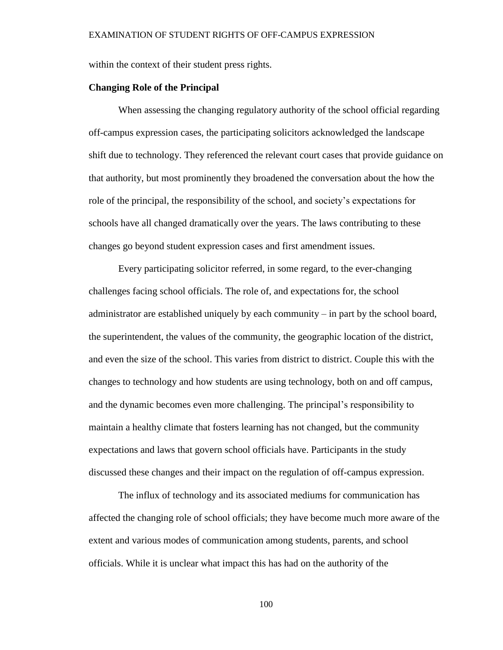within the context of their student press rights.

# **Changing Role of the Principal**

When assessing the changing regulatory authority of the school official regarding off-campus expression cases, the participating solicitors acknowledged the landscape shift due to technology. They referenced the relevant court cases that provide guidance on that authority, but most prominently they broadened the conversation about the how the role of the principal, the responsibility of the school, and society's expectations for schools have all changed dramatically over the years. The laws contributing to these changes go beyond student expression cases and first amendment issues.

Every participating solicitor referred, in some regard, to the ever-changing challenges facing school officials. The role of, and expectations for, the school administrator are established uniquely by each community – in part by the school board, the superintendent, the values of the community, the geographic location of the district, and even the size of the school. This varies from district to district. Couple this with the changes to technology and how students are using technology, both on and off campus, and the dynamic becomes even more challenging. The principal's responsibility to maintain a healthy climate that fosters learning has not changed, but the community expectations and laws that govern school officials have. Participants in the study discussed these changes and their impact on the regulation of off-campus expression.

The influx of technology and its associated mediums for communication has affected the changing role of school officials; they have become much more aware of the extent and various modes of communication among students, parents, and school officials. While it is unclear what impact this has had on the authority of the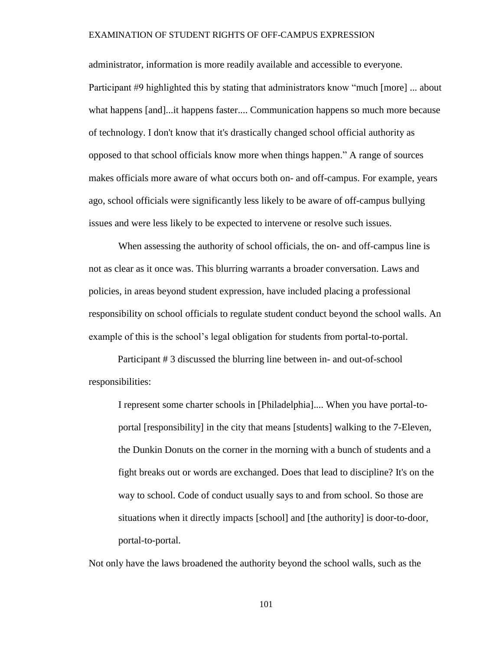administrator, information is more readily available and accessible to everyone. Participant #9 highlighted this by stating that administrators know "much [more] ... about what happens [and]...it happens faster.... Communication happens so much more because of technology. I don't know that it's drastically changed school official authority as opposed to that school officials know more when things happen." A range of sources makes officials more aware of what occurs both on- and off-campus. For example, years ago, school officials were significantly less likely to be aware of off-campus bullying issues and were less likely to be expected to intervene or resolve such issues.

When assessing the authority of school officials, the on- and off-campus line is not as clear as it once was. This blurring warrants a broader conversation. Laws and policies, in areas beyond student expression, have included placing a professional responsibility on school officials to regulate student conduct beyond the school walls. An example of this is the school's legal obligation for students from portal-to-portal.

Participant # 3 discussed the blurring line between in- and out-of-school responsibilities:

I represent some charter schools in [Philadelphia].... When you have portal-toportal [responsibility] in the city that means [students] walking to the 7-Eleven, the Dunkin Donuts on the corner in the morning with a bunch of students and a fight breaks out or words are exchanged. Does that lead to discipline? It's on the way to school. Code of conduct usually says to and from school. So those are situations when it directly impacts [school] and [the authority] is door-to-door, portal-to-portal.

Not only have the laws broadened the authority beyond the school walls, such as the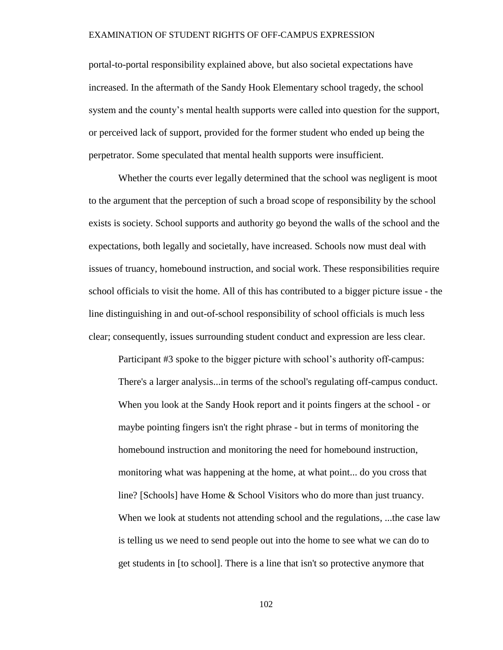portal-to-portal responsibility explained above, but also societal expectations have increased. In the aftermath of the Sandy Hook Elementary school tragedy, the school system and the county's mental health supports were called into question for the support, or perceived lack of support, provided for the former student who ended up being the perpetrator. Some speculated that mental health supports were insufficient.

Whether the courts ever legally determined that the school was negligent is moot to the argument that the perception of such a broad scope of responsibility by the school exists is society. School supports and authority go beyond the walls of the school and the expectations, both legally and societally, have increased. Schools now must deal with issues of truancy, homebound instruction, and social work. These responsibilities require school officials to visit the home. All of this has contributed to a bigger picture issue - the line distinguishing in and out-of-school responsibility of school officials is much less clear; consequently, issues surrounding student conduct and expression are less clear.

Participant #3 spoke to the bigger picture with school's authority off-campus: There's a larger analysis...in terms of the school's regulating off-campus conduct. When you look at the Sandy Hook report and it points fingers at the school - or maybe pointing fingers isn't the right phrase - but in terms of monitoring the homebound instruction and monitoring the need for homebound instruction, monitoring what was happening at the home, at what point... do you cross that line? [Schools] have Home & School Visitors who do more than just truancy. When we look at students not attending school and the regulations, ...the case law is telling us we need to send people out into the home to see what we can do to get students in [to school]. There is a line that isn't so protective anymore that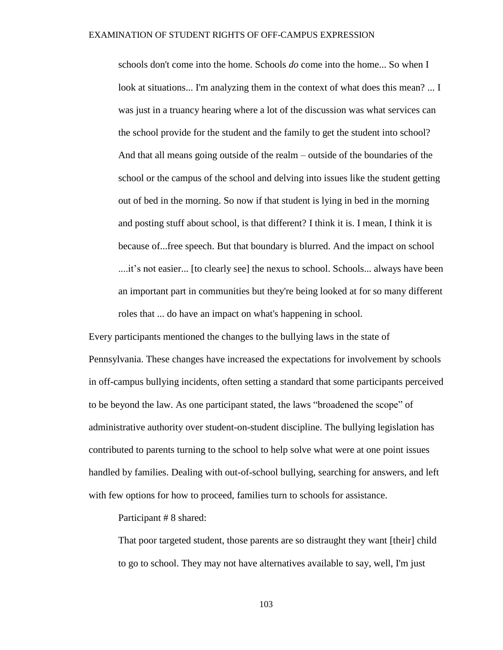schools don't come into the home. Schools *do* come into the home... So when I look at situations... I'm analyzing them in the context of what does this mean? ... I was just in a truancy hearing where a lot of the discussion was what services can the school provide for the student and the family to get the student into school? And that all means going outside of the realm – outside of the boundaries of the school or the campus of the school and delving into issues like the student getting out of bed in the morning. So now if that student is lying in bed in the morning and posting stuff about school, is that different? I think it is. I mean, I think it is because of...free speech. But that boundary is blurred. And the impact on school ....it's not easier... [to clearly see] the nexus to school. Schools... always have been an important part in communities but they're being looked at for so many different roles that ... do have an impact on what's happening in school.

Every participants mentioned the changes to the bullying laws in the state of Pennsylvania. These changes have increased the expectations for involvement by schools in off-campus bullying incidents, often setting a standard that some participants perceived to be beyond the law. As one participant stated, the laws "broadened the scope" of administrative authority over student-on-student discipline. The bullying legislation has contributed to parents turning to the school to help solve what were at one point issues handled by families. Dealing with out-of-school bullying, searching for answers, and left with few options for how to proceed, families turn to schools for assistance.

Participant # 8 shared:

That poor targeted student, those parents are so distraught they want [their] child to go to school. They may not have alternatives available to say, well, I'm just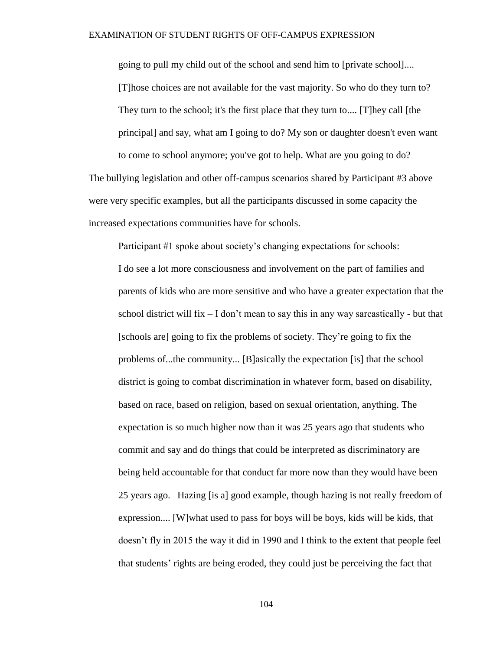going to pull my child out of the school and send him to [private school].... [T]hose choices are not available for the vast majority. So who do they turn to? They turn to the school; it's the first place that they turn to.... [T]hey call [the principal] and say, what am I going to do? My son or daughter doesn't even want to come to school anymore; you've got to help. What are you going to do?

The bullying legislation and other off-campus scenarios shared by Participant #3 above were very specific examples, but all the participants discussed in some capacity the increased expectations communities have for schools.

Participant #1 spoke about society's changing expectations for schools: I do see a lot more consciousness and involvement on the part of families and parents of kids who are more sensitive and who have a greater expectation that the school district will fix  $-1$  don't mean to say this in any way sarcastically - but that [schools are] going to fix the problems of society. They're going to fix the problems of...the community... [B]asically the expectation [is] that the school district is going to combat discrimination in whatever form, based on disability, based on race, based on religion, based on sexual orientation, anything. The expectation is so much higher now than it was 25 years ago that students who commit and say and do things that could be interpreted as discriminatory are being held accountable for that conduct far more now than they would have been 25 years ago. Hazing [is a] good example, though hazing is not really freedom of expression.... [W]what used to pass for boys will be boys, kids will be kids, that doesn't fly in 2015 the way it did in 1990 and I think to the extent that people feel that students' rights are being eroded, they could just be perceiving the fact that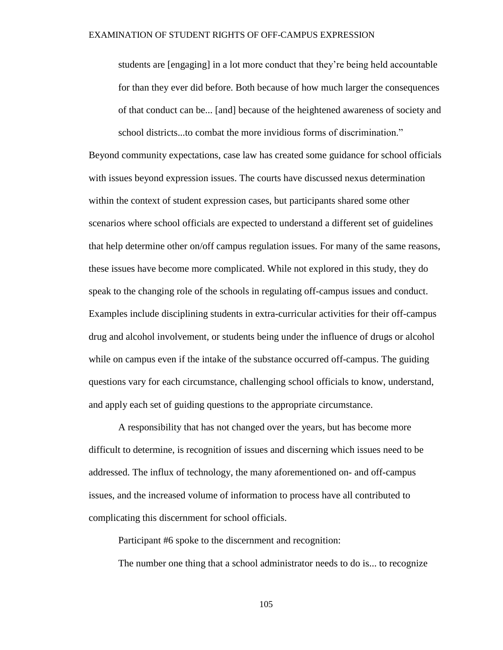students are [engaging] in a lot more conduct that they're being held accountable for than they ever did before. Both because of how much larger the consequences of that conduct can be... [and] because of the heightened awareness of society and school districts...to combat the more invidious forms of discrimination."

Beyond community expectations, case law has created some guidance for school officials with issues beyond expression issues. The courts have discussed nexus determination within the context of student expression cases, but participants shared some other scenarios where school officials are expected to understand a different set of guidelines that help determine other on/off campus regulation issues. For many of the same reasons, these issues have become more complicated. While not explored in this study, they do speak to the changing role of the schools in regulating off-campus issues and conduct. Examples include disciplining students in extra-curricular activities for their off-campus drug and alcohol involvement, or students being under the influence of drugs or alcohol while on campus even if the intake of the substance occurred off-campus. The guiding questions vary for each circumstance, challenging school officials to know, understand, and apply each set of guiding questions to the appropriate circumstance.

A responsibility that has not changed over the years, but has become more difficult to determine, is recognition of issues and discerning which issues need to be addressed. The influx of technology, the many aforementioned on- and off-campus issues, and the increased volume of information to process have all contributed to complicating this discernment for school officials.

Participant #6 spoke to the discernment and recognition:

The number one thing that a school administrator needs to do is... to recognize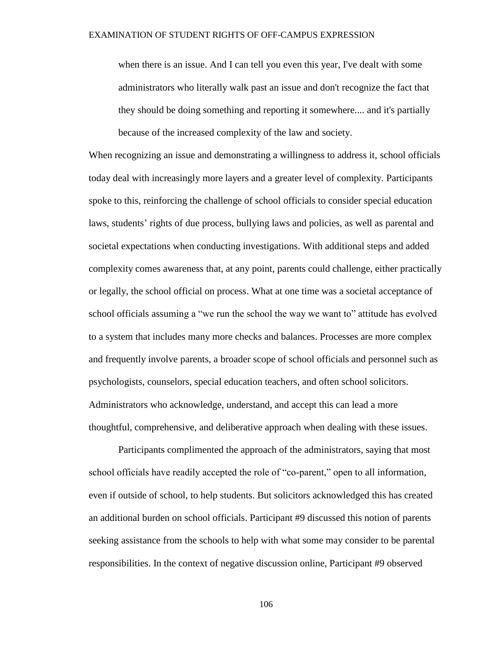when there is an issue. And I can tell you even this year, I've dealt with some administrators who literally walk past an issue and don't recognize the fact that they should be doing something and reporting it somewhere.... and it's partially because of the increased complexity of the law and society.

When recognizing an issue and demonstrating a willingness to address it, school officials today deal with increasingly more layers and a greater level of complexity. Participants spoke to this, reinforcing the challenge of school officials to consider special education laws, students' rights of due process, bullying laws and policies, as well as parental and societal expectations when conducting investigations. With additional steps and added complexity comes awareness that, at any point, parents could challenge, either practically or legally, the school official on process. What at one time was a societal acceptance of school officials assuming a "we run the school the way we want to" attitude has evolved to a system that includes many more checks and balances. Processes are more complex and frequently involve parents, a broader scope of school officials and personnel such as psychologists, counselors, special education teachers, and often school solicitors. Administrators who acknowledge, understand, and accept this can lead a more thoughtful, comprehensive, and deliberative approach when dealing with these issues.

Participants complimented the approach of the administrators, saying that most school officials have readily accepted the role of "co-parent," open to all information, even if outside of school, to help students. But solicitors acknowledged this has created an additional burden on school officials. Participant #9 discussed this notion of parents seeking assistance from the schools to help with what some may consider to be parental responsibilities. In the context of negative discussion online, Participant #9 observed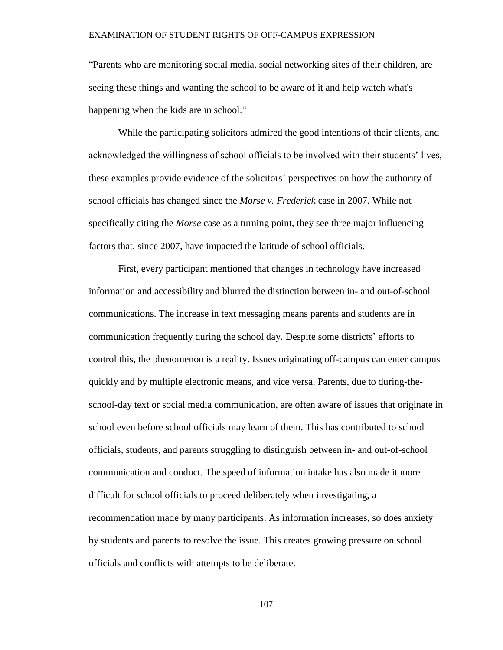"Parents who are monitoring social media, social networking sites of their children, are seeing these things and wanting the school to be aware of it and help watch what's happening when the kids are in school."

While the participating solicitors admired the good intentions of their clients, and acknowledged the willingness of school officials to be involved with their students' lives, these examples provide evidence of the solicitors' perspectives on how the authority of school officials has changed since the *Morse v. Frederick* case in 2007. While not specifically citing the *Morse* case as a turning point, they see three major influencing factors that, since 2007, have impacted the latitude of school officials.

First, every participant mentioned that changes in technology have increased information and accessibility and blurred the distinction between in- and out-of-school communications. The increase in text messaging means parents and students are in communication frequently during the school day. Despite some districts' efforts to control this, the phenomenon is a reality. Issues originating off-campus can enter campus quickly and by multiple electronic means, and vice versa. Parents, due to during-theschool-day text or social media communication, are often aware of issues that originate in school even before school officials may learn of them. This has contributed to school officials, students, and parents struggling to distinguish between in- and out-of-school communication and conduct. The speed of information intake has also made it more difficult for school officials to proceed deliberately when investigating, a recommendation made by many participants. As information increases, so does anxiety by students and parents to resolve the issue. This creates growing pressure on school officials and conflicts with attempts to be deliberate.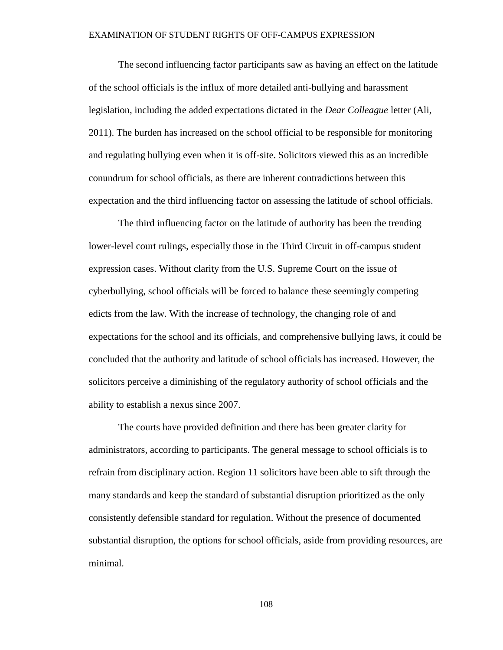The second influencing factor participants saw as having an effect on the latitude of the school officials is the influx of more detailed anti-bullying and harassment legislation, including the added expectations dictated in the *Dear Colleague* letter (Ali, 2011). The burden has increased on the school official to be responsible for monitoring and regulating bullying even when it is off-site. Solicitors viewed this as an incredible conundrum for school officials, as there are inherent contradictions between this expectation and the third influencing factor on assessing the latitude of school officials.

The third influencing factor on the latitude of authority has been the trending lower-level court rulings, especially those in the Third Circuit in off-campus student expression cases. Without clarity from the U.S. Supreme Court on the issue of cyberbullying, school officials will be forced to balance these seemingly competing edicts from the law. With the increase of technology, the changing role of and expectations for the school and its officials, and comprehensive bullying laws, it could be concluded that the authority and latitude of school officials has increased. However, the solicitors perceive a diminishing of the regulatory authority of school officials and the ability to establish a nexus since 2007.

The courts have provided definition and there has been greater clarity for administrators, according to participants. The general message to school officials is to refrain from disciplinary action. Region 11 solicitors have been able to sift through the many standards and keep the standard of substantial disruption prioritized as the only consistently defensible standard for regulation. Without the presence of documented substantial disruption, the options for school officials, aside from providing resources, are minimal.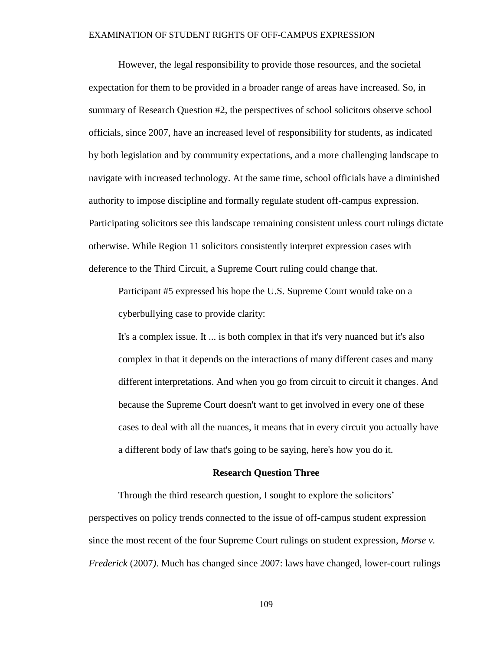However, the legal responsibility to provide those resources, and the societal expectation for them to be provided in a broader range of areas have increased. So, in summary of Research Question #2, the perspectives of school solicitors observe school officials, since 2007, have an increased level of responsibility for students, as indicated by both legislation and by community expectations, and a more challenging landscape to navigate with increased technology. At the same time, school officials have a diminished authority to impose discipline and formally regulate student off-campus expression. Participating solicitors see this landscape remaining consistent unless court rulings dictate otherwise. While Region 11 solicitors consistently interpret expression cases with deference to the Third Circuit, a Supreme Court ruling could change that.

Participant #5 expressed his hope the U.S. Supreme Court would take on a cyberbullying case to provide clarity:

It's a complex issue. It ... is both complex in that it's very nuanced but it's also complex in that it depends on the interactions of many different cases and many different interpretations. And when you go from circuit to circuit it changes. And because the Supreme Court doesn't want to get involved in every one of these cases to deal with all the nuances, it means that in every circuit you actually have a different body of law that's going to be saying, here's how you do it.

#### **Research Question Three**

Through the third research question, I sought to explore the solicitors' perspectives on policy trends connected to the issue of off-campus student expression since the most recent of the four Supreme Court rulings on student expression, *Morse v. Frederick* (2007*)*. Much has changed since 2007: laws have changed, lower-court rulings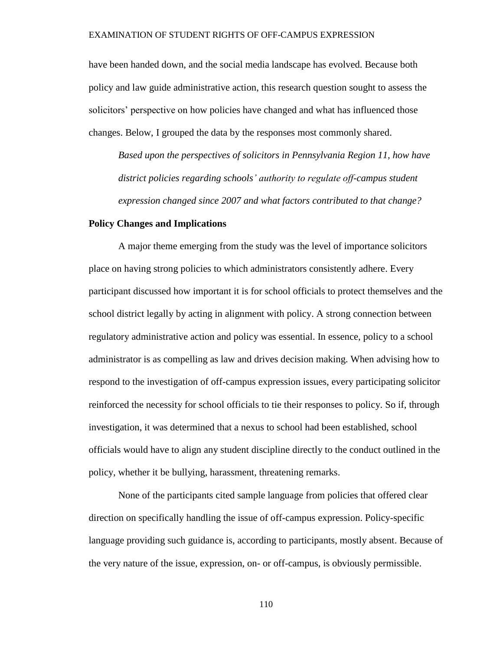have been handed down, and the social media landscape has evolved. Because both policy and law guide administrative action, this research question sought to assess the solicitors' perspective on how policies have changed and what has influenced those changes. Below, I grouped the data by the responses most commonly shared.

*Based upon the perspectives of solicitors in Pennsylvania Region 11, how have district policies regarding schools' authority to regulate off-campus student expression changed since 2007 and what factors contributed to that change?*

# **Policy Changes and Implications**

A major theme emerging from the study was the level of importance solicitors place on having strong policies to which administrators consistently adhere. Every participant discussed how important it is for school officials to protect themselves and the school district legally by acting in alignment with policy. A strong connection between regulatory administrative action and policy was essential. In essence, policy to a school administrator is as compelling as law and drives decision making. When advising how to respond to the investigation of off-campus expression issues, every participating solicitor reinforced the necessity for school officials to tie their responses to policy. So if, through investigation, it was determined that a nexus to school had been established, school officials would have to align any student discipline directly to the conduct outlined in the policy, whether it be bullying, harassment, threatening remarks.

None of the participants cited sample language from policies that offered clear direction on specifically handling the issue of off-campus expression. Policy-specific language providing such guidance is, according to participants, mostly absent. Because of the very nature of the issue, expression, on- or off-campus, is obviously permissible.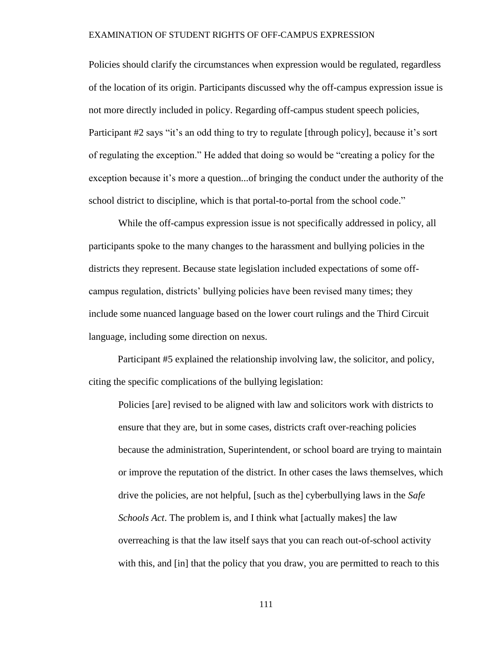Policies should clarify the circumstances when expression would be regulated, regardless of the location of its origin. Participants discussed why the off-campus expression issue is not more directly included in policy. Regarding off-campus student speech policies, Participant #2 says "it's an odd thing to try to regulate [through policy], because it's sort of regulating the exception." He added that doing so would be "creating a policy for the exception because it's more a question...of bringing the conduct under the authority of the school district to discipline, which is that portal-to-portal from the school code."

While the off-campus expression issue is not specifically addressed in policy, all participants spoke to the many changes to the harassment and bullying policies in the districts they represent. Because state legislation included expectations of some offcampus regulation, districts' bullying policies have been revised many times; they include some nuanced language based on the lower court rulings and the Third Circuit language, including some direction on nexus.

Participant #5 explained the relationship involving law, the solicitor, and policy, citing the specific complications of the bullying legislation:

Policies [are] revised to be aligned with law and solicitors work with districts to ensure that they are, but in some cases, districts craft over-reaching policies because the administration, Superintendent, or school board are trying to maintain or improve the reputation of the district. In other cases the laws themselves, which drive the policies, are not helpful, [such as the] cyberbullying laws in the *Safe Schools Act*. The problem is, and I think what [actually makes] the law overreaching is that the law itself says that you can reach out-of-school activity with this, and [in] that the policy that you draw, you are permitted to reach to this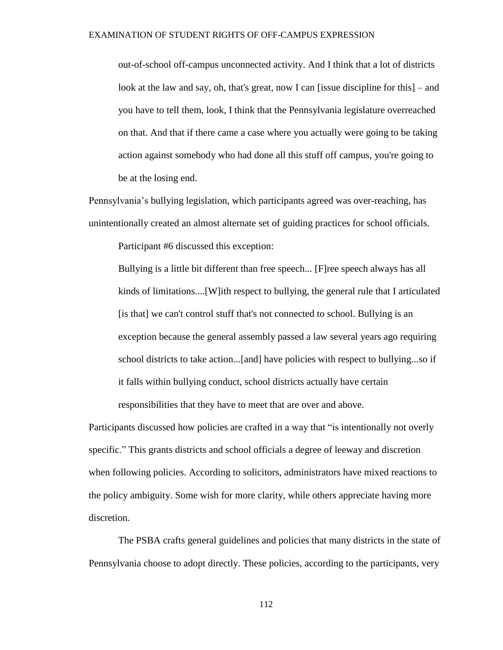out-of-school off-campus unconnected activity. And I think that a lot of districts look at the law and say, oh, that's great, now I can [issue discipline for this] – and you have to tell them, look, I think that the Pennsylvania legislature overreached on that. And that if there came a case where you actually were going to be taking action against somebody who had done all this stuff off campus, you're going to be at the losing end.

Pennsylvania's bullying legislation, which participants agreed was over-reaching, has unintentionally created an almost alternate set of guiding practices for school officials.

Participant #6 discussed this exception:

Bullying is a little bit different than free speech... [F]ree speech always has all kinds of limitations....[W]ith respect to bullying, the general rule that I articulated [is that] we can't control stuff that's not connected to school. Bullying is an exception because the general assembly passed a law several years ago requiring school districts to take action...[and] have policies with respect to bullying...so if it falls within bullying conduct, school districts actually have certain responsibilities that they have to meet that are over and above.

Participants discussed how policies are crafted in a way that "is intentionally not overly specific." This grants districts and school officials a degree of leeway and discretion when following policies. According to solicitors, administrators have mixed reactions to the policy ambiguity. Some wish for more clarity, while others appreciate having more discretion.

The PSBA crafts general guidelines and policies that many districts in the state of Pennsylvania choose to adopt directly. These policies, according to the participants, very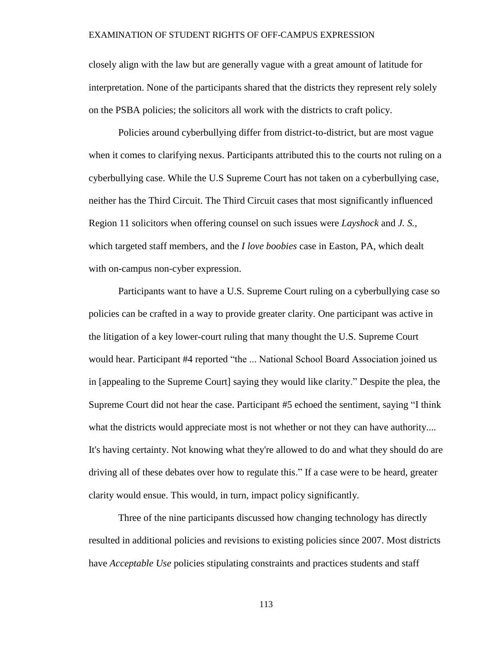closely align with the law but are generally vague with a great amount of latitude for interpretation. None of the participants shared that the districts they represent rely solely on the PSBA policies; the solicitors all work with the districts to craft policy.

Policies around cyberbullying differ from district-to-district, but are most vague when it comes to clarifying nexus. Participants attributed this to the courts not ruling on a cyberbullying case. While the U.S Supreme Court has not taken on a cyberbullying case, neither has the Third Circuit. The Third Circuit cases that most significantly influenced Region 11 solicitors when offering counsel on such issues were *Layshock* and *J. S.,* which targeted staff members, and the *I love boobies* case in Easton, PA, which dealt with on-campus non-cyber expression.

Participants want to have a U.S. Supreme Court ruling on a cyberbullying case so policies can be crafted in a way to provide greater clarity. One participant was active in the litigation of a key lower-court ruling that many thought the U.S. Supreme Court would hear. Participant #4 reported "the ... National School Board Association joined us in [appealing to the Supreme Court] saying they would like clarity." Despite the plea, the Supreme Court did not hear the case. Participant #5 echoed the sentiment, saying "I think what the districts would appreciate most is not whether or not they can have authority.... It's having certainty. Not knowing what they're allowed to do and what they should do are driving all of these debates over how to regulate this." If a case were to be heard, greater clarity would ensue. This would, in turn, impact policy significantly.

Three of the nine participants discussed how changing technology has directly resulted in additional policies and revisions to existing policies since 2007. Most districts have *Acceptable Use* policies stipulating constraints and practices students and staff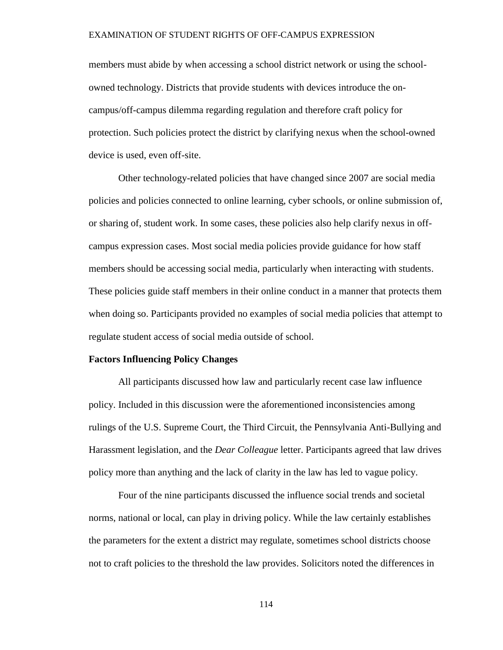members must abide by when accessing a school district network or using the schoolowned technology. Districts that provide students with devices introduce the oncampus/off-campus dilemma regarding regulation and therefore craft policy for protection. Such policies protect the district by clarifying nexus when the school-owned device is used, even off-site.

Other technology-related policies that have changed since 2007 are social media policies and policies connected to online learning, cyber schools, or online submission of, or sharing of, student work. In some cases, these policies also help clarify nexus in offcampus expression cases. Most social media policies provide guidance for how staff members should be accessing social media, particularly when interacting with students. These policies guide staff members in their online conduct in a manner that protects them when doing so. Participants provided no examples of social media policies that attempt to regulate student access of social media outside of school.

# **Factors Influencing Policy Changes**

All participants discussed how law and particularly recent case law influence policy. Included in this discussion were the aforementioned inconsistencies among rulings of the U.S. Supreme Court, the Third Circuit, the Pennsylvania Anti-Bullying and Harassment legislation, and the *Dear Colleague* letter. Participants agreed that law drives policy more than anything and the lack of clarity in the law has led to vague policy.

Four of the nine participants discussed the influence social trends and societal norms, national or local, can play in driving policy. While the law certainly establishes the parameters for the extent a district may regulate, sometimes school districts choose not to craft policies to the threshold the law provides. Solicitors noted the differences in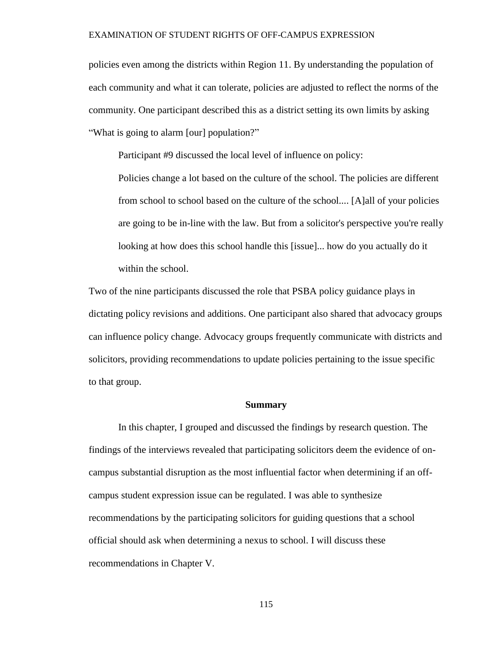policies even among the districts within Region 11. By understanding the population of each community and what it can tolerate, policies are adjusted to reflect the norms of the community. One participant described this as a district setting its own limits by asking "What is going to alarm [our] population?"

Participant #9 discussed the local level of influence on policy:

Policies change a lot based on the culture of the school. The policies are different from school to school based on the culture of the school.... [A]all of your policies are going to be in-line with the law. But from a solicitor's perspective you're really looking at how does this school handle this [issue]... how do you actually do it within the school.

Two of the nine participants discussed the role that PSBA policy guidance plays in dictating policy revisions and additions. One participant also shared that advocacy groups can influence policy change. Advocacy groups frequently communicate with districts and solicitors, providing recommendations to update policies pertaining to the issue specific to that group.

#### **Summary**

In this chapter, I grouped and discussed the findings by research question. The findings of the interviews revealed that participating solicitors deem the evidence of oncampus substantial disruption as the most influential factor when determining if an offcampus student expression issue can be regulated. I was able to synthesize recommendations by the participating solicitors for guiding questions that a school official should ask when determining a nexus to school. I will discuss these recommendations in Chapter V.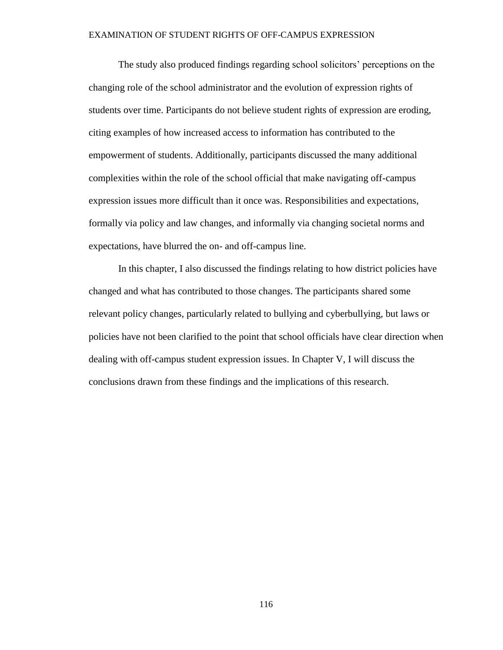The study also produced findings regarding school solicitors' perceptions on the changing role of the school administrator and the evolution of expression rights of students over time. Participants do not believe student rights of expression are eroding, citing examples of how increased access to information has contributed to the empowerment of students. Additionally, participants discussed the many additional complexities within the role of the school official that make navigating off-campus expression issues more difficult than it once was. Responsibilities and expectations, formally via policy and law changes, and informally via changing societal norms and expectations, have blurred the on- and off-campus line.

In this chapter, I also discussed the findings relating to how district policies have changed and what has contributed to those changes. The participants shared some relevant policy changes, particularly related to bullying and cyberbullying, but laws or policies have not been clarified to the point that school officials have clear direction when dealing with off-campus student expression issues. In Chapter V, I will discuss the conclusions drawn from these findings and the implications of this research.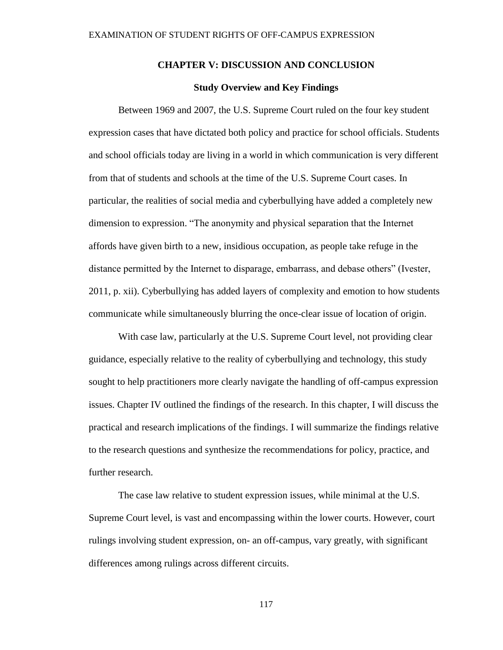# **CHAPTER V: DISCUSSION AND CONCLUSION**

## **Study Overview and Key Findings**

Between 1969 and 2007, the U.S. Supreme Court ruled on the four key student expression cases that have dictated both policy and practice for school officials. Students and school officials today are living in a world in which communication is very different from that of students and schools at the time of the U.S. Supreme Court cases. In particular, the realities of social media and cyberbullying have added a completely new dimension to expression. "The anonymity and physical separation that the Internet affords have given birth to a new, insidious occupation, as people take refuge in the distance permitted by the Internet to disparage, embarrass, and debase others" (Ivester, 2011, p. xii). Cyberbullying has added layers of complexity and emotion to how students communicate while simultaneously blurring the once-clear issue of location of origin.

With case law, particularly at the U.S. Supreme Court level, not providing clear guidance, especially relative to the reality of cyberbullying and technology, this study sought to help practitioners more clearly navigate the handling of off-campus expression issues. Chapter IV outlined the findings of the research. In this chapter, I will discuss the practical and research implications of the findings. I will summarize the findings relative to the research questions and synthesize the recommendations for policy, practice, and further research.

The case law relative to student expression issues, while minimal at the U.S. Supreme Court level, is vast and encompassing within the lower courts. However, court rulings involving student expression, on- an off-campus, vary greatly, with significant differences among rulings across different circuits.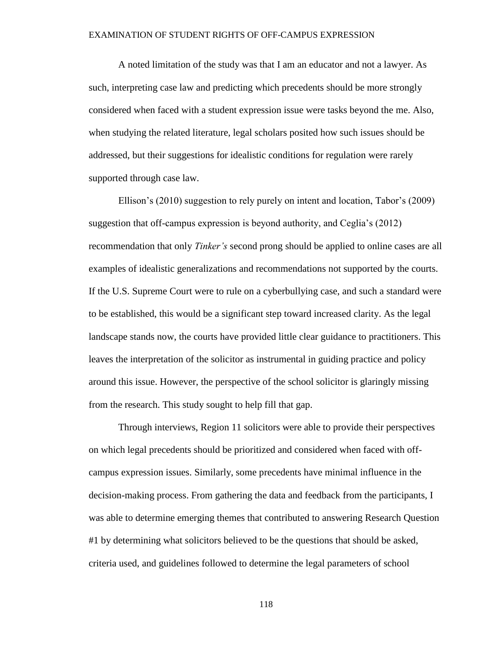A noted limitation of the study was that I am an educator and not a lawyer. As such, interpreting case law and predicting which precedents should be more strongly considered when faced with a student expression issue were tasks beyond the me. Also, when studying the related literature, legal scholars posited how such issues should be addressed, but their suggestions for idealistic conditions for regulation were rarely supported through case law.

Ellison's (2010) suggestion to rely purely on intent and location, Tabor's (2009) suggestion that off-campus expression is beyond authority, and Ceglia's (2012) recommendation that only *Tinker's* second prong should be applied to online cases are all examples of idealistic generalizations and recommendations not supported by the courts. If the U.S. Supreme Court were to rule on a cyberbullying case, and such a standard were to be established, this would be a significant step toward increased clarity. As the legal landscape stands now, the courts have provided little clear guidance to practitioners. This leaves the interpretation of the solicitor as instrumental in guiding practice and policy around this issue. However, the perspective of the school solicitor is glaringly missing from the research. This study sought to help fill that gap.

Through interviews, Region 11 solicitors were able to provide their perspectives on which legal precedents should be prioritized and considered when faced with offcampus expression issues. Similarly, some precedents have minimal influence in the decision-making process. From gathering the data and feedback from the participants, I was able to determine emerging themes that contributed to answering Research Question #1 by determining what solicitors believed to be the questions that should be asked, criteria used, and guidelines followed to determine the legal parameters of school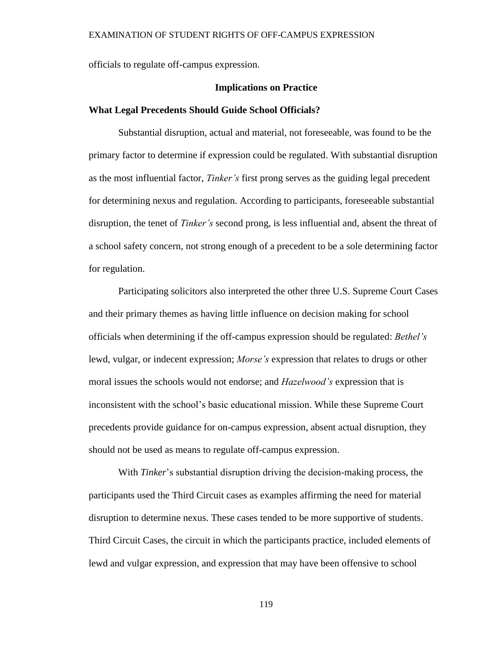officials to regulate off-campus expression.

### **Implications on Practice**

### **What Legal Precedents Should Guide School Officials?**

Substantial disruption, actual and material, not foreseeable, was found to be the primary factor to determine if expression could be regulated. With substantial disruption as the most influential factor, *Tinker's* first prong serves as the guiding legal precedent for determining nexus and regulation. According to participants, foreseeable substantial disruption, the tenet of *Tinker's* second prong, is less influential and, absent the threat of a school safety concern, not strong enough of a precedent to be a sole determining factor for regulation.

Participating solicitors also interpreted the other three U.S. Supreme Court Cases and their primary themes as having little influence on decision making for school officials when determining if the off-campus expression should be regulated: *Bethel's* lewd, vulgar, or indecent expression; *Morse's* expression that relates to drugs or other moral issues the schools would not endorse; and *Hazelwood's* expression that is inconsistent with the school's basic educational mission. While these Supreme Court precedents provide guidance for on-campus expression, absent actual disruption, they should not be used as means to regulate off-campus expression.

With *Tinker*'s substantial disruption driving the decision-making process, the participants used the Third Circuit cases as examples affirming the need for material disruption to determine nexus. These cases tended to be more supportive of students. Third Circuit Cases, the circuit in which the participants practice, included elements of lewd and vulgar expression, and expression that may have been offensive to school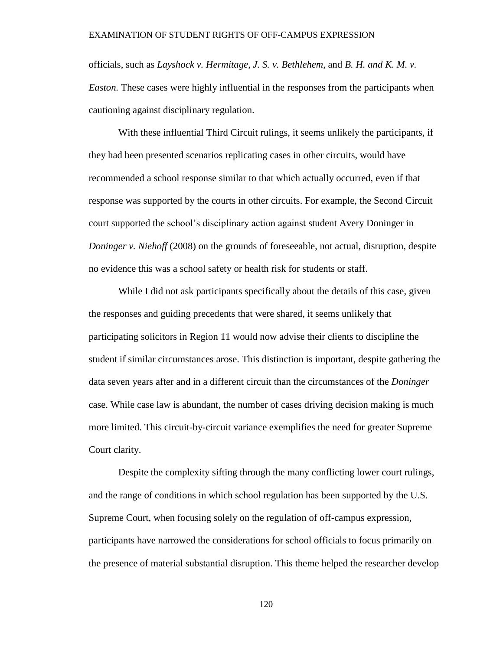officials, such as *Layshock v. Hermitage*, *J. S. v. Bethlehem*, and *B. H. and K. M. v. Easton.* These cases were highly influential in the responses from the participants when cautioning against disciplinary regulation.

With these influential Third Circuit rulings, it seems unlikely the participants, if they had been presented scenarios replicating cases in other circuits, would have recommended a school response similar to that which actually occurred, even if that response was supported by the courts in other circuits. For example, the Second Circuit court supported the school's disciplinary action against student Avery Doninger in *Doninger v. Niehoff* (2008) on the grounds of foreseeable, not actual, disruption, despite no evidence this was a school safety or health risk for students or staff.

While I did not ask participants specifically about the details of this case, given the responses and guiding precedents that were shared, it seems unlikely that participating solicitors in Region 11 would now advise their clients to discipline the student if similar circumstances arose. This distinction is important, despite gathering the data seven years after and in a different circuit than the circumstances of the *Doninger* case. While case law is abundant, the number of cases driving decision making is much more limited. This circuit-by-circuit variance exemplifies the need for greater Supreme Court clarity.

Despite the complexity sifting through the many conflicting lower court rulings, and the range of conditions in which school regulation has been supported by the U.S. Supreme Court, when focusing solely on the regulation of off-campus expression, participants have narrowed the considerations for school officials to focus primarily on the presence of material substantial disruption. This theme helped the researcher develop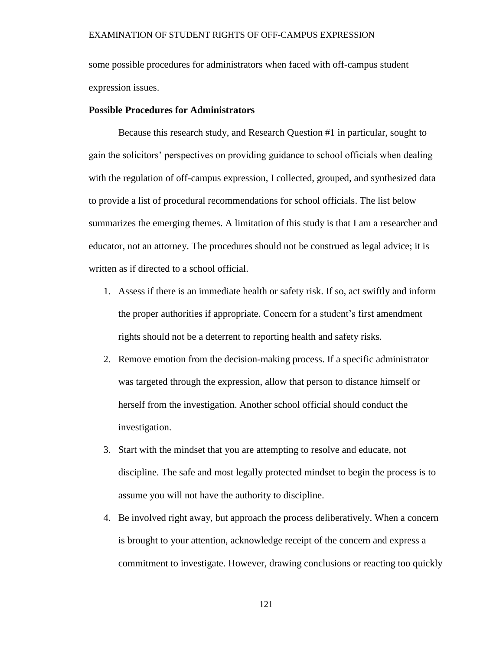some possible procedures for administrators when faced with off-campus student expression issues.

# **Possible Procedures for Administrators**

Because this research study, and Research Question #1 in particular, sought to gain the solicitors' perspectives on providing guidance to school officials when dealing with the regulation of off-campus expression, I collected, grouped, and synthesized data to provide a list of procedural recommendations for school officials. The list below summarizes the emerging themes. A limitation of this study is that I am a researcher and educator, not an attorney. The procedures should not be construed as legal advice; it is written as if directed to a school official.

- 1. Assess if there is an immediate health or safety risk. If so, act swiftly and inform the proper authorities if appropriate. Concern for a student's first amendment rights should not be a deterrent to reporting health and safety risks.
- 2. Remove emotion from the decision-making process. If a specific administrator was targeted through the expression, allow that person to distance himself or herself from the investigation. Another school official should conduct the investigation.
- 3. Start with the mindset that you are attempting to resolve and educate, not discipline. The safe and most legally protected mindset to begin the process is to assume you will not have the authority to discipline.
- 4. Be involved right away, but approach the process deliberatively. When a concern is brought to your attention, acknowledge receipt of the concern and express a commitment to investigate. However, drawing conclusions or reacting too quickly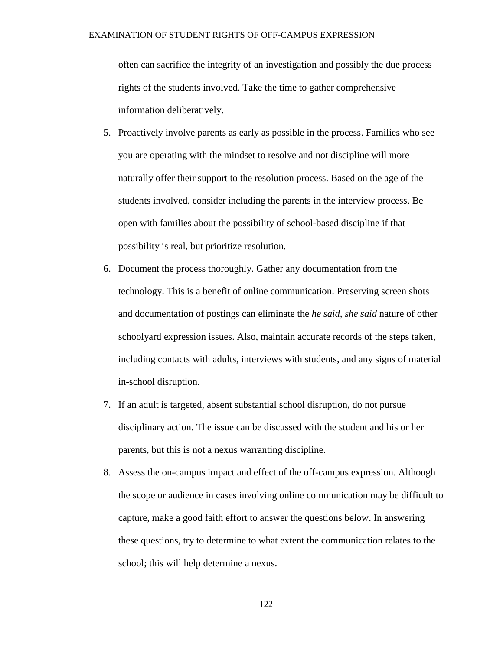often can sacrifice the integrity of an investigation and possibly the due process rights of the students involved. Take the time to gather comprehensive information deliberatively.

- 5. Proactively involve parents as early as possible in the process. Families who see you are operating with the mindset to resolve and not discipline will more naturally offer their support to the resolution process. Based on the age of the students involved, consider including the parents in the interview process. Be open with families about the possibility of school-based discipline if that possibility is real, but prioritize resolution.
- 6. Document the process thoroughly. Gather any documentation from the technology. This is a benefit of online communication. Preserving screen shots and documentation of postings can eliminate the *he said, she said* nature of other schoolyard expression issues. Also, maintain accurate records of the steps taken, including contacts with adults, interviews with students, and any signs of material in-school disruption.
- 7. If an adult is targeted, absent substantial school disruption, do not pursue disciplinary action. The issue can be discussed with the student and his or her parents, but this is not a nexus warranting discipline.
- 8. Assess the on-campus impact and effect of the off-campus expression. Although the scope or audience in cases involving online communication may be difficult to capture, make a good faith effort to answer the questions below. In answering these questions, try to determine to what extent the communication relates to the school; this will help determine a nexus.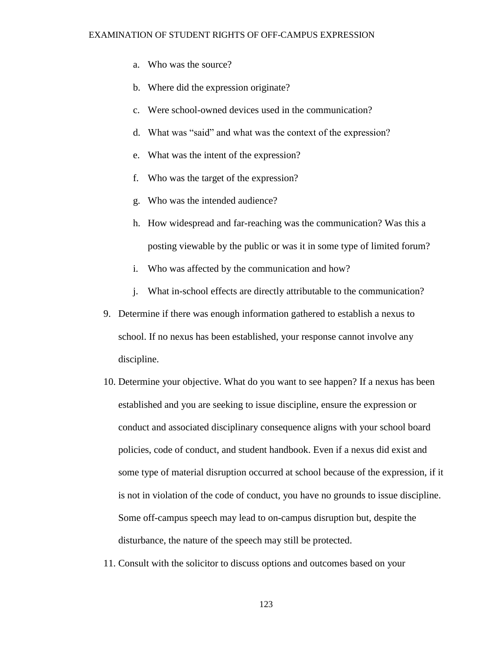- a. Who was the source?
- b. Where did the expression originate?
- c. Were school-owned devices used in the communication?
- d. What was "said" and what was the context of the expression?
- e. What was the intent of the expression?
- f. Who was the target of the expression?
- g. Who was the intended audience?
- h. How widespread and far-reaching was the communication? Was this a posting viewable by the public or was it in some type of limited forum?
- i. Who was affected by the communication and how?
- j. What in-school effects are directly attributable to the communication?
- 9. Determine if there was enough information gathered to establish a nexus to school. If no nexus has been established, your response cannot involve any discipline.
- 10. Determine your objective. What do you want to see happen? If a nexus has been established and you are seeking to issue discipline, ensure the expression or conduct and associated disciplinary consequence aligns with your school board policies, code of conduct, and student handbook. Even if a nexus did exist and some type of material disruption occurred at school because of the expression, if it is not in violation of the code of conduct, you have no grounds to issue discipline. Some off-campus speech may lead to on-campus disruption but, despite the disturbance, the nature of the speech may still be protected.
- 11. Consult with the solicitor to discuss options and outcomes based on your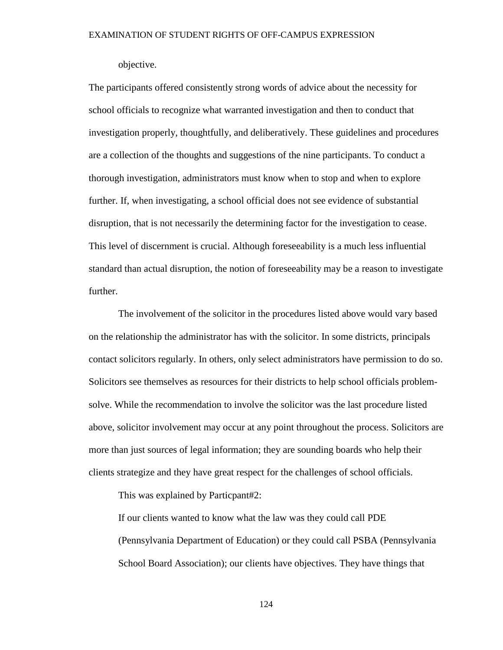objective.

The participants offered consistently strong words of advice about the necessity for school officials to recognize what warranted investigation and then to conduct that investigation properly, thoughtfully, and deliberatively. These guidelines and procedures are a collection of the thoughts and suggestions of the nine participants. To conduct a thorough investigation, administrators must know when to stop and when to explore further. If, when investigating, a school official does not see evidence of substantial disruption, that is not necessarily the determining factor for the investigation to cease. This level of discernment is crucial. Although foreseeability is a much less influential standard than actual disruption, the notion of foreseeability may be a reason to investigate further.

The involvement of the solicitor in the procedures listed above would vary based on the relationship the administrator has with the solicitor. In some districts, principals contact solicitors regularly. In others, only select administrators have permission to do so. Solicitors see themselves as resources for their districts to help school officials problemsolve. While the recommendation to involve the solicitor was the last procedure listed above, solicitor involvement may occur at any point throughout the process. Solicitors are more than just sources of legal information; they are sounding boards who help their clients strategize and they have great respect for the challenges of school officials.

This was explained by Particpant#2:

If our clients wanted to know what the law was they could call PDE (Pennsylvania Department of Education) or they could call PSBA (Pennsylvania School Board Association); our clients have objectives. They have things that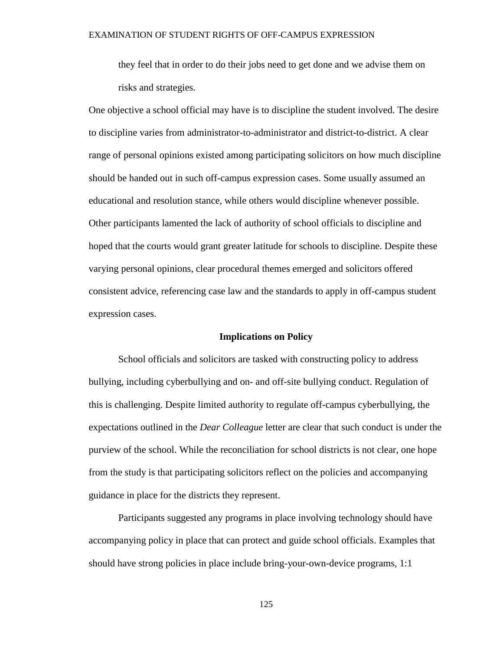they feel that in order to do their jobs need to get done and we advise them on risks and strategies.

One objective a school official may have is to discipline the student involved. The desire to discipline varies from administrator-to-administrator and district-to-district. A clear range of personal opinions existed among participating solicitors on how much discipline should be handed out in such off-campus expression cases. Some usually assumed an educational and resolution stance, while others would discipline whenever possible. Other participants lamented the lack of authority of school officials to discipline and hoped that the courts would grant greater latitude for schools to discipline. Despite these varying personal opinions, clear procedural themes emerged and solicitors offered consistent advice, referencing case law and the standards to apply in off-campus student expression cases.

#### **Implications on Policy**

School officials and solicitors are tasked with constructing policy to address bullying, including cyberbullying and on- and off-site bullying conduct. Regulation of this is challenging. Despite limited authority to regulate off-campus cyberbullying, the expectations outlined in the *Dear Colleague* letter are clear that such conduct is under the purview of the school. While the reconciliation for school districts is not clear, one hope from the study is that participating solicitors reflect on the policies and accompanying guidance in place for the districts they represent.

Participants suggested any programs in place involving technology should have accompanying policy in place that can protect and guide school officials. Examples that should have strong policies in place include bring-your-own-device programs, 1:1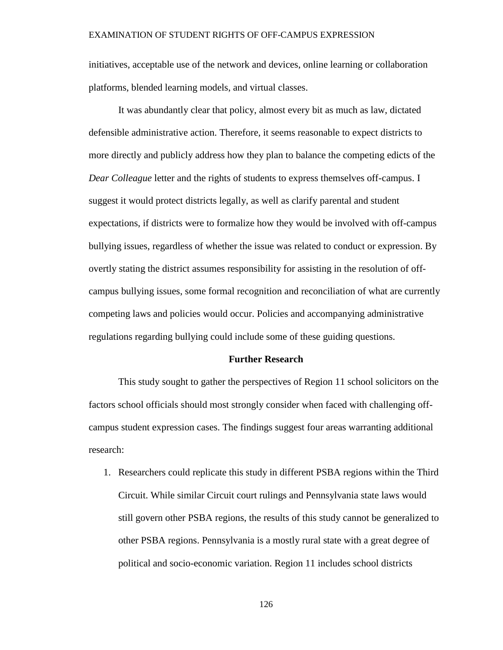initiatives, acceptable use of the network and devices, online learning or collaboration platforms, blended learning models, and virtual classes.

It was abundantly clear that policy, almost every bit as much as law, dictated defensible administrative action. Therefore, it seems reasonable to expect districts to more directly and publicly address how they plan to balance the competing edicts of the *Dear Colleague* letter and the rights of students to express themselves off-campus. I suggest it would protect districts legally, as well as clarify parental and student expectations, if districts were to formalize how they would be involved with off-campus bullying issues, regardless of whether the issue was related to conduct or expression. By overtly stating the district assumes responsibility for assisting in the resolution of offcampus bullying issues, some formal recognition and reconciliation of what are currently competing laws and policies would occur. Policies and accompanying administrative regulations regarding bullying could include some of these guiding questions.

#### **Further Research**

This study sought to gather the perspectives of Region 11 school solicitors on the factors school officials should most strongly consider when faced with challenging offcampus student expression cases. The findings suggest four areas warranting additional research:

1. Researchers could replicate this study in different PSBA regions within the Third Circuit. While similar Circuit court rulings and Pennsylvania state laws would still govern other PSBA regions, the results of this study cannot be generalized to other PSBA regions. Pennsylvania is a mostly rural state with a great degree of political and socio-economic variation. Region 11 includes school districts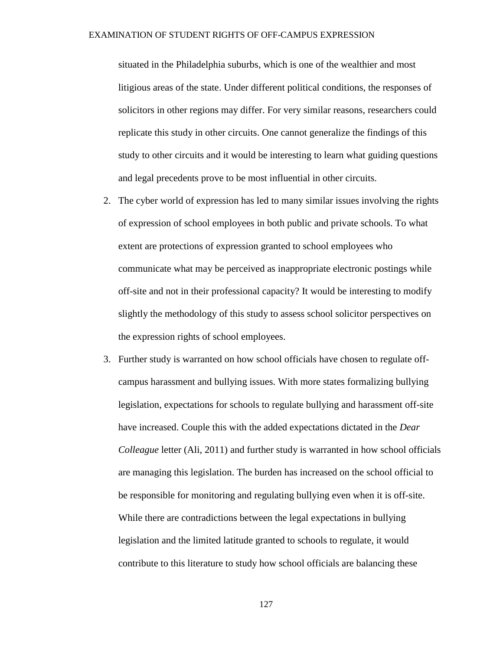situated in the Philadelphia suburbs, which is one of the wealthier and most litigious areas of the state. Under different political conditions, the responses of solicitors in other regions may differ. For very similar reasons, researchers could replicate this study in other circuits. One cannot generalize the findings of this study to other circuits and it would be interesting to learn what guiding questions and legal precedents prove to be most influential in other circuits.

- 2. The cyber world of expression has led to many similar issues involving the rights of expression of school employees in both public and private schools. To what extent are protections of expression granted to school employees who communicate what may be perceived as inappropriate electronic postings while off-site and not in their professional capacity? It would be interesting to modify slightly the methodology of this study to assess school solicitor perspectives on the expression rights of school employees.
- 3. Further study is warranted on how school officials have chosen to regulate offcampus harassment and bullying issues. With more states formalizing bullying legislation, expectations for schools to regulate bullying and harassment off-site have increased. Couple this with the added expectations dictated in the *Dear Colleague* letter (Ali, 2011) and further study is warranted in how school officials are managing this legislation. The burden has increased on the school official to be responsible for monitoring and regulating bullying even when it is off-site. While there are contradictions between the legal expectations in bullying legislation and the limited latitude granted to schools to regulate, it would contribute to this literature to study how school officials are balancing these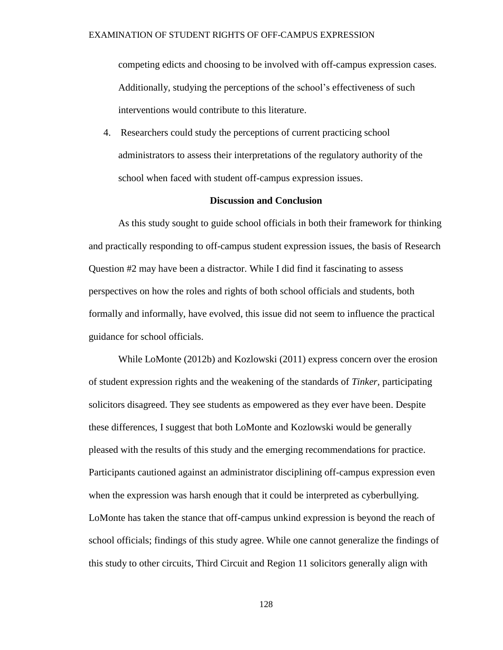competing edicts and choosing to be involved with off-campus expression cases. Additionally, studying the perceptions of the school's effectiveness of such interventions would contribute to this literature.

4. Researchers could study the perceptions of current practicing school administrators to assess their interpretations of the regulatory authority of the school when faced with student off-campus expression issues.

# **Discussion and Conclusion**

As this study sought to guide school officials in both their framework for thinking and practically responding to off-campus student expression issues, the basis of Research Question #2 may have been a distractor. While I did find it fascinating to assess perspectives on how the roles and rights of both school officials and students, both formally and informally, have evolved, this issue did not seem to influence the practical guidance for school officials.

While LoMonte (2012b) and Kozlowski (2011) express concern over the erosion of student expression rights and the weakening of the standards of *Tinker,* participating solicitors disagreed. They see students as empowered as they ever have been. Despite these differences, I suggest that both LoMonte and Kozlowski would be generally pleased with the results of this study and the emerging recommendations for practice. Participants cautioned against an administrator disciplining off-campus expression even when the expression was harsh enough that it could be interpreted as cyberbullying. LoMonte has taken the stance that off-campus unkind expression is beyond the reach of school officials; findings of this study agree. While one cannot generalize the findings of this study to other circuits, Third Circuit and Region 11 solicitors generally align with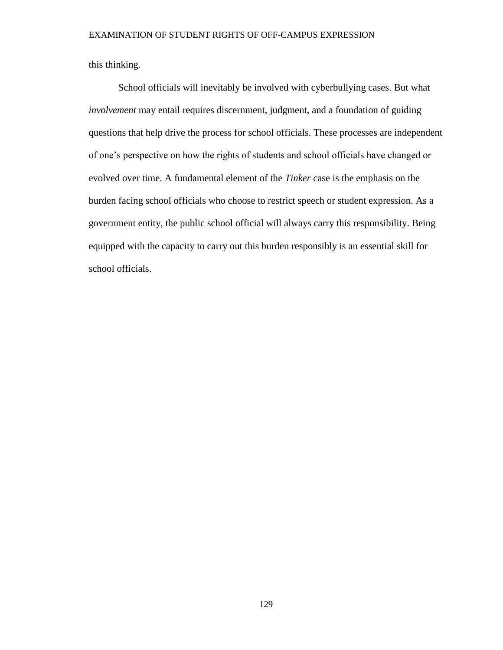this thinking.

School officials will inevitably be involved with cyberbullying cases. But what *involvement* may entail requires discernment, judgment, and a foundation of guiding questions that help drive the process for school officials. These processes are independent of one's perspective on how the rights of students and school officials have changed or evolved over time. A fundamental element of the *Tinker* case is the emphasis on the burden facing school officials who choose to restrict speech or student expression. As a government entity, the public school official will always carry this responsibility. Being equipped with the capacity to carry out this burden responsibly is an essential skill for school officials.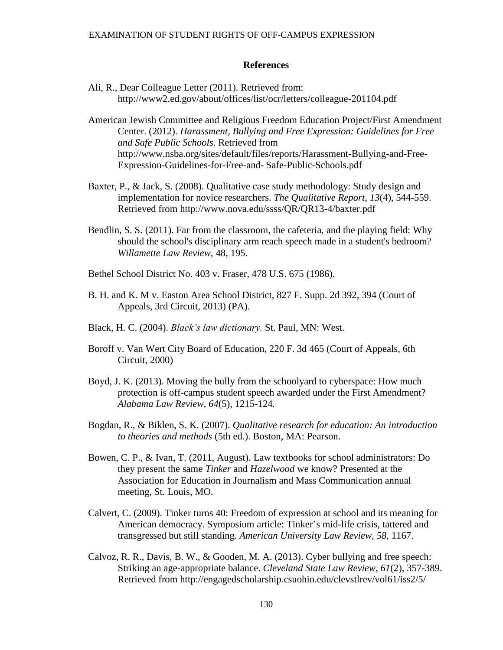# **References**

- Ali, R., Dear Colleague Letter (2011). Retrieved from: http://www2.ed.gov/about/offices/list/ocr/letters/colleague-201104.pdf
- American Jewish Committee and Religious Freedom Education Project/First Amendment Center. (2012). *Harassment, Bullying and Free Expression: Guidelines for Free and Safe Public Schools*. Retrieved from http://www.nsba.org/sites/default/files/reports/Harassment-Bullying-and-Free-Expression-Guidelines-for-Free-and- Safe-Public-Schools.pdf
- Baxter, P., & Jack, S. (2008). Qualitative case study methodology: Study design and implementation for novice researchers. *The Qualitative Report*, *13*(4), 544-559. Retrieved from http://www.nova.edu/ssss/QR/QR13-4/baxter.pdf
- Bendlin, S. S. (2011). Far from the classroom, the cafeteria, and the playing field: Why should the school's disciplinary arm reach speech made in a student's bedroom? *Willamette Law Review*, 48, 195.
- Bethel School District No. 403 v. Fraser, 478 U.S. 675 (1986).
- B. H. and K. M v. Easton Area School District, 827 F. Supp. 2d 392, 394 (Court of Appeals, 3rd Circuit, 2013) (PA).
- Black, H. C. (2004). *Black's law dictionary.* St. Paul, MN: West.
- Boroff v. Van Wert City Board of Education, 220 F. 3d 465 (Court of Appeals, 6th Circuit, 2000)
- Boyd, J. K. (2013). Moving the bully from the schoolyard to cyberspace: How much protection is off-campus student speech awarded under the First Amendment? *Alabama Law Review, 64*(5), 1215-124*.*
- Bogdan, R., & Biklen, S. K. (2007). *Qualitative research for education: An introduction to theories and methods* (5th ed.). Boston, MA: Pearson.
- Bowen, C. P., & Ivan, T. (2011, August). Law textbooks for school administrators: Do they present the same *Tinker* and *Hazelwood* we know? Presented at the Association for Education in Journalism and Mass Communication annual meeting, St. Louis, MO.
- Calvert, C. (2009). Tinker turns 40: Freedom of expression at school and its meaning for American democracy. Symposium article: Tinker's mid-life crisis, tattered and transgressed but still standing. *American University Law Review, 58,* 1167.
- Calvoz, R. R., Davis, B. W., & Gooden, M. A. (2013). Cyber bullying and free speech: Striking an age-appropriate balance. *Cleveland State Law Review*, *61*(2), 357-389. Retrieved from http://engagedscholarship.csuohio.edu/clevstlrev/vol61/iss2/5/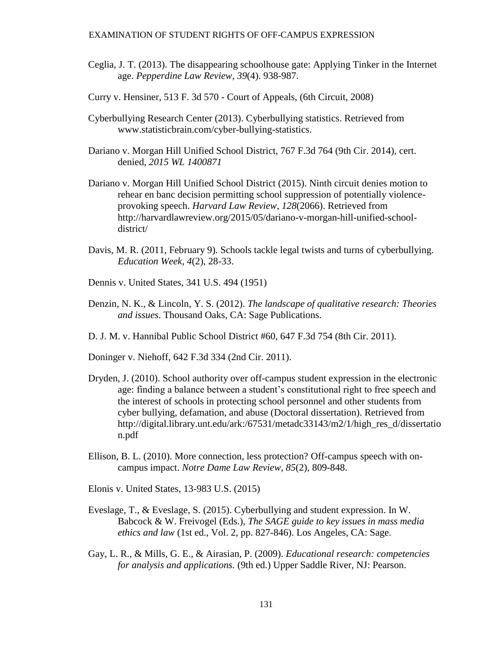- Ceglia, J. T. (2013). The disappearing schoolhouse gate: Applying Tinker in the Internet age. *Pepperdine Law Review*, *39*(4). 938-987.
- Curry v. Hensiner, 513 F. 3d 570 Court of Appeals, (6th Circuit, 2008)
- Cyberbullying Research Center (2013). Cyberbullying statistics. Retrieved from www.statisticbrain.com/cyber-bullying-statistics.
- Dariano v. Morgan Hill Unified School District, 767 F.3d 764 (9th Cir. 2014)*,* cert. denied*, 2015 WL 1400871*
- Dariano v. Morgan Hill Unified School District (2015). Ninth circuit denies motion to rehear en banc decision permitting school suppression of potentially violenceprovoking speech. *Harvard Law Review*, *128*(2066). Retrieved from http://harvardlawreview.org/2015/05/dariano-v-morgan-hill-unified-schooldistrict/
- Davis, M. R. (2011, February 9). Schools tackle legal twists and turns of cyberbullying. *Education Week*, *4*(2), 28-33.
- Dennis v. United States, 341 U.S. 494 (1951)
- Denzin, N. K., & Lincoln, Y. S. (2012). *The landscape of qualitative research: Theories and issues*. Thousand Oaks, CA: Sage Publications.
- D. J. M. v. Hannibal Public School District #60, 647 F.3d 754 (8th Cir. 2011).

Doninger v. Niehoff, 642 F.3d 334 (2nd Cir. 2011).

- Dryden, J. (2010). School authority over off-campus student expression in the electronic age: finding a balance between a student's constitutional right to free speech and the interest of schools in protecting school personnel and other students from cyber bullying, defamation, and abuse (Doctoral dissertation). Retrieved from http://digital.library.unt.edu/ark:/67531/metadc33143/m2/1/high\_res\_d/dissertatio n.pdf
- Ellison, B. L. (2010). More connection, less protection? Off-campus speech with oncampus impact. *Notre Dame Law Review*, *85*(2), 809-848.
- Elonis v. United States, 13-983 U.S. (2015)
- Eveslage, T., & Eveslage, S. (2015). Cyberbullying and student expression. In W. Babcock & W. Freivogel (Eds.), *The SAGE guide to key issues in mass media ethics and law* (1st ed., Vol. 2, pp. 827-846). Los Angeles, CA: Sage.
- Gay, L. R., & Mills, G. E., & Airasian, P. (2009). *Educational research: competencies for analysis and applications.* (9th ed.) Upper Saddle River, NJ: Pearson.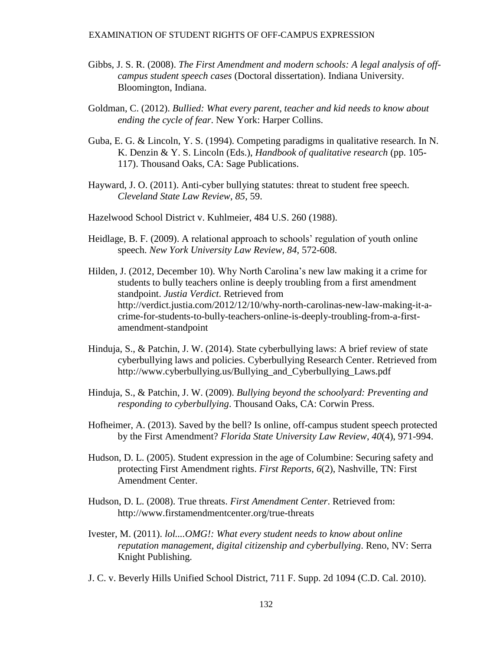- Gibbs, J. S. R. (2008). *The First Amendment and modern schools: A legal analysis of offcampus student speech cases* (Doctoral dissertation). Indiana University. Bloomington, Indiana.
- Goldman, C. (2012). *Bullied: What every parent, teacher and kid needs to know about ending the cycle of fear*. New York: Harper Collins.
- Guba, E. G. & Lincoln, Y. S. (1994). Competing paradigms in qualitative research. In N. K. Denzin & Y. S. Lincoln (Eds.), *Handbook of qualitative research* (pp. 105- 117). Thousand Oaks, CA: Sage Publications.
- Hayward, J. O. (2011). Anti-cyber bullying statutes: threat to student free speech. *Cleveland State Law Review*, *85*, 59.
- Hazelwood School District v. Kuhlmeier, 484 U.S. 260 (1988).
- Heidlage, B. F. (2009). A relational approach to schools' regulation of youth online speech. *New York University Law Review, 84*, 572-608.
- Hilden, J. (2012, December 10). Why North Carolina's new law making it a crime for students to bully teachers online is deeply troubling from a first amendment standpoint. *Justia Verdict*. Retrieved from http://verdict.justia.com/2012/12/10/why-north-carolinas-new-law-making-it-acrime-for-students-to-bully-teachers-online-is-deeply-troubling-from-a-firstamendment-standpoint
- Hinduja, S., & Patchin, J. W. (2014). State cyberbullying laws: A brief review of state cyberbullying laws and policies. Cyberbullying Research Center. Retrieved from http://www.cyberbullying.us/Bullying\_and\_Cyberbullying\_Laws.pdf
- Hinduja, S., & Patchin, J. W. (2009). *Bullying beyond the schoolyard: Preventing and responding to cyberbullying*. Thousand Oaks, CA: Corwin Press.
- Hofheimer, A. (2013). Saved by the bell? Is online, off-campus student speech protected by the First Amendment? *Florida State University Law Review*, *40*(4), 971-994.
- Hudson, D. L. (2005). Student expression in the age of Columbine: Securing safety and protecting First Amendment rights. *First Reports, 6*(2), Nashville, TN: First Amendment Center.
- Hudson, D. L. (2008). True threats. *First Amendment Center*. Retrieved from: <http://www.firstamendmentcenter.org/true-threats>
- Ivester, M. (2011). *lol....OMG!: What every student needs to know about online reputation management, digital citizenship and cyberbullying*. Reno, NV: Serra Knight Publishing.
- J. C. v. Beverly Hills Unified School District, 711 F. Supp. 2d 1094 (C.D. Cal. 2010).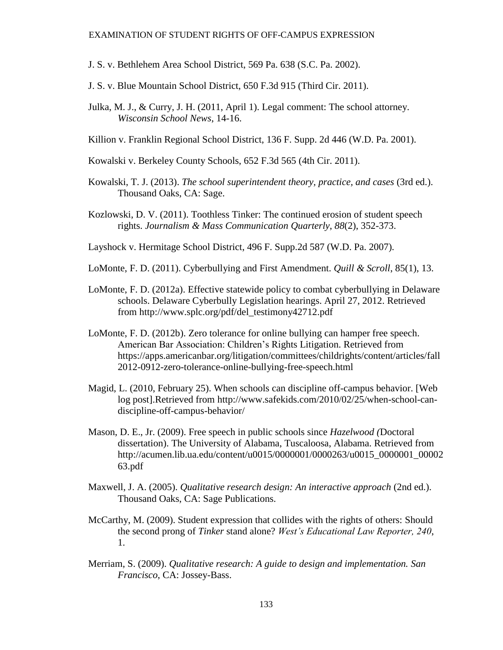- J. S. v. Bethlehem Area School District, 569 Pa. 638 (S.C. Pa. 2002).
- J. S. v. Blue Mountain School District, 650 F.3d 915 (Third Cir. 2011).
- Julka, M. J., & Curry, J. H. (2011, April 1). Legal comment: The school attorney. *Wisconsin School News*, 14-16.
- Killion v. Franklin Regional School District, 136 F. Supp. 2d 446 (W.D. Pa. 2001).
- Kowalski v. Berkeley County Schools, 652 F.3d 565 (4th Cir. 2011).
- Kowalski, T. J. (2013). *The school superintendent theory, practice, and cases* (3rd ed.). Thousand Oaks, CA: Sage.
- Kozlowski, D. V. (2011). Toothless Tinker: The continued erosion of student speech rights. *Journalism & Mass Communication Quarterly*, *88*(2), 352-373.
- Layshock v. Hermitage School District, 496 F. Supp.2d 587 (W.D. Pa. 2007).
- LoMonte, F. D. (2011). Cyberbullying and First Amendment. *Quill & Scroll*, 85(1), 13.
- LoMonte, F. D. (2012a). Effective statewide policy to combat cyberbullying in Delaware schools. Delaware Cyberbully Legislation hearings. April 27, 2012. Retrieved from http://www.splc.org/pdf/del\_testimony42712.pdf
- LoMonte, F. D. (2012b). Zero tolerance for online bullying can hamper free speech. American Bar Association: Children's Rights Litigation. Retrieved from https://apps.americanbar.org/litigation/committees/childrights/content/articles/fall 2012-0912-zero-tolerance-online-bullying-free-speech.html
- Magid, L. (2010, February 25). When schools can discipline off-campus behavior. [Web log post].Retrieved from http://www.safekids.com/2010/02/25/when-school-candiscipline-off-campus-behavior/
- Mason, D. E., Jr. (2009). Free speech in public schools since *Hazelwood (*Doctoral dissertation). The University of Alabama, Tuscaloosa, Alabama. Retrieved from http://acumen.lib.ua.edu/content/u0015/0000001/0000263/u0015\_0000001\_00002 63.pdf
- Maxwell, J. A. (2005). *Qualitative research design: An interactive approach* (2nd ed.). Thousand Oaks, CA: Sage Publications.
- McCarthy, M. (2009). Student expression that collides with the rights of others: Should the second prong of *Tinker* stand alone? *West's Educational Law Reporter, 240*, 1.
- Merriam, S. (2009). *Qualitative research: A guide to design and implementation. San Francisco*, CA: Jossey-Bass.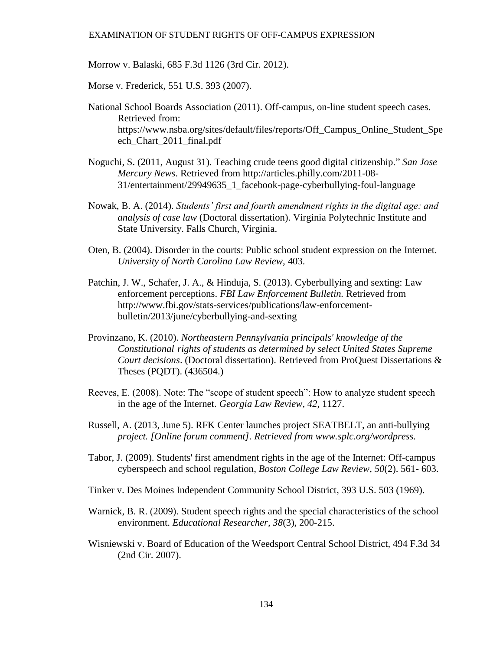Morrow v. Balaski, 685 F.3d 1126 (3rd Cir. 2012).

Morse v. Frederick, 551 U.S. 393 (2007).

- National School Boards Association (2011). Off-campus, on-line student speech cases. Retrieved from: https://www.nsba.org/sites/default/files/reports/Off\_Campus\_Online\_Student\_Spe ech Chart 2011 final.pdf
- Noguchi, S. (2011, August 31). Teaching crude teens good digital citizenship." *San Jose Mercury News*. Retrieved from http://articles.philly.com/2011-08- 31/entertainment/29949635\_1\_facebook-page-cyberbullying-foul-language
- Nowak, B. A. (2014). *Students' first and fourth amendment rights in the digital age: and analysis of case law* (Doctoral dissertation). Virginia Polytechnic Institute and State University. Falls Church, Virginia.
- Oten, B. (2004). Disorder in the courts: Public school student expression on the Internet. *University of North Carolina Law Review,* 403.
- Patchin, J. W., Schafer, J. A., & Hinduja, S. (2013). Cyberbullying and sexting: Law enforcement perceptions. *FBI Law Enforcement Bulletin.* Retrieved from http://www.fbi.gov/stats-services/publications/law-enforcementbulletin/2013/june/cyberbullying-and-sexting
- Provinzano, K. (2010). *Northeastern Pennsylvania principals' knowledge of the Constitutional rights of students as determined by select United States Supreme Court decisions*. (Doctoral dissertation). Retrieved from ProQuest Dissertations & Theses (PQDT). (436504.)
- Reeves, E. (2008). Note: The "scope of student speech": How to analyze student speech in the age of the Internet. *Georgia Law Review*, *42*, 1127.
- Russell, A. (2013, June 5). RFK Center launches project SEATBELT, an anti-bullying *project. [Online forum comment]. Retrieved from www.splc.org/wordpress.*
- Tabor, J. (2009). Students' first amendment rights in the age of the Internet: Off-campus cyberspeech and school regulation, *Boston College Law Review*, *50*(2). 561- 603.
- Tinker v. Des Moines Independent Community School District, 393 U.S. 503 (1969).
- Warnick, B. R. (2009). Student speech rights and the special characteristics of the school environment. *Educational Researcher, 38*(3), 200-215.
- Wisniewski v. Board of Education of the Weedsport Central School District, 494 F.3d 34 (2nd Cir. 2007).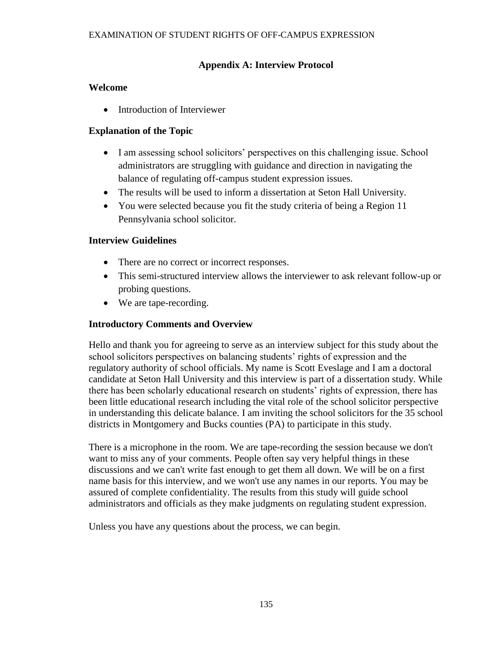# **Appendix A: Interview Protocol**

#### **Welcome**

• Introduction of Interviewer

### **Explanation of the Topic**

- I am assessing school solicitors' perspectives on this challenging issue. School administrators are struggling with guidance and direction in navigating the balance of regulating off-campus student expression issues.
- The results will be used to inform a dissertation at Seton Hall University.
- You were selected because you fit the study criteria of being a Region 11 Pennsylvania school solicitor.

#### **Interview Guidelines**

- There are no correct or incorrect responses.
- This semi-structured interview allows the interviewer to ask relevant follow-up or probing questions.
- We are tape-recording.

# **Introductory Comments and Overview**

Hello and thank you for agreeing to serve as an interview subject for this study about the school solicitors perspectives on balancing students' rights of expression and the regulatory authority of school officials. My name is Scott Eveslage and I am a doctoral candidate at Seton Hall University and this interview is part of a dissertation study. While there has been scholarly educational research on students' rights of expression, there has been little educational research including the vital role of the school solicitor perspective in understanding this delicate balance. I am inviting the school solicitors for the 35 school districts in Montgomery and Bucks counties (PA) to participate in this study.

There is a microphone in the room. We are tape-recording the session because we don't want to miss any of your comments. People often say very helpful things in these discussions and we can't write fast enough to get them all down. We will be on a first name basis for this interview, and we won't use any names in our reports. You may be assured of complete confidentiality. The results from this study will guide school administrators and officials as they make judgments on regulating student expression.

Unless you have any questions about the process, we can begin.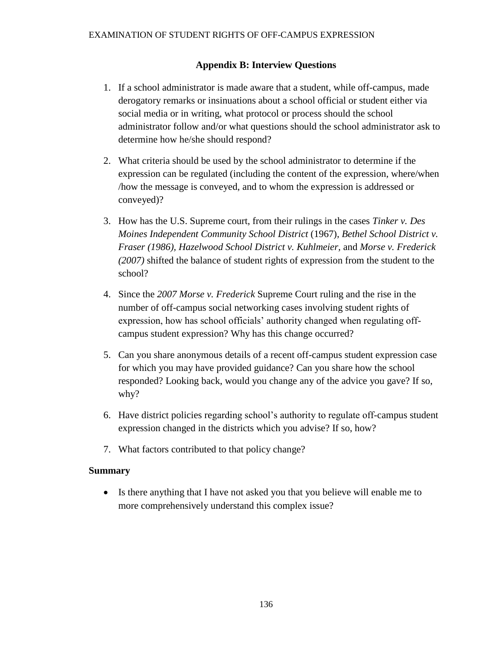#### **Appendix B: Interview Questions**

- 1. If a school administrator is made aware that a student, while off-campus, made derogatory remarks or insinuations about a school official or student either via social media or in writing, what protocol or process should the school administrator follow and/or what questions should the school administrator ask to determine how he/she should respond?
- 2. What criteria should be used by the school administrator to determine if the expression can be regulated (including the content of the expression, where/when /how the message is conveyed, and to whom the expression is addressed or conveyed)?
- 3. How has the U.S. Supreme court, from their rulings in the cases *Tinker v. Des Moines Independent Community School District* (1967), *Bethel School District v. Fraser (1986), Hazelwood School District v. Kuhlmeier,* and *Morse v. Frederick (2007)* shifted the balance of student rights of expression from the student to the school?
- 4. Since the *2007 Morse v. Frederick* Supreme Court ruling and the rise in the number of off-campus social networking cases involving student rights of expression, how has school officials' authority changed when regulating offcampus student expression? Why has this change occurred?
- 5. Can you share anonymous details of a recent off-campus student expression case for which you may have provided guidance? Can you share how the school responded? Looking back, would you change any of the advice you gave? If so, why?
- 6. Have district policies regarding school's authority to regulate off-campus student expression changed in the districts which you advise? If so, how?
- 7. What factors contributed to that policy change?

#### **Summary**

 Is there anything that I have not asked you that you believe will enable me to more comprehensively understand this complex issue?